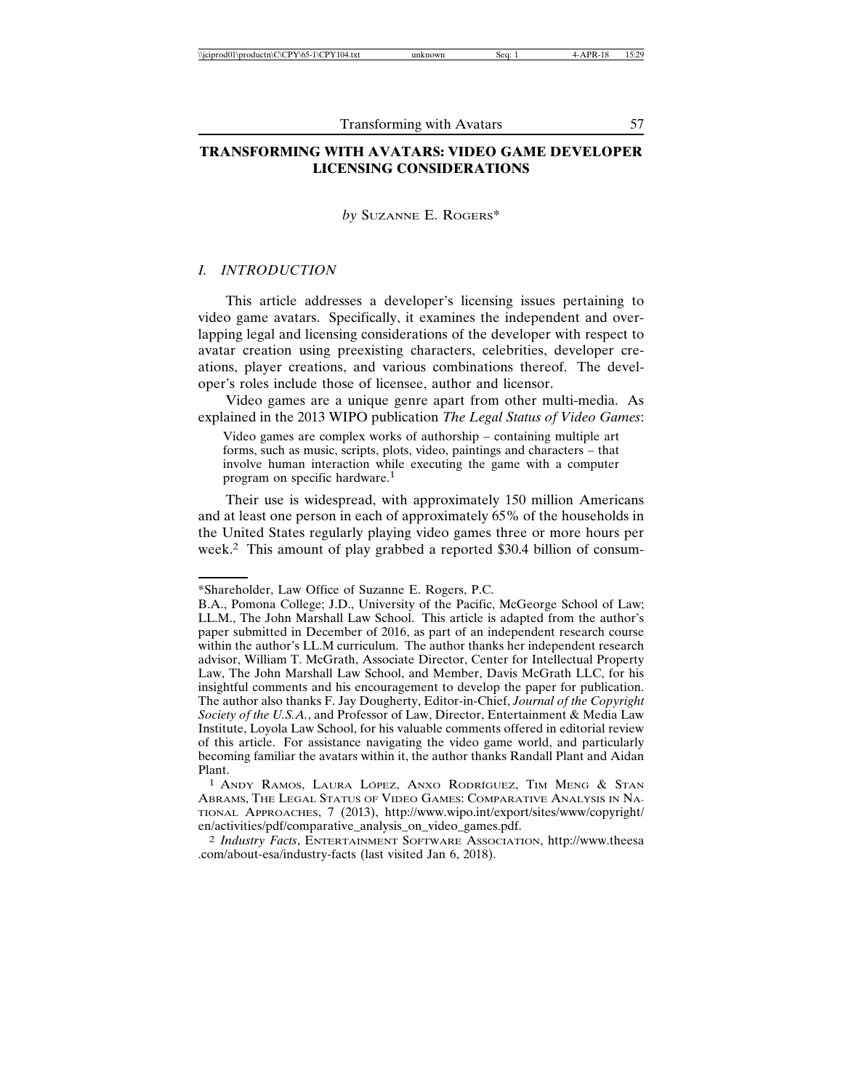|  | \\iciprod01\productn\C\CPY\65-1\CPY104.txt | unknown | Sea: | APR-18 | 5.20<br>۰.<br>1.J.Z |
|--|--------------------------------------------|---------|------|--------|---------------------|
|--|--------------------------------------------|---------|------|--------|---------------------|

# **TRANSFORMING WITH AVATARS: VIDEO GAME DEVELOPER LICENSING CONSIDERATIONS**

*by* SUZANNE E. ROGERS\*

# *I. INTRODUCTION*

This article addresses a developer's licensing issues pertaining to video game avatars. Specifically, it examines the independent and overlapping legal and licensing considerations of the developer with respect to avatar creation using preexisting characters, celebrities, developer creations, player creations, and various combinations thereof. The developer's roles include those of licensee, author and licensor.

Video games are a unique genre apart from other multi-media. As explained in the 2013 WIPO publication *The Legal Status of Video Games*:

Video games are complex works of authorship – containing multiple art forms, such as music, scripts, plots, video, paintings and characters – that involve human interaction while executing the game with a computer program on specific hardware.1

Their use is widespread, with approximately 150 million Americans and at least one person in each of approximately 65% of the households in the United States regularly playing video games three or more hours per week.2 This amount of play grabbed a reported \$30.4 billion of consum-

<sup>\*</sup>Shareholder, Law Office of Suzanne E. Rogers, P.C.

B.A., Pomona College; J.D., University of the Pacific, McGeorge School of Law; LL.M., The John Marshall Law School. This article is adapted from the author's paper submitted in December of 2016, as part of an independent research course within the author's LL.M curriculum. The author thanks her independent research advisor, William T. McGrath, Associate Director, Center for Intellectual Property Law, The John Marshall Law School, and Member, Davis McGrath LLC, for his insightful comments and his encouragement to develop the paper for publication. The author also thanks F. Jay Dougherty, Editor-in-Chief, *Journal of the Copyright Society of the U.S.A.*, and Professor of Law, Director, Entertainment & Media Law Institute, Loyola Law School, for his valuable comments offered in editorial review of this article. For assistance navigating the video game world, and particularly becoming familiar the avatars within it, the author thanks Randall Plant and Aidan Plant.

<sup>&</sup>lt;sup>1</sup> ANDY RAMOS, LAURA LÓPEZ, ANXO RODRÍGUEZ, TIM MENG & STAN ABRAMS, THE LEGAL STATUS OF VIDEO GAMES: COMPARATIVE ANALYSIS IN NA-TIONAL APPROACHES, 7 (2013), http://www.wipo.int/export/sites/www/copyright/ en/activities/pdf/comparative\_analysis\_on\_video\_games.pdf.

<sup>2</sup> *Industry Facts*, ENTERTAINMENT SOFTWARE ASSOCIATION, http://www.theesa .com/about-esa/industry-facts (last visited Jan 6, 2018).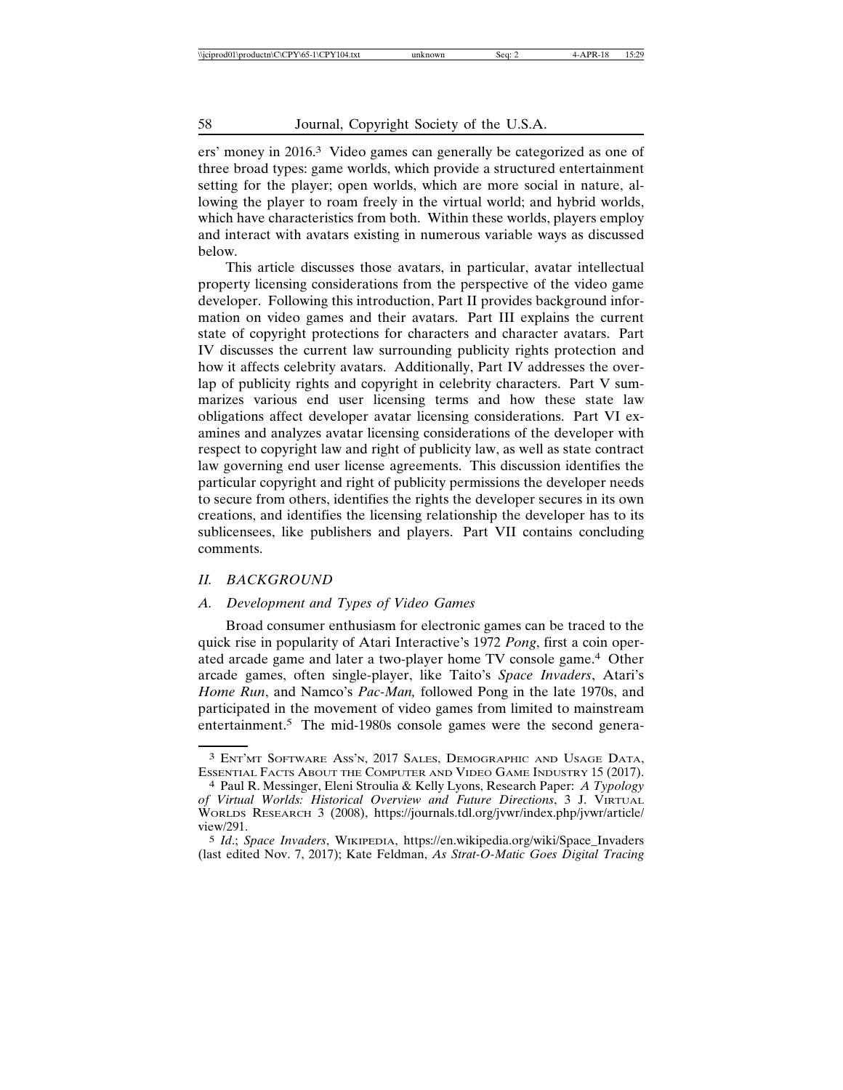ers' money in 2016.3 Video games can generally be categorized as one of three broad types: game worlds, which provide a structured entertainment setting for the player; open worlds, which are more social in nature, allowing the player to roam freely in the virtual world; and hybrid worlds, which have characteristics from both. Within these worlds, players employ and interact with avatars existing in numerous variable ways as discussed below.

This article discusses those avatars, in particular, avatar intellectual property licensing considerations from the perspective of the video game developer. Following this introduction, Part II provides background information on video games and their avatars. Part III explains the current state of copyright protections for characters and character avatars. Part IV discusses the current law surrounding publicity rights protection and how it affects celebrity avatars. Additionally, Part IV addresses the overlap of publicity rights and copyright in celebrity characters. Part V summarizes various end user licensing terms and how these state law obligations affect developer avatar licensing considerations. Part VI examines and analyzes avatar licensing considerations of the developer with respect to copyright law and right of publicity law, as well as state contract law governing end user license agreements. This discussion identifies the particular copyright and right of publicity permissions the developer needs to secure from others, identifies the rights the developer secures in its own creations, and identifies the licensing relationship the developer has to its sublicensees, like publishers and players. Part VII contains concluding comments.

### *II. BACKGROUND*

## *A. Development and Types of Video Games*

Broad consumer enthusiasm for electronic games can be traced to the quick rise in popularity of Atari Interactive's 1972 *Pong*, first a coin operated arcade game and later a two-player home TV console game.4 Other arcade games, often single-player, like Taito's *Space Invaders*, Atari's *Home Run*, and Namco's *Pac-Man,* followed Pong in the late 1970s, and participated in the movement of video games from limited to mainstream entertainment.<sup>5</sup> The mid-1980s console games were the second genera-

<sup>3</sup> ENT'MT SOFTWARE ASS'N, 2017 SALES, DEMOGRAPHIC AND USAGE DATA, ESSENTIAL FACTS ABOUT THE COMPUTER AND VIDEO GAME INDUSTRY 15 (2017).

<sup>4</sup> Paul R. Messinger, Eleni Stroulia & Kelly Lyons, Research Paper: *A Typology of Virtual Worlds: Historical Overview and Future Directions*, 3 J. VIRTUAL WORLDS RESEARCH 3 (2008), https://journals.tdl.org/jvwr/index.php/jvwr/article/ view/291.

<sup>5</sup> *Id*.; *Space Invaders*, WIKIPEDIA, https://en.wikipedia.org/wiki/Space\_Invaders (last edited Nov. 7, 2017); Kate Feldman, *As Strat-O-Matic Goes Digital Tracing*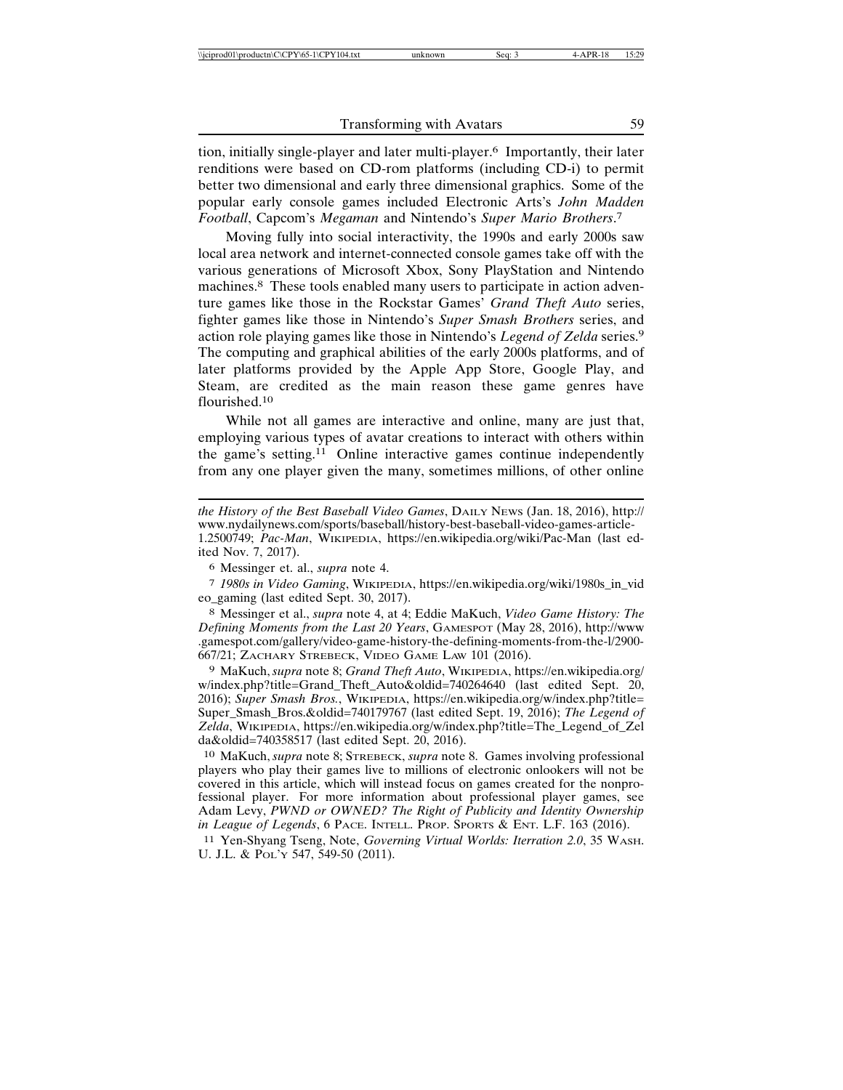tion, initially single-player and later multi-player.6 Importantly, their later renditions were based on CD-rom platforms (including CD-i) to permit better two dimensional and early three dimensional graphics. Some of the popular early console games included Electronic Arts's *John Madden Football*, Capcom's *Megaman* and Nintendo's *Super Mario Brothers*. 7

Moving fully into social interactivity, the 1990s and early 2000s saw local area network and internet-connected console games take off with the various generations of Microsoft Xbox, Sony PlayStation and Nintendo machines.8 These tools enabled many users to participate in action adventure games like those in the Rockstar Games' *Grand Theft Auto* series, fighter games like those in Nintendo's *Super Smash Brothers* series, and action role playing games like those in Nintendo's *Legend of Zelda* series.9 The computing and graphical abilities of the early 2000s platforms, and of later platforms provided by the Apple App Store, Google Play, and Steam, are credited as the main reason these game genres have flourished.<sup>10</sup>

While not all games are interactive and online, many are just that, employing various types of avatar creations to interact with others within the game's setting.11 Online interactive games continue independently from any one player given the many, sometimes millions, of other online

*the History of the Best Baseball Video Games*, DAILY NEWS (Jan. 18, 2016), http:// www.nydailynews.com/sports/baseball/history-best-baseball-video-games-article-1.2500749; *Pac-Man*, WIKIPEDIA, https://en.wikipedia.org/wiki/Pac-Man (last edited Nov. 7, 2017).

<sup>6</sup> Messinger et. al., *supra* note 4.

<sup>7</sup> *1980s in Video Gaming*, WIKIPEDIA, https://en.wikipedia.org/wiki/1980s\_in\_vid eo\_gaming (last edited Sept. 30, 2017).

<sup>8</sup> Messinger et al., *supra* note 4, at 4; Eddie MaKuch, *Video Game History: The Defining Moments from the Last 20 Years*, GAMESPOT (May 28, 2016), http://www .gamespot.com/gallery/video-game-history-the-defining-moments-from-the-l/2900- 667/21; ZACHARY STREBECK, VIDEO GAME LAW 101 (2016).

<sup>9</sup> MaKuch, *supra* note 8; *Grand Theft Auto*, WIKIPEDIA, https://en.wikipedia.org/ w/index.php?title=Grand\_Theft\_Auto&oldid=740264640 (last edited Sept. 20, 2016); *Super Smash Bros.*, WIKIPEDIA, https://en.wikipedia.org/w/index.php?title= Super\_Smash\_Bros.&oldid=740179767 (last edited Sept. 19, 2016); *The Legend of Zelda*, WIKIPEDIA, https://en.wikipedia.org/w/index.php?title=The\_Legend\_of\_Zel da&oldid=740358517 (last edited Sept. 20, 2016).

<sup>10</sup> MaKuch, *supra* note 8; STREBECK, *supra* note 8. Games involving professional players who play their games live to millions of electronic onlookers will not be covered in this article, which will instead focus on games created for the nonprofessional player. For more information about professional player games, see Adam Levy, *PWND or OWNED? The Right of Publicity and Identity Ownership in League of Legends*, 6 PACE. INTELL. PROP. SPORTS & ENT. L.F. 163 (2016).

<sup>11</sup> Yen-Shyang Tseng, Note, *Governing Virtual Worlds: Iterration 2.0*, 35 WASH. U. J.L. & POL'Y 547, 549-50 (2011).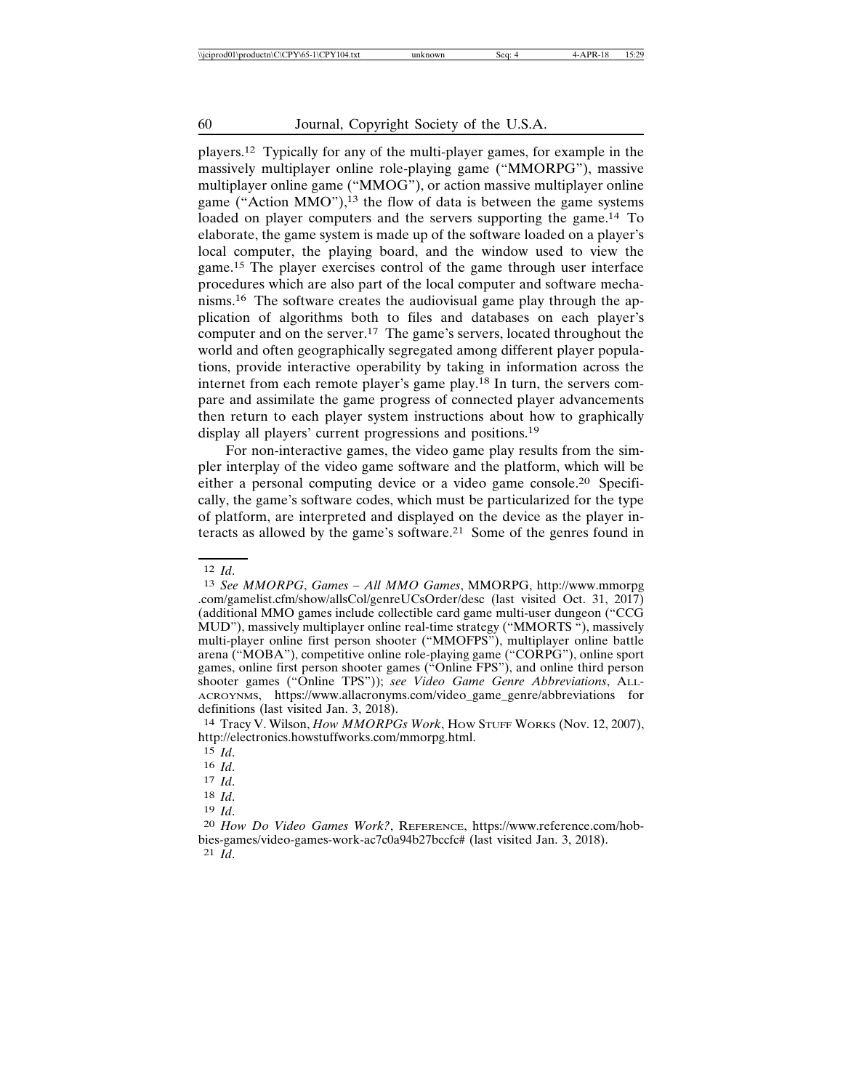players.12 Typically for any of the multi-player games, for example in the massively multiplayer online role-playing game ("MMORPG"), massive multiplayer online game ("MMOG"), or action massive multiplayer online game ("Action MMO"), $13$  the flow of data is between the game systems loaded on player computers and the servers supporting the game.<sup>14</sup> To elaborate, the game system is made up of the software loaded on a player's local computer, the playing board, and the window used to view the game.15 The player exercises control of the game through user interface procedures which are also part of the local computer and software mechanisms.16 The software creates the audiovisual game play through the application of algorithms both to files and databases on each player's computer and on the server.17 The game's servers, located throughout the world and often geographically segregated among different player populations, provide interactive operability by taking in information across the internet from each remote player's game play.18 In turn, the servers compare and assimilate the game progress of connected player advancements then return to each player system instructions about how to graphically display all players' current progressions and positions.<sup>19</sup>

For non-interactive games, the video game play results from the simpler interplay of the video game software and the platform, which will be either a personal computing device or a video game console.20 Specifically, the game's software codes, which must be particularized for the type of platform, are interpreted and displayed on the device as the player interacts as allowed by the game's software.21 Some of the genres found in

18 *Id*.

<sup>12</sup> *Id*.

<sup>13</sup> *See MMORPG*, *Games – All MMO Games*, MMORPG, http://www.mmorpg .com/gamelist.cfm/show/allsCol/genreUCsOrder/desc (last visited Oct. 31, 2017) (additional MMO games include collectible card game multi-user dungeon ("CCG MUD"), massively multiplayer online real-time strategy ("MMORTS "), massively multi-player online first person shooter ("MMOFPS"), multiplayer online battle arena ("MOBA"), competitive online role-playing game ("CORPG"), online sport games, online first person shooter games ("Online FPS"), and online third person shooter games ("Online TPS")); *see Video Game Genre Abbreviations*, ALL-ACROYNMS, https://www.allacronyms.com/video\_game\_genre/abbreviations for definitions (last visited Jan. 3, 2018).

<sup>14</sup> Tracy V. Wilson, *How MMORPGs Work*, HOW STUFF WORKS (Nov. 12, 2007), http://electronics.howstuffworks.com/mmorpg.html.

<sup>15</sup> *Id*.

<sup>16</sup> *Id*.

<sup>17</sup> *Id*.

<sup>19</sup> *Id*.

<sup>20</sup> *How Do Video Games Work?*, REFERENCE, https://www.reference.com/hobbies-games/video-games-work-ac7c0a94b27bccfc# (last visited Jan. 3, 2018). 21 *Id*.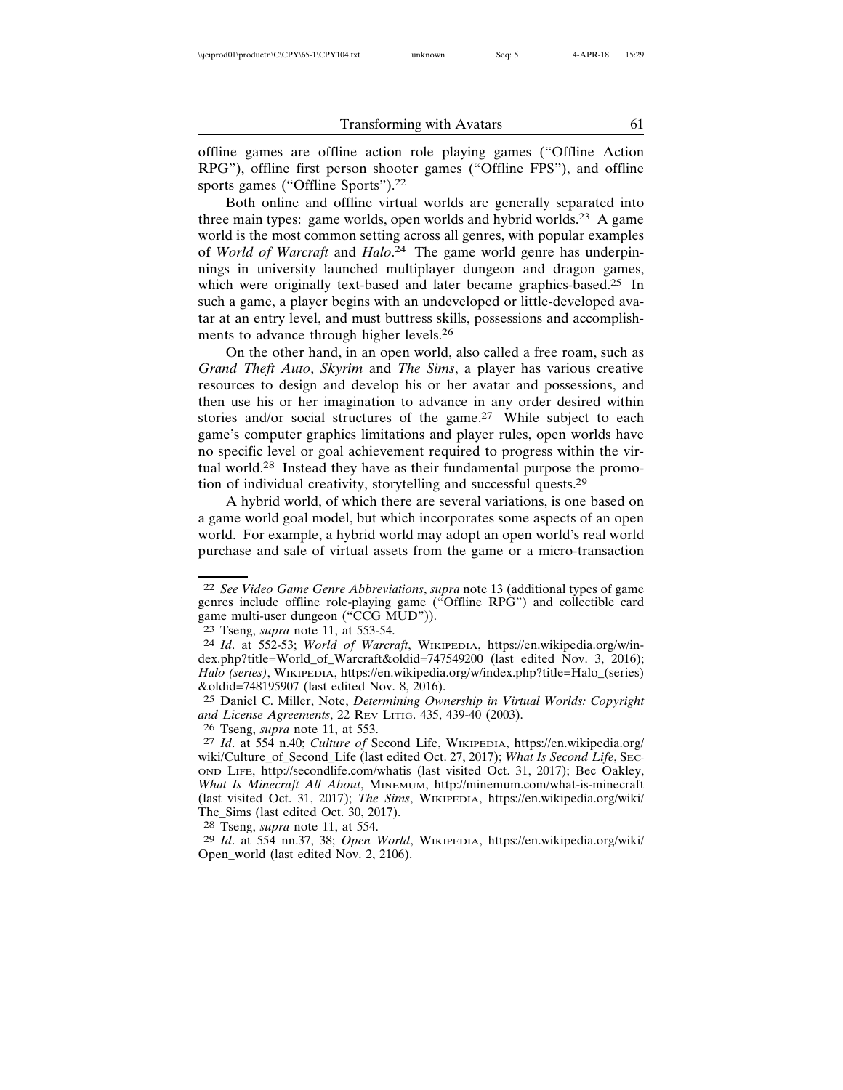offline games are offline action role playing games ("Offline Action

RPG"), offline first person shooter games ("Offline FPS"), and offline sports games ("Offline Sports").22

Both online and offline virtual worlds are generally separated into three main types: game worlds, open worlds and hybrid worlds.23 A game world is the most common setting across all genres, with popular examples of *World of Warcraft* and *Halo*. 24 The game world genre has underpinnings in university launched multiplayer dungeon and dragon games, which were originally text-based and later became graphics-based.<sup>25</sup> In such a game, a player begins with an undeveloped or little-developed avatar at an entry level, and must buttress skills, possessions and accomplishments to advance through higher levels.<sup>26</sup>

On the other hand, in an open world, also called a free roam, such as *Grand Theft Auto*, *Skyrim* and *The Sims*, a player has various creative resources to design and develop his or her avatar and possessions, and then use his or her imagination to advance in any order desired within stories and/or social structures of the game.<sup>27</sup> While subject to each game's computer graphics limitations and player rules, open worlds have no specific level or goal achievement required to progress within the virtual world.28 Instead they have as their fundamental purpose the promotion of individual creativity, storytelling and successful quests.29

A hybrid world, of which there are several variations, is one based on a game world goal model, but which incorporates some aspects of an open world. For example, a hybrid world may adopt an open world's real world purchase and sale of virtual assets from the game or a micro-transaction

28 Tseng, *supra* note 11, at 554.

<sup>22</sup> *See Video Game Genre Abbreviations*, *supra* note 13 (additional types of game genres include offline role-playing game ("Offline RPG") and collectible card game multi-user dungeon ("CCG MUD")).

<sup>23</sup> Tseng, *supra* note 11, at 553-54.

<sup>24</sup> *Id*. at 552-53; *World of Warcraft*, WIKIPEDIA, https://en.wikipedia.org/w/index.php?title=World\_of\_Warcraft&oldid=747549200 (last edited Nov. 3, 2016); *Halo (series)*, WIKIPEDIA, https://en.wikipedia.org/w/index.php?title=Halo\_(series) &oldid=748195907 (last edited Nov. 8, 2016).

<sup>25</sup> Daniel C. Miller, Note, *Determining Ownership in Virtual Worlds: Copyright and License Agreements*, 22 REV LITIG. 435, 439-40 (2003).

<sup>26</sup> Tseng, *supra* note 11, at 553.

<sup>27</sup> *Id*. at 554 n.40; *Culture of* Second Life, WIKIPEDIA, https://en.wikipedia.org/ wiki/Culture\_of\_Second\_Life (last edited Oct. 27, 2017); *What Is Second Life*, SEC-OND LIFE, http://secondlife.com/whatis (last visited Oct. 31, 2017); Bec Oakley, *What Is Minecraft All About*, MINEMUM, http://minemum.com/what-is-minecraft (last visited Oct. 31, 2017); *The Sims*, WIKIPEDIA, https://en.wikipedia.org/wiki/ The\_Sims (last edited Oct. 30, 2017).

<sup>29</sup> *Id*. at 554 nn.37, 38; *Open World*, WIKIPEDIA, https://en.wikipedia.org/wiki/ Open\_world (last edited Nov. 2, 2106).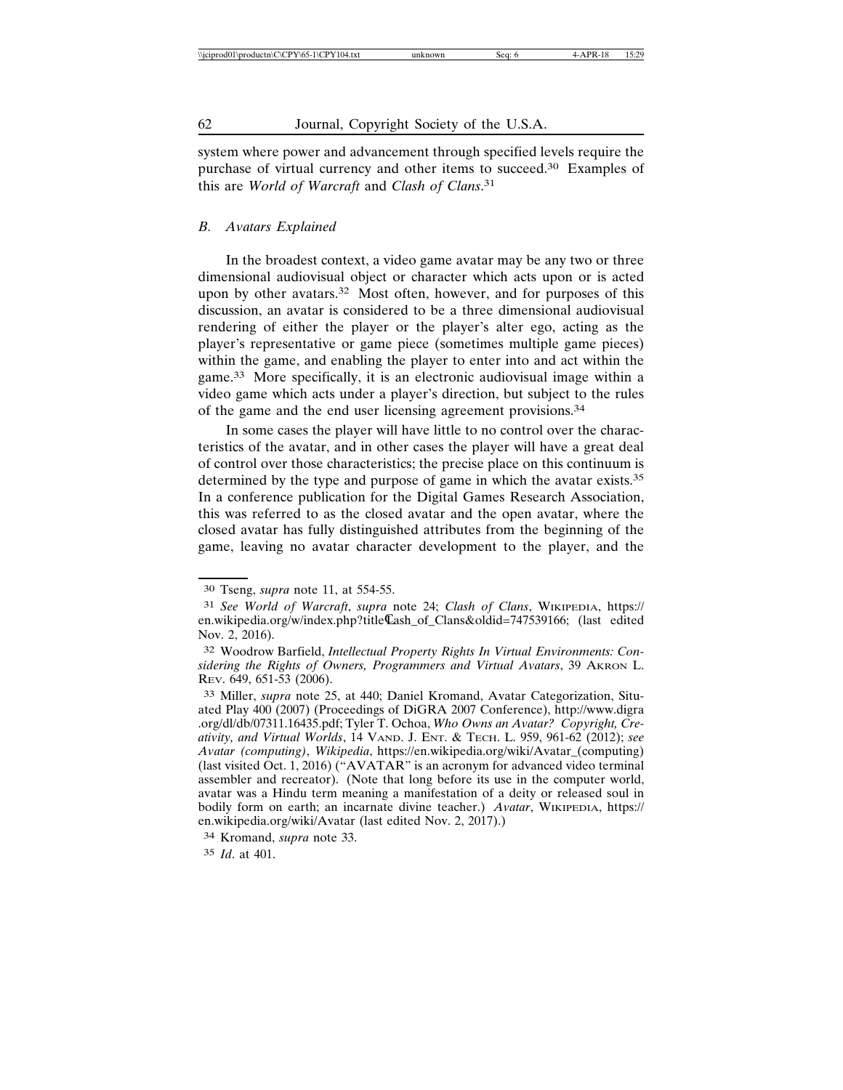system where power and advancement through specified levels require the purchase of virtual currency and other items to succeed.30 Examples of this are *World of Warcraft* and *Clash of Clans*. 31

### *B. Avatars Explained*

In the broadest context, a video game avatar may be any two or three dimensional audiovisual object or character which acts upon or is acted upon by other avatars.<sup>32</sup> Most often, however, and for purposes of this discussion, an avatar is considered to be a three dimensional audiovisual rendering of either the player or the player's alter ego, acting as the player's representative or game piece (sometimes multiple game pieces) within the game, and enabling the player to enter into and act within the game.33 More specifically, it is an electronic audiovisual image within a video game which acts under a player's direction, but subject to the rules of the game and the end user licensing agreement provisions.34

In some cases the player will have little to no control over the characteristics of the avatar, and in other cases the player will have a great deal of control over those characteristics; the precise place on this continuum is determined by the type and purpose of game in which the avatar exists.<sup>35</sup> In a conference publication for the Digital Games Research Association, this was referred to as the closed avatar and the open avatar, where the closed avatar has fully distinguished attributes from the beginning of the game, leaving no avatar character development to the player, and the

<sup>30</sup> Tseng, *supra* note 11, at 554-55.

<sup>31</sup> *See World of Warcraft*, *supra* note 24; *Clash of Clans*, WIKIPEDIA, https:// en.wikipedia.org/w/index.php?title $\mathcal{L}$ ash\_of\_Clans&oldid=747539166; (last edited Nov. 2, 2016).

<sup>32</sup> Woodrow Barfield, *Intellectual Property Rights In Virtual Environments: Considering the Rights of Owners, Programmers and Virtual Avatars*, 39 AKRON L. REV. 649, 651-53 (2006).

<sup>33</sup> Miller, *supra* note 25, at 440; Daniel Kromand, Avatar Categorization, Situated Play 400 (2007) (Proceedings of DiGRA 2007 Conference), http://www.digra .org/dl/db/07311.16435.pdf; Tyler T. Ochoa, *Who Owns an Avatar? Copyright, Creativity, and Virtual Worlds*, 14 VAND. J. ENT. & TECH. L. 959, 961-62 (2012); *see Avatar (computing)*, *Wikipedia*, https://en.wikipedia.org/wiki/Avatar\_(computing) (last visited Oct. 1, 2016) ("AVATAR" is an acronym for advanced video terminal assembler and recreator). (Note that long before its use in the computer world, avatar was a Hindu term meaning a manifestation of a deity or released soul in bodily form on earth; an incarnate divine teacher.) *Avatar*, WIKIPEDIA, https:// en.wikipedia.org/wiki/Avatar (last edited Nov. 2, 2017).)

<sup>34</sup> Kromand, *supra* note 33.

<sup>35</sup> *Id*. at 401.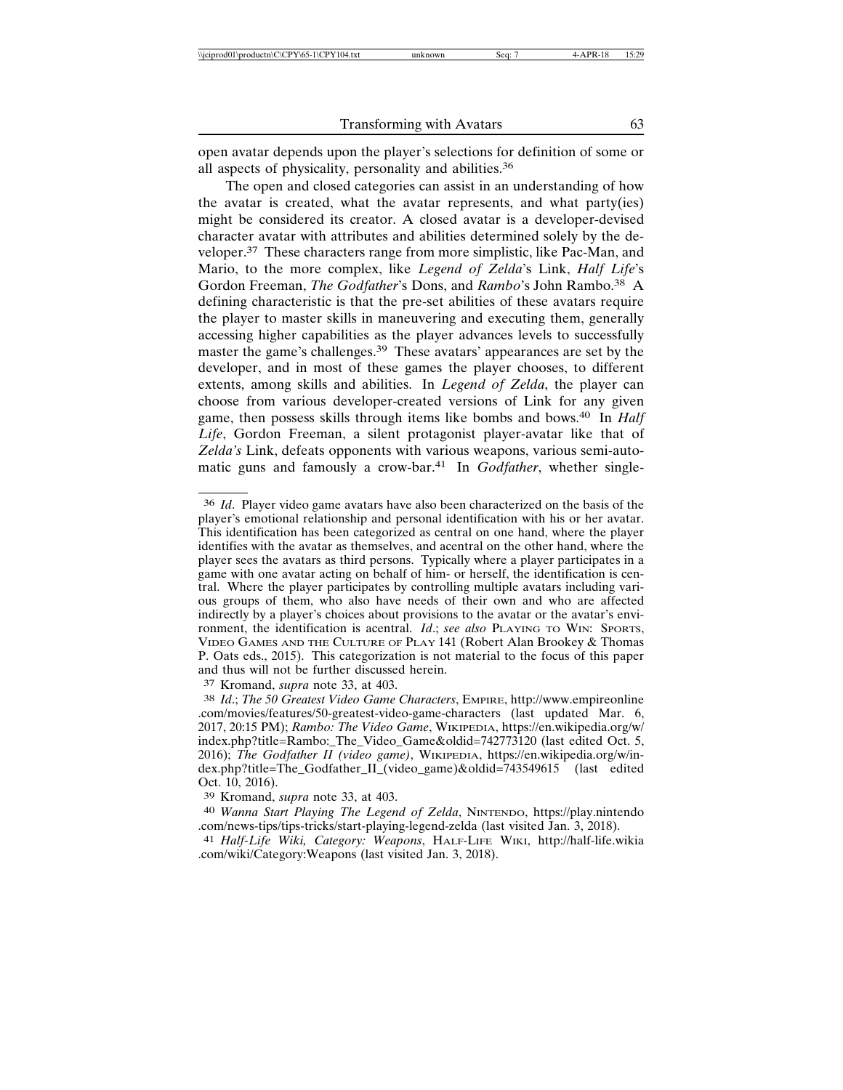open avatar depends upon the player's selections for definition of some or all aspects of physicality, personality and abilities.36

The open and closed categories can assist in an understanding of how the avatar is created, what the avatar represents, and what party(ies) might be considered its creator. A closed avatar is a developer-devised character avatar with attributes and abilities determined solely by the developer.37 These characters range from more simplistic, like Pac-Man, and Mario, to the more complex, like *Legend of Zelda*'s Link, *Half Life*'s Gordon Freeman, *The Godfather*'s Dons, and *Rambo*'s John Rambo.38 A defining characteristic is that the pre-set abilities of these avatars require the player to master skills in maneuvering and executing them, generally accessing higher capabilities as the player advances levels to successfully master the game's challenges.39 These avatars' appearances are set by the developer, and in most of these games the player chooses, to different extents, among skills and abilities. In *Legend of Zelda*, the player can choose from various developer-created versions of Link for any given game, then possess skills through items like bombs and bows.40 In *Half Life*, Gordon Freeman, a silent protagonist player-avatar like that of *Zelda's* Link, defeats opponents with various weapons, various semi-automatic guns and famously a crow-bar.<sup>41</sup> In *Godfather*, whether single-

37 Kromand, *supra* note 33, at 403.

<sup>36</sup> *Id*. Player video game avatars have also been characterized on the basis of the player's emotional relationship and personal identification with his or her avatar. This identification has been categorized as central on one hand, where the player identifies with the avatar as themselves, and acentral on the other hand, where the player sees the avatars as third persons. Typically where a player participates in a game with one avatar acting on behalf of him- or herself, the identification is central. Where the player participates by controlling multiple avatars including various groups of them, who also have needs of their own and who are affected indirectly by a player's choices about provisions to the avatar or the avatar's environment, the identification is acentral. *Id*.; *see also* PLAYING TO WIN: SPORTS, VIDEO GAMES AND THE CULTURE OF PLAY 141 (Robert Alan Brookey & Thomas P. Oats eds., 2015). This categorization is not material to the focus of this paper and thus will not be further discussed herein.

<sup>38</sup> *Id*.; *The 50 Greatest Video Game Characters*, EMPIRE, http://www.empireonline .com/movies/features/50-greatest-video-game-characters (last updated Mar. 6, 2017, 20:15 PM); *Rambo: The Video Game*, WIKIPEDIA, https://en.wikipedia.org/w/ index.php?title=Rambo:\_The\_Video\_Game&oldid=742773120 (last edited Oct. 5, 2016); *The Godfather II (video game)*, WIKIPEDIA, https://en.wikipedia.org/w/index.php?title=The\_Godfather\_II\_(video\_game)&oldid=743549615 (last edited Oct. 10, 2016).

<sup>39</sup> Kromand, *supra* note 33, at 403.

<sup>40</sup> *Wanna Start Playing The Legend of Zelda*, NINTENDO, https://play.nintendo .com/news-tips/tips-tricks/start-playing-legend-zelda (last visited Jan. 3, 2018).

<sup>41</sup> *Half-Life Wiki, Category: Weapons*, HALF-LIFE WIKI, http://half-life.wikia .com/wiki/Category:Weapons (last visited Jan. 3, 2018).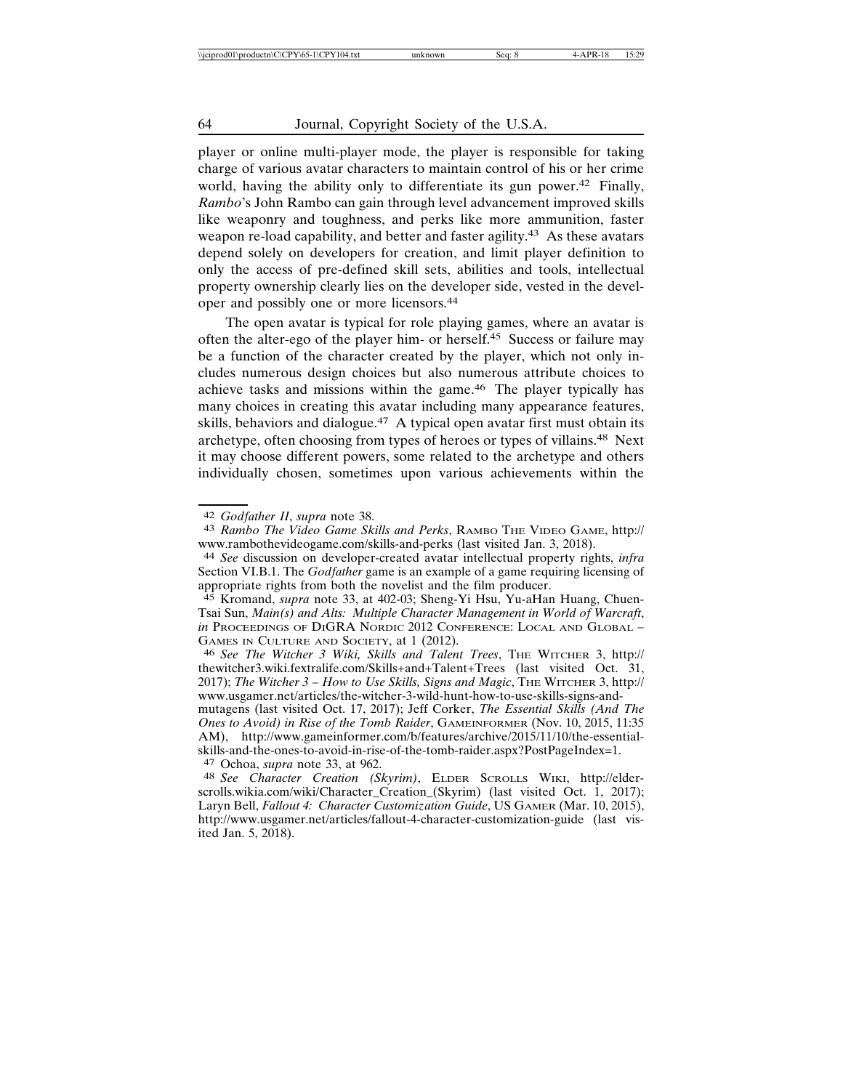player or online multi-player mode, the player is responsible for taking charge of various avatar characters to maintain control of his or her crime world, having the ability only to differentiate its gun power.<sup>42</sup> Finally, *Rambo*'s John Rambo can gain through level advancement improved skills like weaponry and toughness, and perks like more ammunition, faster weapon re-load capability, and better and faster agility.43 As these avatars depend solely on developers for creation, and limit player definition to only the access of pre-defined skill sets, abilities and tools, intellectual property ownership clearly lies on the developer side, vested in the developer and possibly one or more licensors.44

The open avatar is typical for role playing games, where an avatar is often the alter-ego of the player him- or herself.45 Success or failure may be a function of the character created by the player, which not only includes numerous design choices but also numerous attribute choices to achieve tasks and missions within the game.46 The player typically has many choices in creating this avatar including many appearance features, skills, behaviors and dialogue.<sup>47</sup> A typical open avatar first must obtain its archetype, often choosing from types of heroes or types of villains.48 Next it may choose different powers, some related to the archetype and others individually chosen, sometimes upon various achievements within the

47 Ochoa, *supra* note 33, at 962.

<sup>42</sup> *Godfather II*, *supra* note 38.

<sup>43</sup> *Rambo The Video Game Skills and Perks*, RAMBO THE VIDEO GAME, http:// www.rambothevideogame.com/skills-and-perks (last visited Jan. 3, 2018).

<sup>44</sup> *See* discussion on developer-created avatar intellectual property rights, *infra* Section VI.B.1. The *Godfather* game is an example of a game requiring licensing of appropriate rights from both the novelist and the film producer.

<sup>45</sup> Kromand, *supra* note 33, at 402-03; Sheng-Yi Hsu, Yu-aHan Huang, Chuen-Tsai Sun, *Main(s) and Alts: Multiple Character Management in World of Warcraft*, *in* PROCEEDINGS OF DIGRA NORDIC 2012 CONFERENCE: LOCAL AND GLOBAL – GAMES IN CULTURE AND SOCIETY, at 1 (2012).

<sup>46</sup> *See The Witcher 3 Wiki, Skills and Talent Trees*, THE WITCHER 3, http:// thewitcher3.wiki.fextralife.com/Skills+and+Talent+Trees (last visited Oct. 31, 2017); *The Witcher 3 – How to Use Skills, Signs and Magic*, THE WITCHER 3, http:// www.usgamer.net/articles/the-witcher-3-wild-hunt-how-to-use-skills-signs-and-

mutagens (last visited Oct. 17, 2017); Jeff Corker, *The Essential Skills (And The Ones to Avoid) in Rise of the Tomb Raider*, GAMEINFORMER (Nov. 10, 2015, 11:35 AM), http://www.gameinformer.com/b/features/archive/2015/11/10/the-essentialskills-and-the-ones-to-avoid-in-rise-of-the-tomb-raider.aspx?PostPageIndex=1.

<sup>48</sup> *See Character Creation (Skyrim)*, ELDER SCROLLS WIKI, http://elderscrolls.wikia.com/wiki/Character Creation (Skyrim) (last visited Oct. 1, 2017); Laryn Bell, *Fallout 4: Character Customization Guide*, US GAMER (Mar. 10, 2015), http://www.usgamer.net/articles/fallout-4-character-customization-guide (last visited Jan. 5, 2018).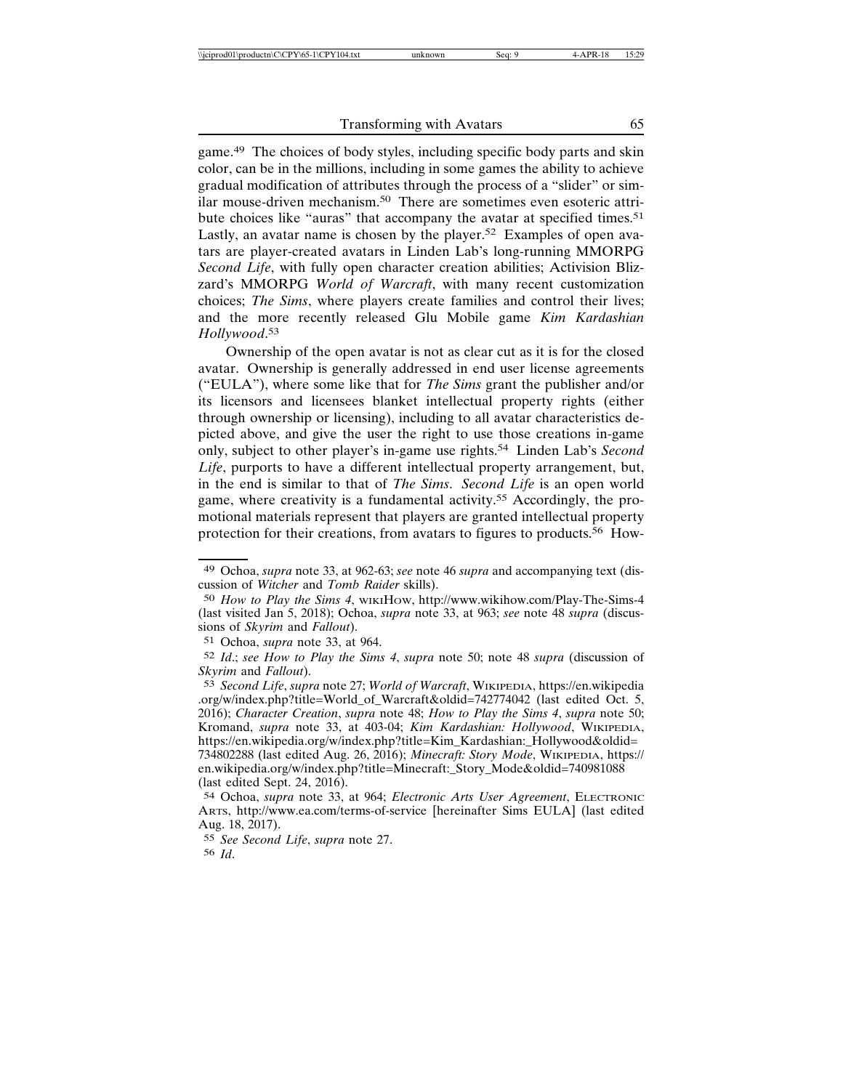game.49 The choices of body styles, including specific body parts and skin color, can be in the millions, including in some games the ability to achieve gradual modification of attributes through the process of a "slider" or similar mouse-driven mechanism.50 There are sometimes even esoteric attribute choices like "auras" that accompany the avatar at specified times.<sup>51</sup> Lastly, an avatar name is chosen by the player.<sup>52</sup> Examples of open avatars are player-created avatars in Linden Lab's long-running MMORPG *Second Life*, with fully open character creation abilities; Activision Blizzard's MMORPG *World of Warcraft*, with many recent customization choices; *The Sims*, where players create families and control their lives; and the more recently released Glu Mobile game *Kim Kardashian Hollywood*. 53

Ownership of the open avatar is not as clear cut as it is for the closed avatar. Ownership is generally addressed in end user license agreements ("EULA"), where some like that for *The Sims* grant the publisher and/or its licensors and licensees blanket intellectual property rights (either through ownership or licensing), including to all avatar characteristics depicted above, and give the user the right to use those creations in-game only, subject to other player's in-game use rights.54 Linden Lab's *Second Life*, purports to have a different intellectual property arrangement, but, in the end is similar to that of *The Sims*. *Second Life* is an open world game, where creativity is a fundamental activity.55 Accordingly, the promotional materials represent that players are granted intellectual property protection for their creations, from avatars to figures to products.56 How-

<sup>49</sup> Ochoa, *supra* note 33, at 962-63; *see* note 46 *supra* and accompanying text (discussion of *Witcher* and *Tomb Raider* skills).

<sup>50</sup> *How to Play the Sims 4*, WIKIHOW, http://www.wikihow.com/Play-The-Sims-4 (last visited Jan 5, 2018); Ochoa, *supra* note 33, at 963; *see* note 48 *supra* (discussions of *Skyrim* and *Fallout*).

<sup>51</sup> Ochoa, *supra* note 33, at 964.

<sup>52</sup> *Id*.; *see How to Play the Sims 4*, *supra* note 50; note 48 *supra* (discussion of *Skyrim* and *Fallout*).

<sup>53</sup> *Second Life*, *supra* note 27; *World of Warcraft*, WIKIPEDIA, https://en.wikipedia .org/w/index.php?title=World\_of\_Warcraft&oldid=742774042 (last edited Oct. 5, 2016); *Character Creation*, *supra* note 48; *How to Play the Sims 4*, *supra* note 50; Kromand, *supra* note 33, at 403-04; *Kim Kardashian: Hollywood*, WIKIPEDIA, https://en.wikipedia.org/w/index.php?title=Kim\_Kardashian:\_Hollywood&oldid= 734802288 (last edited Aug. 26, 2016); *Minecraft: Story Mode*, WIKIPEDIA, https:// en.wikipedia.org/w/index.php?title=Minecraft:\_Story\_Mode&oldid=740981088 (last edited Sept. 24, 2016).

<sup>54</sup> Ochoa, *supra* note 33, at 964; *Electronic Arts User Agreement*, ELECTRONIC ARTS, http://www.ea.com/terms-of-service [hereinafter Sims EULA] (last edited Aug. 18, 2017).

<sup>55</sup> *See Second Life*, *supra* note 27. 56 *Id*.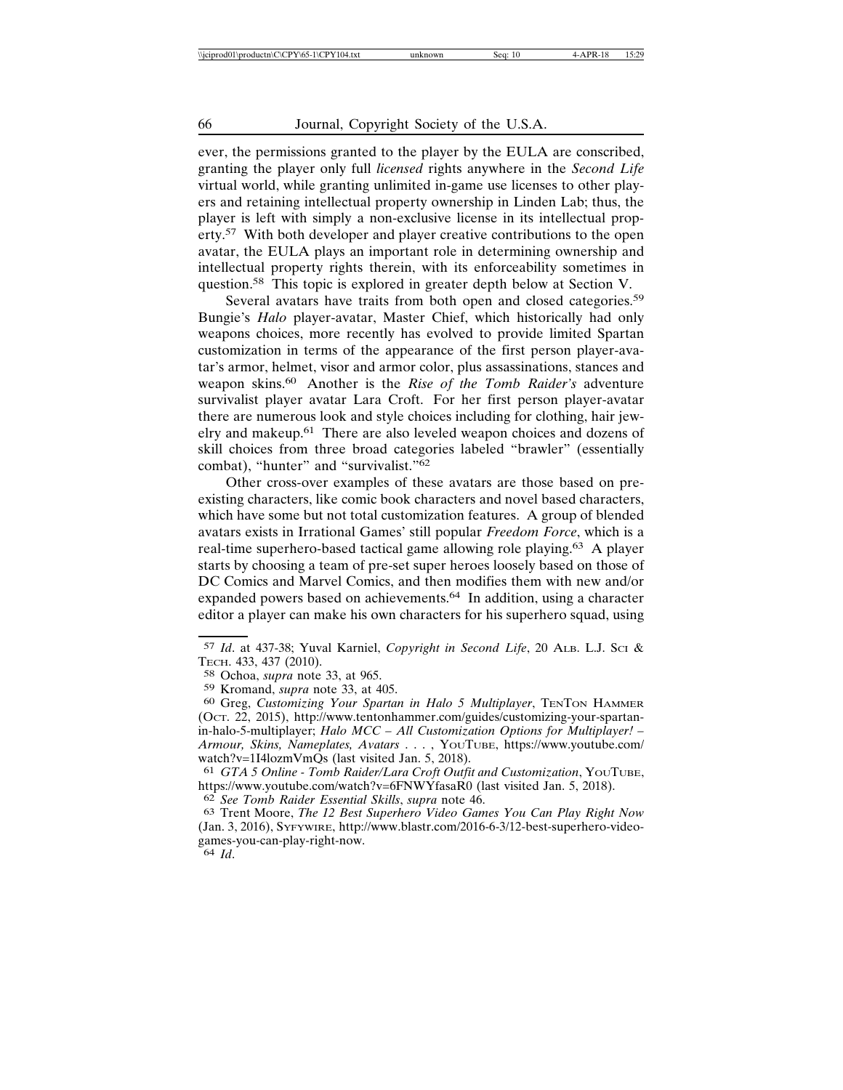ever, the permissions granted to the player by the EULA are conscribed, granting the player only full *licensed* rights anywhere in the *Second Life* virtual world, while granting unlimited in-game use licenses to other players and retaining intellectual property ownership in Linden Lab; thus, the player is left with simply a non-exclusive license in its intellectual property.<sup>57</sup> With both developer and player creative contributions to the open avatar, the EULA plays an important role in determining ownership and intellectual property rights therein, with its enforceability sometimes in question.58 This topic is explored in greater depth below at Section V.

Several avatars have traits from both open and closed categories.<sup>59</sup> Bungie's *Halo* player-avatar, Master Chief, which historically had only weapons choices, more recently has evolved to provide limited Spartan customization in terms of the appearance of the first person player-avatar's armor, helmet, visor and armor color, plus assassinations, stances and weapon skins.60 Another is the *Rise of the Tomb Raider's* adventure survivalist player avatar Lara Croft. For her first person player-avatar there are numerous look and style choices including for clothing, hair jewelry and makeup.61 There are also leveled weapon choices and dozens of skill choices from three broad categories labeled "brawler" (essentially combat), "hunter" and "survivalist."62

Other cross-over examples of these avatars are those based on preexisting characters, like comic book characters and novel based characters, which have some but not total customization features. A group of blended avatars exists in Irrational Games' still popular *Freedom Force*, which is a real-time superhero-based tactical game allowing role playing.63 A player starts by choosing a team of pre-set super heroes loosely based on those of DC Comics and Marvel Comics, and then modifies them with new and/or expanded powers based on achievements.64 In addition, using a character editor a player can make his own characters for his superhero squad, using

64 *Id*.

<sup>57</sup> *Id*. at 437-38; Yuval Karniel, *Copyright in Second Life*, 20 ALB. L.J. SCI & TECH. 433, 437 (2010).

<sup>58</sup> Ochoa, *supra* note 33, at 965.

<sup>59</sup> Kromand, *supra* note 33, at 405.

<sup>60</sup> Greg, *Customizing Your Spartan in Halo 5 Multiplayer*, TENTON HAMMER (OCT. 22, 2015), http://www.tentonhammer.com/guides/customizing-your-spartanin-halo-5-multiplayer; *Halo MCC – All Customization Options for Multiplayer! – Armour, Skins, Nameplates, Avatars* . . . , YOUTUBE, https://www.youtube.com/ watch?v=1I4lozmVmQs (last visited Jan. 5, 2018).

<sup>61</sup> *GTA 5 Online - Tomb Raider/Lara Croft Outfit and Customization*, YOUTUBE, https://www.youtube.com/watch?v=6FNWYfasaR0 (last visited Jan. 5, 2018).

<sup>62</sup> *See Tomb Raider Essential Skills*, *supra* note 46.

<sup>63</sup> Trent Moore, *The 12 Best Superhero Video Games You Can Play Right Now* (Jan. 3, 2016), SYFYWIRE, http://www.blastr.com/2016-6-3/12-best-superhero-videogames-you-can-play-right-now.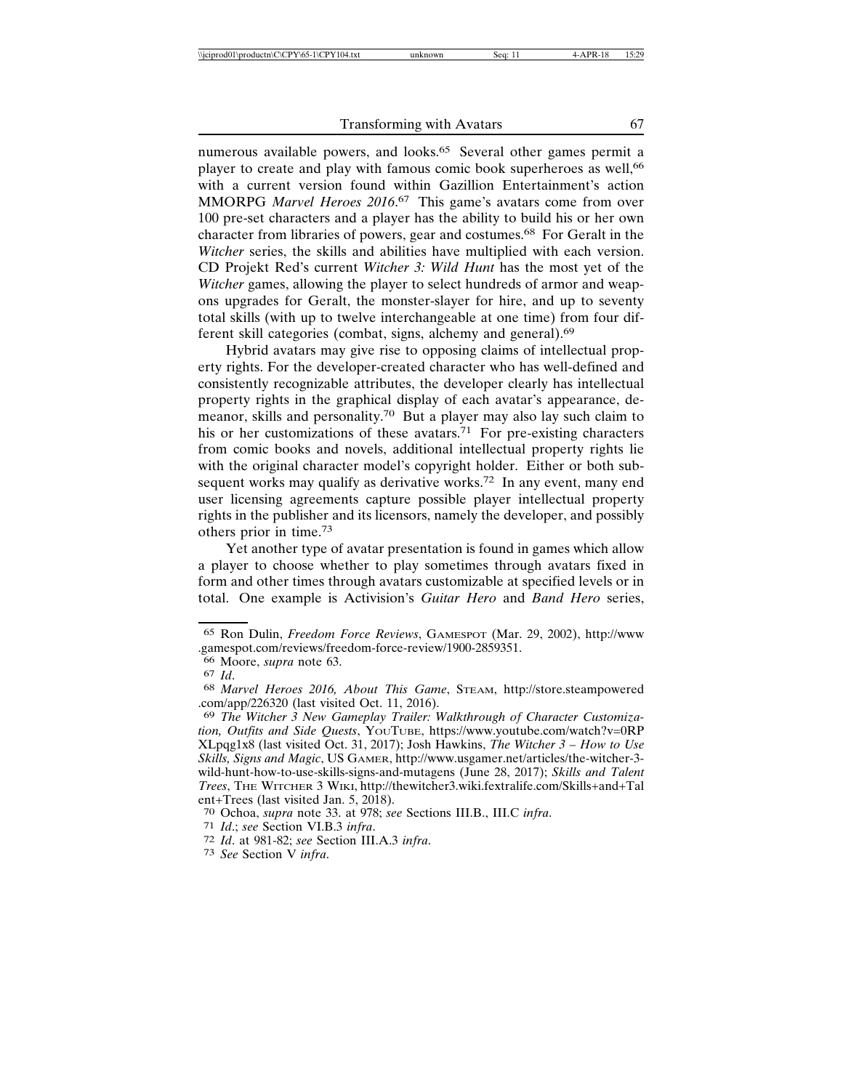numerous available powers, and looks.<sup>65</sup> Several other games permit a player to create and play with famous comic book superheroes as well,<sup>66</sup> with a current version found within Gazillion Entertainment's action MMORPG *Marvel Heroes 2016*. 67 This game's avatars come from over 100 pre-set characters and a player has the ability to build his or her own character from libraries of powers, gear and costumes.68 For Geralt in the *Witcher* series, the skills and abilities have multiplied with each version. CD Projekt Red's current *Witcher 3: Wild Hunt* has the most yet of the *Witcher* games, allowing the player to select hundreds of armor and weapons upgrades for Geralt, the monster-slayer for hire, and up to seventy total skills (with up to twelve interchangeable at one time) from four different skill categories (combat, signs, alchemy and general).69

Hybrid avatars may give rise to opposing claims of intellectual property rights. For the developer-created character who has well-defined and consistently recognizable attributes, the developer clearly has intellectual property rights in the graphical display of each avatar's appearance, demeanor, skills and personality.70 But a player may also lay such claim to his or her customizations of these avatars.<sup>71</sup> For pre-existing characters from comic books and novels, additional intellectual property rights lie with the original character model's copyright holder. Either or both subsequent works may qualify as derivative works.72 In any event, many end user licensing agreements capture possible player intellectual property rights in the publisher and its licensors, namely the developer, and possibly others prior in time.73

Yet another type of avatar presentation is found in games which allow a player to choose whether to play sometimes through avatars fixed in form and other times through avatars customizable at specified levels or in total. One example is Activision's *Guitar Hero* and *Band Hero* series,

<sup>65</sup> Ron Dulin, *Freedom Force Reviews*, GAMESPOT (Mar. 29, 2002), http://www .gamespot.com/reviews/freedom-force-review/1900-2859351.

<sup>66</sup> Moore, *supra* note 63.

<sup>67</sup> *Id*. <sup>68</sup> *Marvel Heroes 2016, About This Game*, STEAM, http://store.steampowered .com/app/226320 (last visited Oct. 11, 2016).

<sup>69</sup> *The Witcher 3 New Gameplay Trailer: Walkthrough of Character Customization, Outfits and Side Quests*, YOUTUBE, https://www.youtube.com/watch?v=0RP XLpqg1x8 (last visited Oct. 31, 2017); Josh Hawkins, *The Witcher 3 – How to Use Skills, Signs and Magic*, US GAMER, http://www.usgamer.net/articles/the-witcher-3 wild-hunt-how-to-use-skills-signs-and-mutagens (June 28, 2017); *Skills and Talent Trees*, THE WITCHER 3 WIKI, http://thewitcher3.wiki.fextralife.com/Skills+and+Tal ent+Trees (last visited Jan. 5, 2018).

<sup>&</sup>lt;sup>70</sup> Ochoa, *supra* note 33. at 978; *see* Sections III.B., III.C *infra*.<br><sup>71</sup> *Id.*; *see* Section VI.B.3 *infra*.<br><sup>72</sup> *Id.* at 981-82; *see* Section III.A.3 *infra*.<br><sup>73</sup> *See* Section V *infra*.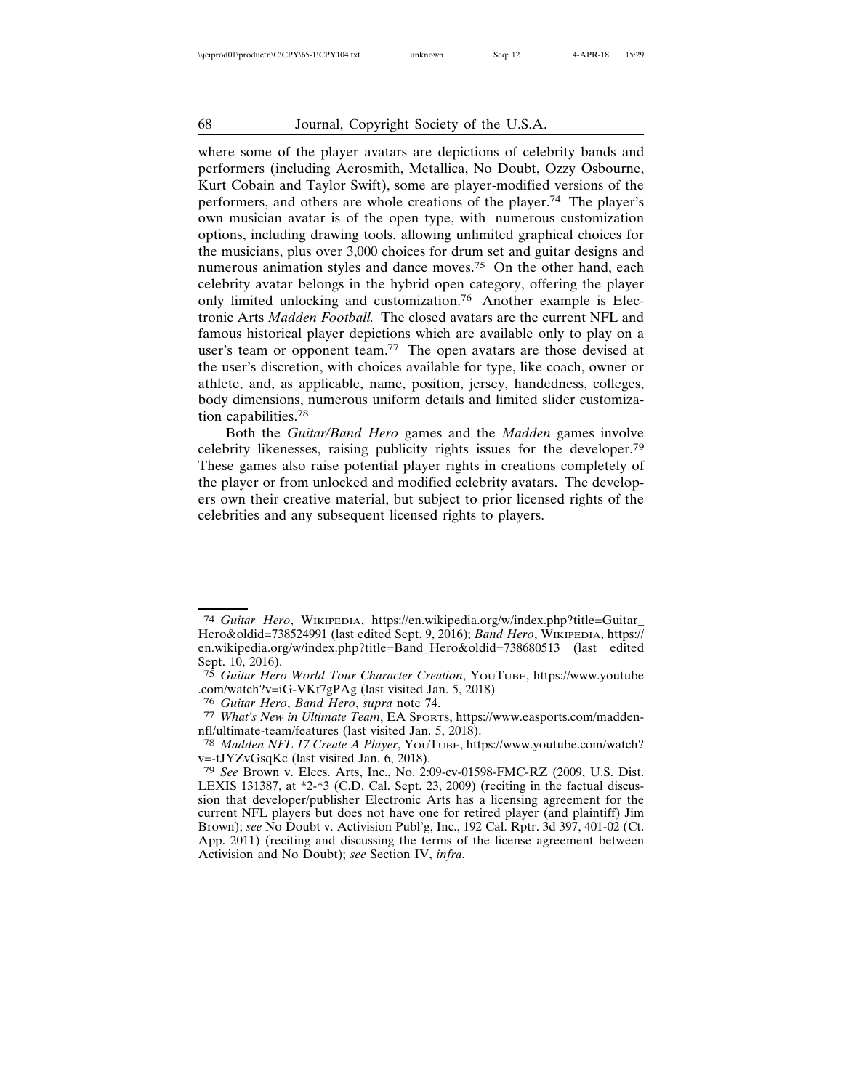where some of the player avatars are depictions of celebrity bands and performers (including Aerosmith, Metallica, No Doubt, Ozzy Osbourne, Kurt Cobain and Taylor Swift), some are player-modified versions of the performers, and others are whole creations of the player.74 The player's own musician avatar is of the open type, with numerous customization options, including drawing tools, allowing unlimited graphical choices for the musicians, plus over 3,000 choices for drum set and guitar designs and numerous animation styles and dance moves.<sup>75</sup> On the other hand, each celebrity avatar belongs in the hybrid open category, offering the player only limited unlocking and customization.<sup>76</sup> Another example is Electronic Arts *Madden Football.* The closed avatars are the current NFL and famous historical player depictions which are available only to play on a user's team or opponent team.<sup>77</sup> The open avatars are those devised at the user's discretion, with choices available for type, like coach, owner or athlete, and, as applicable, name, position, jersey, handedness, colleges, body dimensions, numerous uniform details and limited slider customization capabilities.78

Both the *Guitar/Band Hero* games and the *Madden* games involve celebrity likenesses, raising publicity rights issues for the developer.79 These games also raise potential player rights in creations completely of the player or from unlocked and modified celebrity avatars. The developers own their creative material, but subject to prior licensed rights of the celebrities and any subsequent licensed rights to players.

<sup>74</sup> *Guitar Hero*, WIKIPEDIA, https://en.wikipedia.org/w/index.php?title=Guitar\_ Hero&oldid=738524991 (last edited Sept. 9, 2016); *Band Hero*, WIKIPEDIA, https:// en.wikipedia.org/w/index.php?title=Band\_Hero&oldid=738680513 (last edited Sept. 10, 2016).

<sup>75</sup> *Guitar Hero World Tour Character Creation*, YOUTUBE, https://www.youtube .com/watch?v=iG-VKt7gPAg (last visited Jan. 5, 2018)

<sup>76</sup> *Guitar Hero*, *Band Hero*, *supra* note 74.

<sup>77</sup> *What's New in Ultimate Team*, EA SPORTS, https://www.easports.com/maddennfl/ultimate-team/features (last visited Jan. 5, 2018).

<sup>78</sup> *Madden NFL 17 Create A Player*, YOUTUBE, https://www.youtube.com/watch? v=-tJYZvGsqKc (last visited Jan. 6, 2018).

<sup>79</sup> *See* Brown v. Elecs. Arts, Inc., No. 2:09-cv-01598-FMC-RZ (2009, U.S. Dist. LEXIS 131387, at \*2-\*3 (C.D. Cal. Sept. 23, 2009) (reciting in the factual discussion that developer/publisher Electronic Arts has a licensing agreement for the current NFL players but does not have one for retired player (and plaintiff) Jim Brown); *see* No Doubt v. Activision Publ'g, Inc., 192 Cal. Rptr. 3d 397, 401-02 (Ct. App. 2011) (reciting and discussing the terms of the license agreement between Activision and No Doubt); *see* Section IV, *infra*.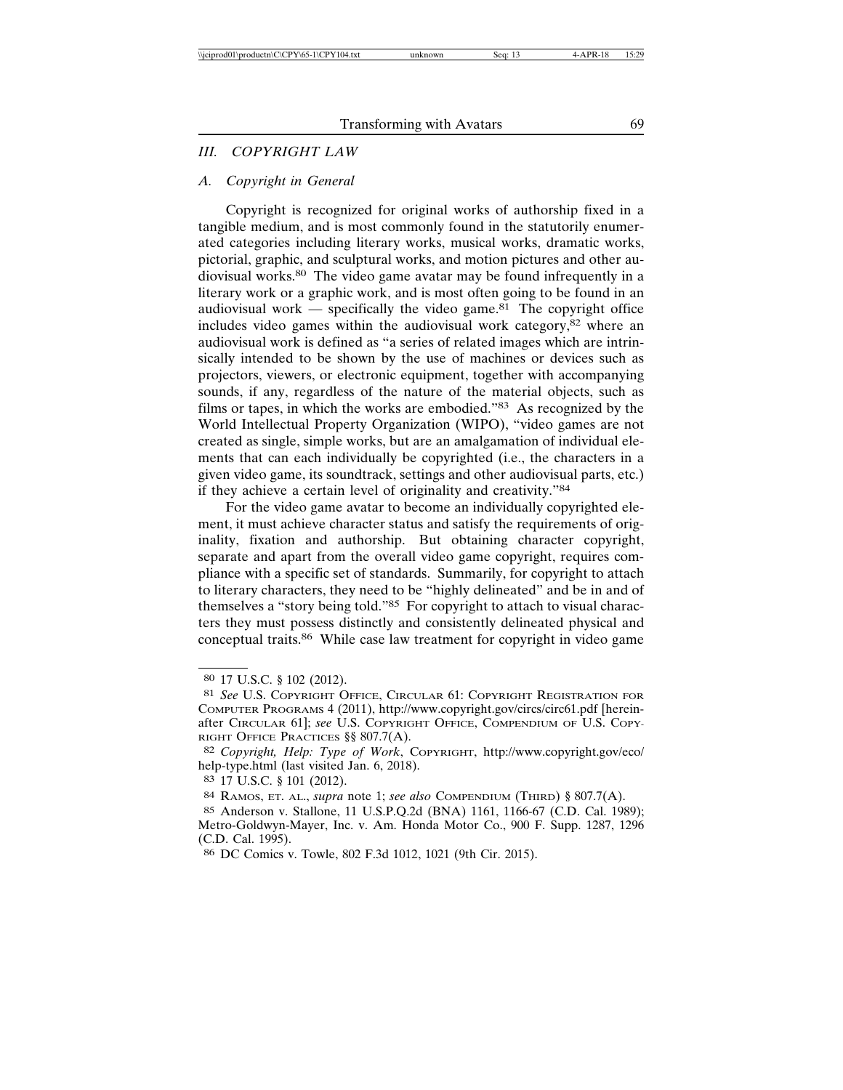## *III. COPYRIGHT LAW*

# *A. Copyright in General*

Copyright is recognized for original works of authorship fixed in a tangible medium, and is most commonly found in the statutorily enumerated categories including literary works, musical works, dramatic works, pictorial, graphic, and sculptural works, and motion pictures and other audiovisual works.80 The video game avatar may be found infrequently in a literary work or a graphic work, and is most often going to be found in an audiovisual work — specifically the video game.<sup>81</sup> The copyright office includes video games within the audiovisual work category,82 where an audiovisual work is defined as "a series of related images which are intrinsically intended to be shown by the use of machines or devices such as projectors, viewers, or electronic equipment, together with accompanying sounds, if any, regardless of the nature of the material objects, such as films or tapes, in which the works are embodied."83 As recognized by the World Intellectual Property Organization (WIPO), "video games are not created as single, simple works, but are an amalgamation of individual elements that can each individually be copyrighted (i.e., the characters in a given video game, its soundtrack, settings and other audiovisual parts, etc.) if they achieve a certain level of originality and creativity."84

For the video game avatar to become an individually copyrighted element, it must achieve character status and satisfy the requirements of originality, fixation and authorship. But obtaining character copyright, separate and apart from the overall video game copyright, requires compliance with a specific set of standards. Summarily, for copyright to attach to literary characters, they need to be "highly delineated" and be in and of themselves a "story being told."85 For copyright to attach to visual characters they must possess distinctly and consistently delineated physical and conceptual traits.86 While case law treatment for copyright in video game

<sup>80</sup> 17 U.S.C. § 102 (2012).

<sup>81</sup> *See* U.S. COPYRIGHT OFFICE, CIRCULAR 61: COPYRIGHT REGISTRATION FOR COMPUTER PROGRAMS 4 (2011), http://www.copyright.gov/circs/circ61.pdf [hereinafter CIRCULAR 61]; *see* U.S. COPYRIGHT OFFICE, COMPENDIUM OF U.S. COPY-RIGHT OFFICE PRACTICES §§ 807.7(A).

<sup>82</sup> *Copyright, Help: Type of Work*, COPYRIGHT, http://www.copyright.gov/eco/ help-type.html (last visited Jan. 6, 2018).

<sup>83</sup> 17 U.S.C. § 101 (2012).

<sup>84</sup> RAMOS, ET. AL., *supra* note 1; *see also* COMPENDIUM (THIRD) § 807.7(A).

<sup>85</sup> Anderson v. Stallone, 11 U.S.P.Q.2d (BNA) 1161, 1166-67 (C.D. Cal. 1989);

Metro-Goldwyn-Mayer, Inc. v. Am. Honda Motor Co., 900 F. Supp. 1287, 1296 (C.D. Cal. 1995).

<sup>86</sup> DC Comics v. Towle, 802 F.3d 1012, 1021 (9th Cir. 2015).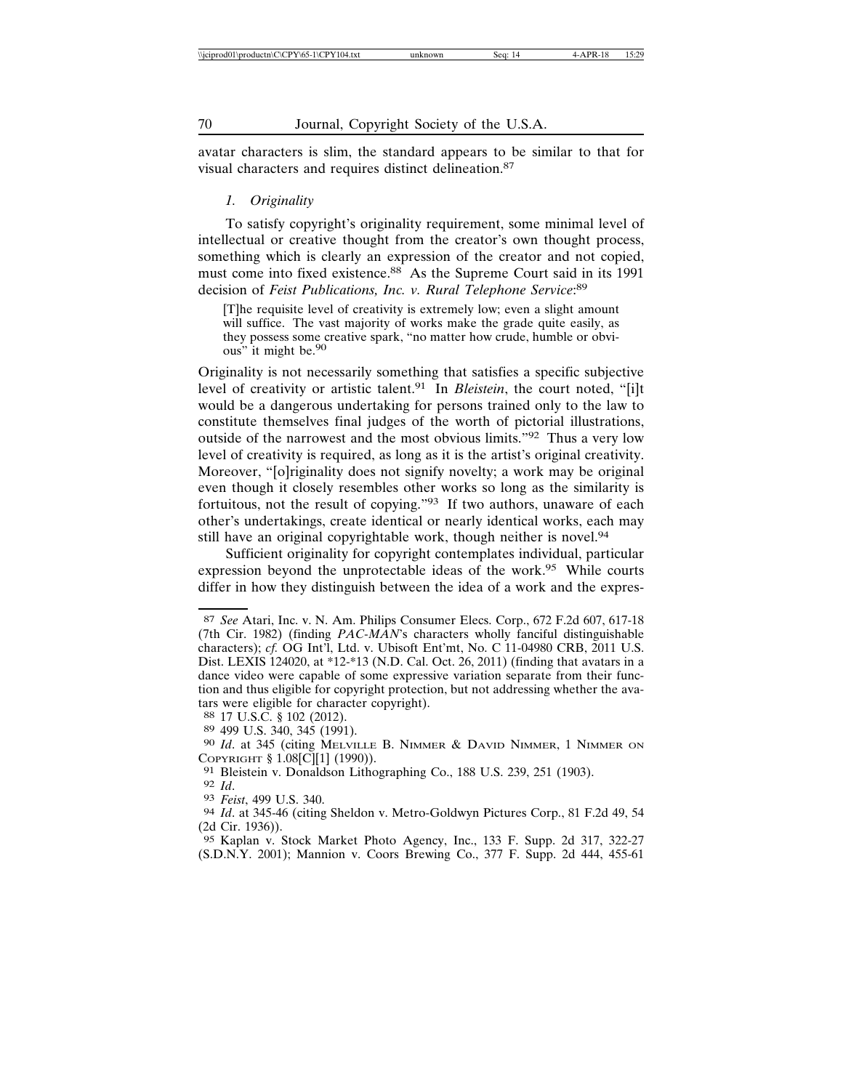avatar characters is slim, the standard appears to be similar to that for visual characters and requires distinct delineation.87

### *1. Originality*

To satisfy copyright's originality requirement, some minimal level of intellectual or creative thought from the creator's own thought process, something which is clearly an expression of the creator and not copied, must come into fixed existence.88 As the Supreme Court said in its 1991 decision of *Feist Publications, Inc. v. Rural Telephone Service*: 89

[T]he requisite level of creativity is extremely low; even a slight amount will suffice. The vast majority of works make the grade quite easily, as they possess some creative spark, "no matter how crude, humble or obvious" it might be.90

Originality is not necessarily something that satisfies a specific subjective level of creativity or artistic talent.91 In *Bleistein*, the court noted, "[i]t would be a dangerous undertaking for persons trained only to the law to constitute themselves final judges of the worth of pictorial illustrations, outside of the narrowest and the most obvious limits."92 Thus a very low level of creativity is required, as long as it is the artist's original creativity. Moreover, "[o]riginality does not signify novelty; a work may be original even though it closely resembles other works so long as the similarity is fortuitous, not the result of copying."93 If two authors, unaware of each other's undertakings, create identical or nearly identical works, each may still have an original copyrightable work, though neither is novel.<sup>94</sup>

Sufficient originality for copyright contemplates individual, particular expression beyond the unprotectable ideas of the work.<sup>95</sup> While courts differ in how they distinguish between the idea of a work and the expres-

<sup>87</sup> *See* Atari, Inc. v. N. Am. Philips Consumer Elecs. Corp., 672 F.2d 607, 617-18 (7th Cir. 1982) (finding *PAC*-*MAN*'s characters wholly fanciful distinguishable characters); *cf.* OG Int'l, Ltd. v. Ubisoft Ent'mt, No. C 11-04980 CRB, 2011 U.S. Dist. LEXIS 124020, at \*12-\*13 (N.D. Cal. Oct. 26, 2011) (finding that avatars in a dance video were capable of some expressive variation separate from their function and thus eligible for copyright protection, but not addressing whether the avatars were eligible for character copyright).

<sup>88</sup> 17 U.S.C. § 102 (2012).

<sup>89</sup> 499 U.S. 340, 345 (1991).

<sup>90</sup> *Id*. at 345 (citing MELVILLE B. NIMMER & DAVID NIMMER, 1 NIMMER ON COPYRIGHT § 1.08[C][1] (1990)).

<sup>91</sup> Bleistein v. Donaldson Lithographing Co., 188 U.S. 239, 251 (1903).<br>92 Id.

<sup>92</sup> *Id*. <sup>93</sup> *Feist*, 499 U.S. 340.

<sup>94</sup> *Id*. at 345-46 (citing Sheldon v. Metro-Goldwyn Pictures Corp., 81 F.2d 49, 54 (2d Cir. 1936)).

<sup>95</sup> Kaplan v. Stock Market Photo Agency, Inc., 133 F. Supp. 2d 317, 322-27 (S.D.N.Y. 2001); Mannion v. Coors Brewing Co., 377 F. Supp. 2d 444, 455-61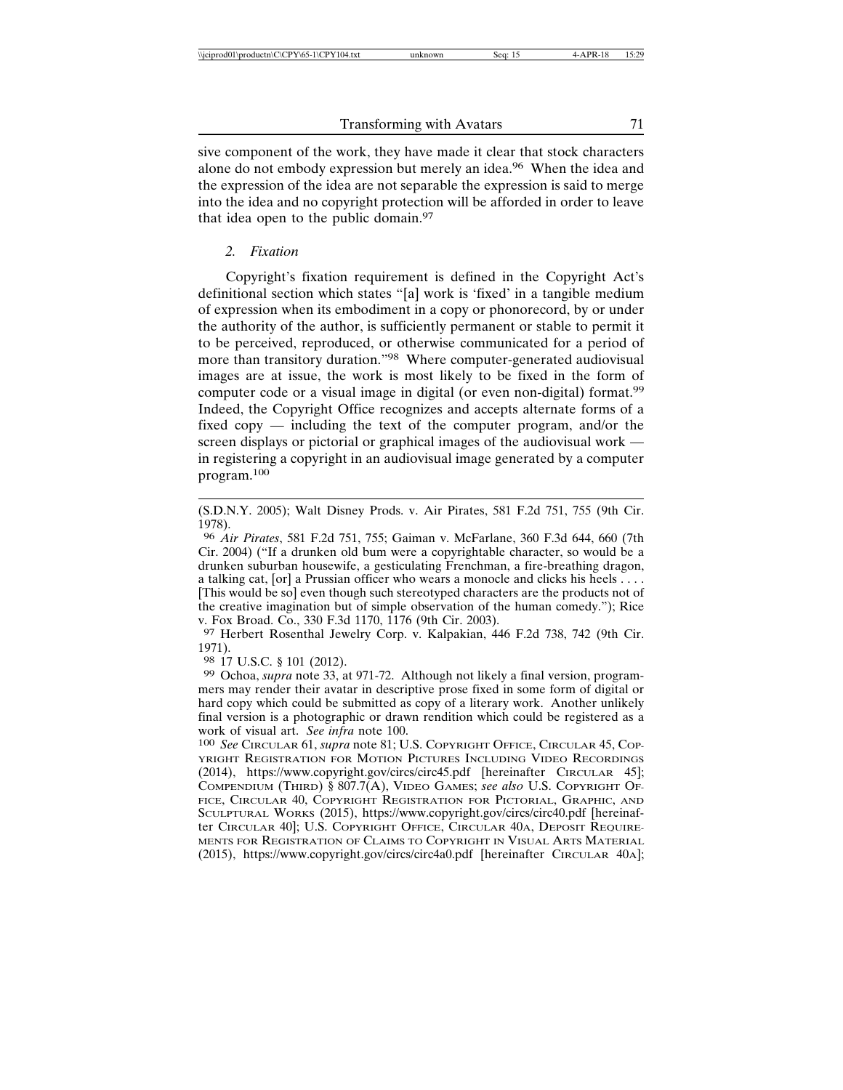sive component of the work, they have made it clear that stock characters alone do not embody expression but merely an idea.96 When the idea and the expression of the idea are not separable the expression is said to merge into the idea and no copyright protection will be afforded in order to leave that idea open to the public domain.97

*2. Fixation*

Copyright's fixation requirement is defined in the Copyright Act's definitional section which states "[a] work is 'fixed' in a tangible medium of expression when its embodiment in a copy or phonorecord, by or under the authority of the author, is sufficiently permanent or stable to permit it to be perceived, reproduced, or otherwise communicated for a period of more than transitory duration."98 Where computer-generated audiovisual images are at issue, the work is most likely to be fixed in the form of computer code or a visual image in digital (or even non-digital) format.<sup>99</sup> Indeed, the Copyright Office recognizes and accepts alternate forms of a fixed copy — including the text of the computer program, and/or the screen displays or pictorial or graphical images of the audiovisual work in registering a copyright in an audiovisual image generated by a computer program.<sup>100</sup>

97 Herbert Rosenthal Jewelry Corp. v. Kalpakian, 446 F.2d 738, 742 (9th Cir. 1971).

98 17 U.S.C. § 101 (2012).

99 Ochoa, *supra* note 33, at 971-72. Although not likely a final version, programmers may render their avatar in descriptive prose fixed in some form of digital or hard copy which could be submitted as copy of a literary work. Another unlikely final version is a photographic or drawn rendition which could be registered as a work of visual art. *See infra* note 100.

100 *See* CIRCULAR 61, *supra* note 81; U.S. COPYRIGHT OFFICE, CIRCULAR 45, COP-YRIGHT REGISTRATION FOR MOTION PICTURES INCLUDING VIDEO RECORDINGS (2014), https://www.copyright.gov/circs/circ45.pdf [hereinafter CIRCULAR 45]; COMPENDIUM (THIRD) § 807.7(A), VIDEO GAMES; *see also* U.S. COPYRIGHT OF-FICE, CIRCULAR 40, COPYRIGHT REGISTRATION FOR PICTORIAL, GRAPHIC, AND SCULPTURAL WORKS (2015), https://www.copyright.gov/circs/circ40.pdf [hereinafter CIRCULAR 40]; U.S. COPYRIGHT OFFICE, CIRCULAR 40A, DEPOSIT REQUIRE-MENTS FOR REGISTRATION OF CLAIMS TO COPYRIGHT IN VISUAL ARTS MATERIAL (2015), https://www.copyright.gov/circs/circ4a0.pdf [hereinafter CIRCULAR 40A];

<sup>(</sup>S.D.N.Y. 2005); Walt Disney Prods. v. Air Pirates, 581 F.2d 751, 755 (9th Cir. 1978).

<sup>96</sup> *Air Pirates*, 581 F.2d 751, 755; Gaiman v. McFarlane, 360 F.3d 644, 660 (7th Cir. 2004) ("If a drunken old bum were a copyrightable character, so would be a drunken suburban housewife, a gesticulating Frenchman, a fire-breathing dragon, a talking cat, [or] a Prussian officer who wears a monocle and clicks his heels . . . . [This would be so] even though such stereotyped characters are the products not of the creative imagination but of simple observation of the human comedy."); Rice v. Fox Broad. Co., 330 F.3d 1170, 1176 (9th Cir. 2003).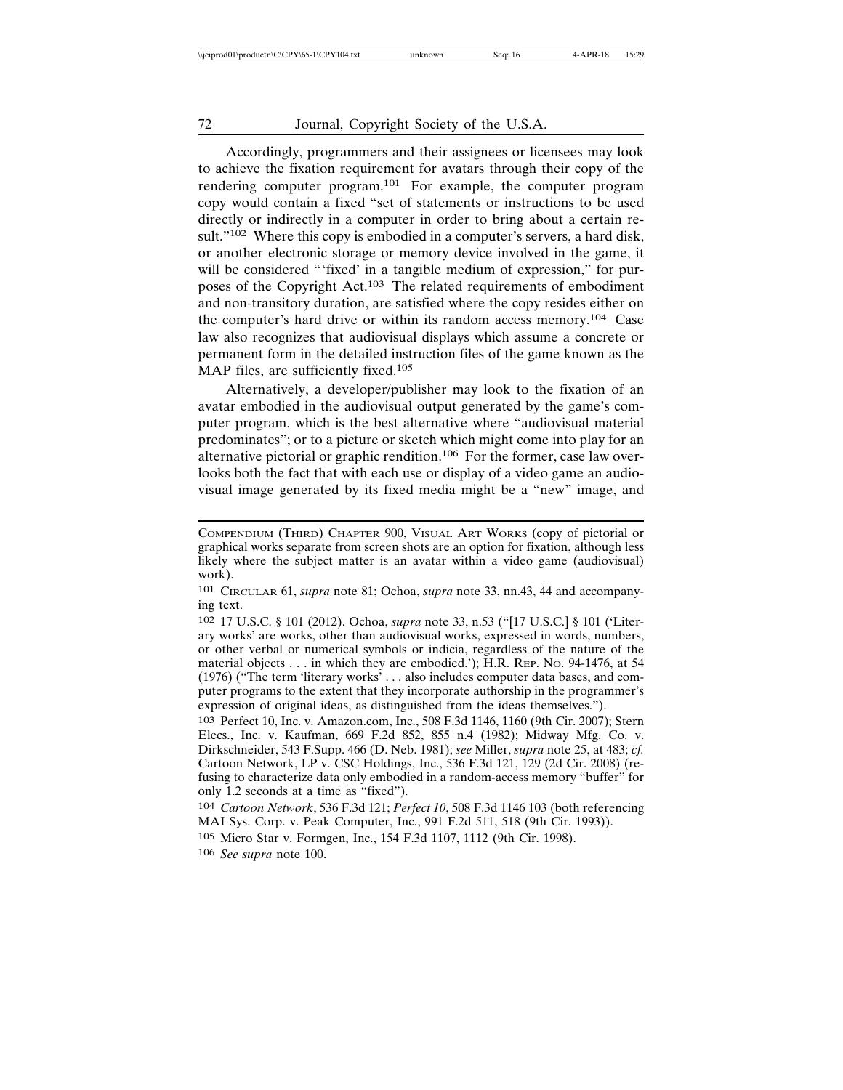Accordingly, programmers and their assignees or licensees may look to achieve the fixation requirement for avatars through their copy of the rendering computer program.101 For example, the computer program copy would contain a fixed "set of statements or instructions to be used directly or indirectly in a computer in order to bring about a certain result."<sup>102</sup> Where this copy is embodied in a computer's servers, a hard disk, or another electronic storage or memory device involved in the game, it will be considered "'fixed' in a tangible medium of expression," for purposes of the Copyright Act.103 The related requirements of embodiment and non-transitory duration, are satisfied where the copy resides either on the computer's hard drive or within its random access memory.104 Case law also recognizes that audiovisual displays which assume a concrete or permanent form in the detailed instruction files of the game known as the MAP files, are sufficiently fixed.<sup>105</sup>

Alternatively, a developer/publisher may look to the fixation of an avatar embodied in the audiovisual output generated by the game's computer program, which is the best alternative where "audiovisual material predominates"; or to a picture or sketch which might come into play for an alternative pictorial or graphic rendition.106 For the former, case law overlooks both the fact that with each use or display of a video game an audiovisual image generated by its fixed media might be a "new" image, and

103 Perfect 10, Inc. v. Amazon.com, Inc., 508 F.3d 1146, 1160 (9th Cir. 2007); Stern Elecs., Inc. v. Kaufman, 669 F.2d 852, 855 n.4 (1982); Midway Mfg. Co. v. Dirkschneider, 543 F.Supp. 466 (D. Neb. 1981); *see* Miller, *supra* note 25, at 483; *cf.* Cartoon Network, LP v. CSC Holdings, Inc., 536 F.3d 121, 129 (2d Cir. 2008) (refusing to characterize data only embodied in a random-access memory "buffer" for only 1.2 seconds at a time as "fixed").

104 *Cartoon Network*, 536 F.3d 121; *Perfect 10*, 508 F.3d 1146 103 (both referencing MAI Sys. Corp. v. Peak Computer, Inc., 991 F.2d 511, 518 (9th Cir. 1993)).

105 Micro Star v. Formgen, Inc., 154 F.3d 1107, 1112 (9th Cir. 1998). 106 *See supra* note 100.

COMPENDIUM (THIRD) CHAPTER 900, VISUAL ART WORKS (copy of pictorial or graphical works separate from screen shots are an option for fixation, although less likely where the subject matter is an avatar within a video game (audiovisual) work).

<sup>101</sup> CIRCULAR 61, *supra* note 81; Ochoa, *supra* note 33, nn.43, 44 and accompanying text.

<sup>102</sup> 17 U.S.C. § 101 (2012). Ochoa, *supra* note 33, n.53 ("[17 U.S.C.] § 101 ('Literary works' are works, other than audiovisual works, expressed in words, numbers, or other verbal or numerical symbols or indicia, regardless of the nature of the material objects . . . in which they are embodied.'); H.R. REP. NO. 94-1476, at 54 (1976) ("The term 'literary works' . . . also includes computer data bases, and computer programs to the extent that they incorporate authorship in the programmer's expression of original ideas, as distinguished from the ideas themselves.").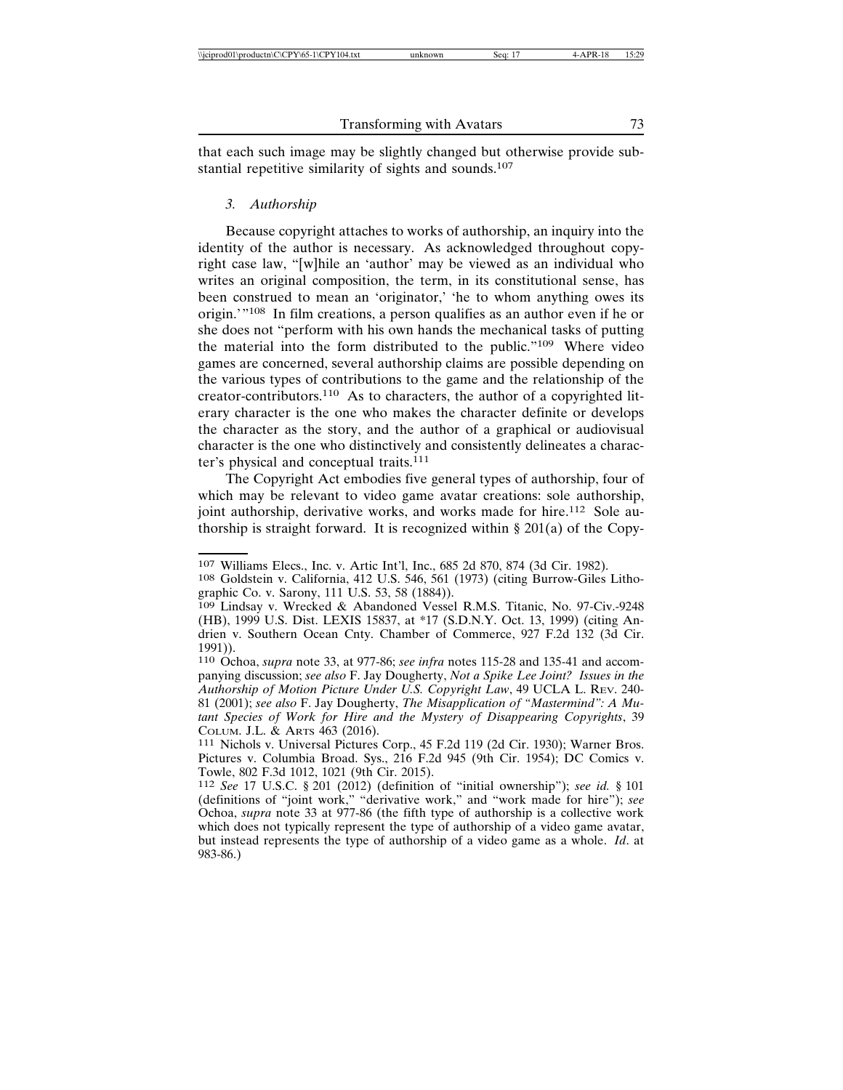that each such image may be slightly changed but otherwise provide substantial repetitive similarity of sights and sounds.<sup>107</sup>

### *3. Authorship*

Because copyright attaches to works of authorship, an inquiry into the identity of the author is necessary. As acknowledged throughout copyright case law, "[w]hile an 'author' may be viewed as an individual who writes an original composition, the term, in its constitutional sense, has been construed to mean an 'originator,' 'he to whom anything owes its origin.'"108 In film creations, a person qualifies as an author even if he or she does not "perform with his own hands the mechanical tasks of putting the material into the form distributed to the public."109 Where video games are concerned, several authorship claims are possible depending on the various types of contributions to the game and the relationship of the creator-contributors.110 As to characters, the author of a copyrighted literary character is the one who makes the character definite or develops the character as the story, and the author of a graphical or audiovisual character is the one who distinctively and consistently delineates a character's physical and conceptual traits.111

The Copyright Act embodies five general types of authorship, four of which may be relevant to video game avatar creations: sole authorship, joint authorship, derivative works, and works made for hire.112 Sole authorship is straight forward. It is recognized within  $\S 201(a)$  of the Copy-

<sup>107</sup> Williams Elecs., Inc. v. Artic Int'l, Inc., 685 2d 870, 874 (3d Cir. 1982).

<sup>108</sup> Goldstein v. California, 412 U.S. 546, 561 (1973) (citing Burrow-Giles Lithographic Co. v. Sarony, 111 U.S. 53, 58 (1884)).

<sup>109</sup> Lindsay v. Wrecked & Abandoned Vessel R.M.S. Titanic, No. 97-Civ.-9248 (HB), 1999 U.S. Dist. LEXIS 15837, at \*17 (S.D.N.Y. Oct. 13, 1999) (citing Andrien v. Southern Ocean Cnty. Chamber of Commerce, 927 F.2d 132 (3d Cir. 1991)).

<sup>110</sup> Ochoa, *supra* note 33, at 977-86; *see infra* notes 115-28 and 135-41 and accompanying discussion; *see also* F. Jay Dougherty, *Not a Spike Lee Joint? Issues in the Authorship of Motion Picture Under U.S. Copyright Law*, 49 UCLA L. REV. 240- 81 (2001); *see also* F. Jay Dougherty, *The Misapplication of "Mastermind": A Mutant Species of Work for Hire and the Mystery of Disappearing Copyrights*, 39 COLUM. J.L. & ARTS 463 (2016).

<sup>111</sup> Nichols v. Universal Pictures Corp., 45 F.2d 119 (2d Cir. 1930); Warner Bros. Pictures v. Columbia Broad. Sys., 216 F.2d 945 (9th Cir. 1954); DC Comics v. Towle, 802 F.3d 1012, 1021 (9th Cir. 2015).

<sup>112</sup> *See* 17 U.S.C. § 201 (2012) (definition of "initial ownership"); *see id.* § 101 (definitions of "joint work," "derivative work," and "work made for hire"); *see* Ochoa, *supra* note 33 at 977-86 (the fifth type of authorship is a collective work which does not typically represent the type of authorship of a video game avatar, but instead represents the type of authorship of a video game as a whole. *Id*. at 983-86.)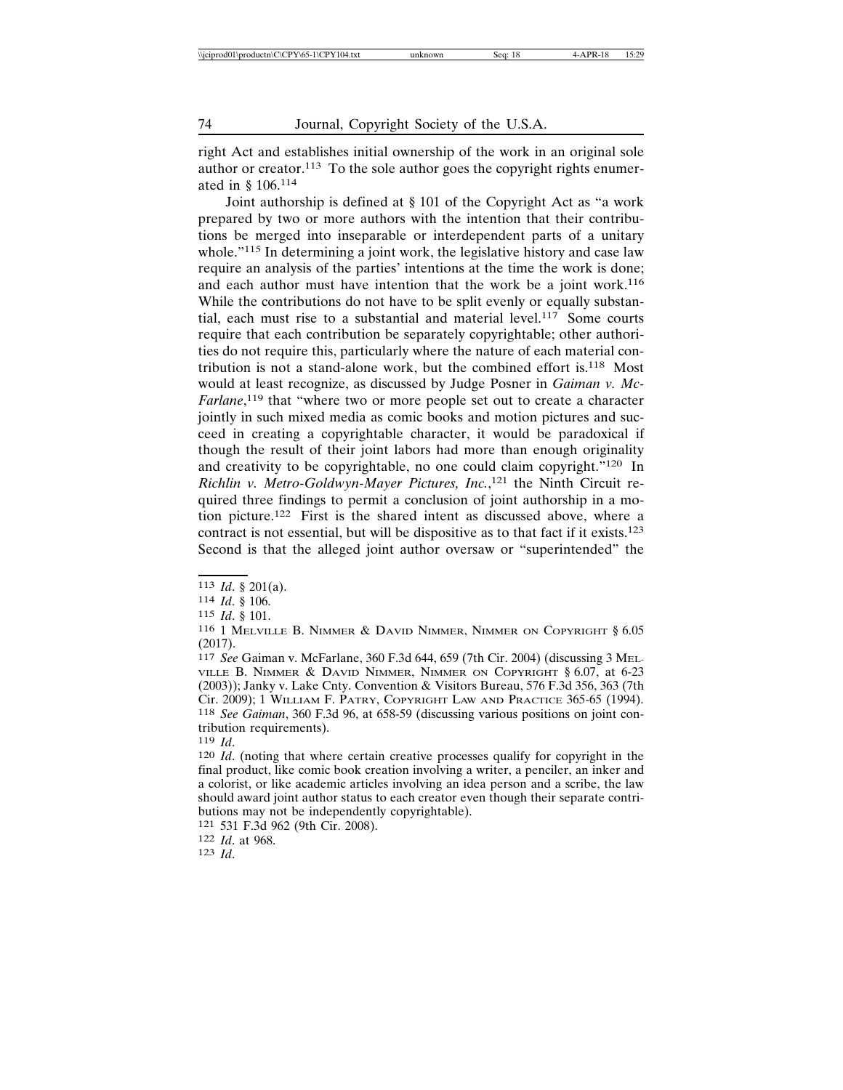right Act and establishes initial ownership of the work in an original sole author or creator.<sup>113</sup> To the sole author goes the copyright rights enumerated in § 106.<sup>114</sup>

Joint authorship is defined at § 101 of the Copyright Act as "a work prepared by two or more authors with the intention that their contributions be merged into inseparable or interdependent parts of a unitary whole."<sup>115</sup> In determining a joint work, the legislative history and case law require an analysis of the parties' intentions at the time the work is done; and each author must have intention that the work be a joint work.<sup>116</sup> While the contributions do not have to be split evenly or equally substantial, each must rise to a substantial and material level.117 Some courts require that each contribution be separately copyrightable; other authorities do not require this, particularly where the nature of each material contribution is not a stand-alone work, but the combined effort is.118 Most would at least recognize, as discussed by Judge Posner in *Gaiman v. Mc-*Farlane,<sup>119</sup> that "where two or more people set out to create a character jointly in such mixed media as comic books and motion pictures and succeed in creating a copyrightable character, it would be paradoxical if though the result of their joint labors had more than enough originality and creativity to be copyrightable, no one could claim copyright."120 In Richlin v. Metro-Goldwyn-Mayer Pictures, Inc.,<sup>121</sup> the Ninth Circuit required three findings to permit a conclusion of joint authorship in a motion picture.122 First is the shared intent as discussed above, where a contract is not essential, but will be dispositive as to that fact if it exists.123 Second is that the alleged joint author oversaw or "superintended" the

119 *Id*.

<sup>113</sup> *Id*. § 201(a).

<sup>114</sup> *Id*. § 106.

<sup>115</sup> *Id*. § 101.

<sup>116</sup> 1 MELVILLE B. NIMMER & DAVID NIMMER, NIMMER ON COPYRIGHT § 6.05 (2017).

<sup>117</sup> *See* Gaiman v. McFarlane, 360 F.3d 644, 659 (7th Cir. 2004) (discussing 3 MEL-VILLE B. NIMMER & DAVID NIMMER, NIMMER ON COPYRIGHT § 6.07, at 6-23 (2003)); Janky v. Lake Cnty. Convention & Visitors Bureau, 576 F.3d 356, 363 (7th Cir. 2009); 1 WILLIAM F. PATRY, COPYRIGHT LAW AND PRACTICE 365-65 (1994). 118 *See Gaiman*, 360 F.3d 96, at 658-59 (discussing various positions on joint contribution requirements).

<sup>120</sup> *Id*. (noting that where certain creative processes qualify for copyright in the final product, like comic book creation involving a writer, a penciler, an inker and a colorist, or like academic articles involving an idea person and a scribe, the law should award joint author status to each creator even though their separate contributions may not be independently copyrightable).

<sup>121</sup> 531 F.3d 962 (9th Cir. 2008).

<sup>122</sup> *Id*. at 968.

<sup>123</sup> *Id*.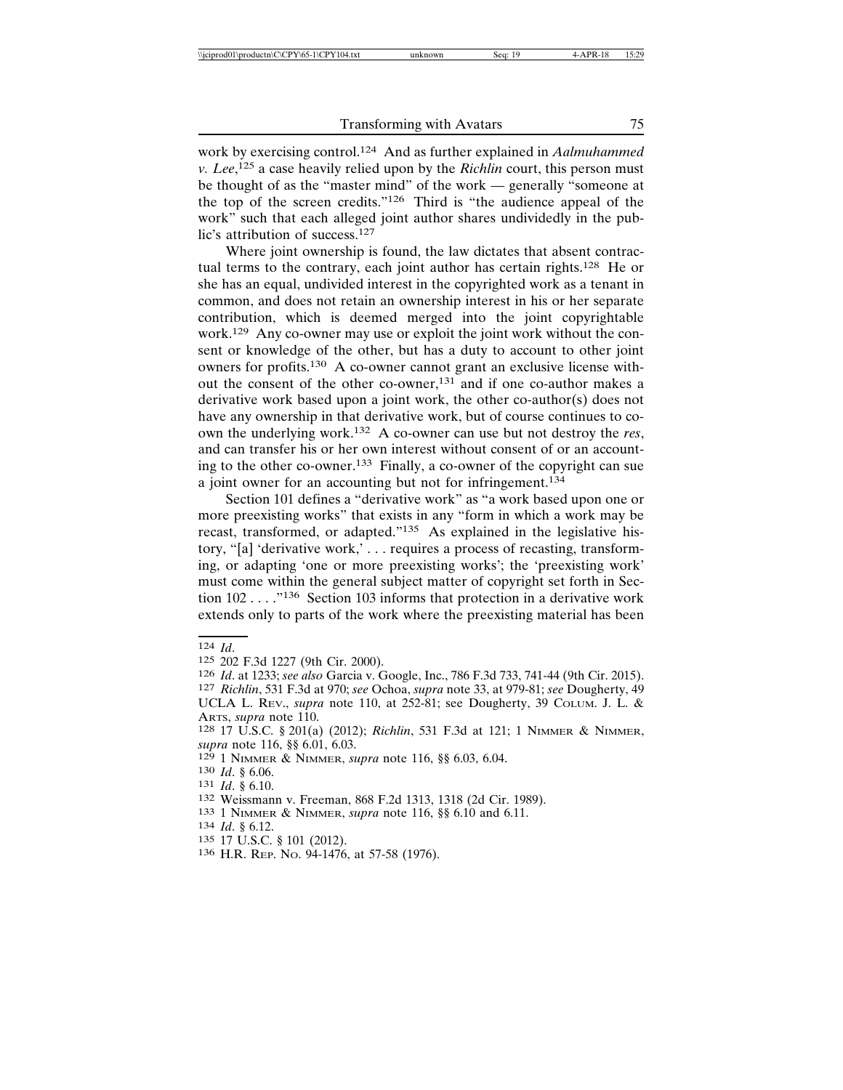work by exercising control.124 And as further explained in *Aalmuhammed v. Lee*, 125 a case heavily relied upon by the *Richlin* court, this person must be thought of as the "master mind" of the work — generally "someone at the top of the screen credits."126 Third is "the audience appeal of the work" such that each alleged joint author shares undividedly in the public's attribution of success.127

Where joint ownership is found, the law dictates that absent contractual terms to the contrary, each joint author has certain rights.128 He or she has an equal, undivided interest in the copyrighted work as a tenant in common, and does not retain an ownership interest in his or her separate contribution, which is deemed merged into the joint copyrightable work.129 Any co-owner may use or exploit the joint work without the consent or knowledge of the other, but has a duty to account to other joint owners for profits.130 A co-owner cannot grant an exclusive license without the consent of the other co-owner,<sup>131</sup> and if one co-author makes a derivative work based upon a joint work, the other co-author(s) does not have any ownership in that derivative work, but of course continues to coown the underlying work.132 A co-owner can use but not destroy the *res*, and can transfer his or her own interest without consent of or an accounting to the other co-owner.133 Finally, a co-owner of the copyright can sue a joint owner for an accounting but not for infringement.134

Section 101 defines a "derivative work" as "a work based upon one or more preexisting works" that exists in any "form in which a work may be recast, transformed, or adapted."135 As explained in the legislative history, "[a] 'derivative work,' . . . requires a process of recasting, transforming, or adapting 'one or more preexisting works'; the 'preexisting work' must come within the general subject matter of copyright set forth in Section  $102 \ldots$ ."<sup>136</sup> Section 103 informs that protection in a derivative work extends only to parts of the work where the preexisting material has been

130 *Id*. § 6.06.

131 *Id*. § 6.10.

132 Weissmann v. Freeman, 868 F.2d 1313, 1318 (2d Cir. 1989).

134 *Id*. § 6.12.

<sup>124</sup> *Id*. <sup>125</sup> 202 F.3d 1227 (9th Cir. 2000).

<sup>126</sup> *Id*. at 1233; *see also* Garcia v. Google, Inc., 786 F.3d 733, 741-44 (9th Cir. 2015). 127 *Richlin*, 531 F.3d at 970; *see* Ochoa, *supra* note 33, at 979-81; *see* Dougherty, 49 UCLA L. REV., *supra* note 110, at 252-81; see Dougherty, 39 COLUM. J. L. & ARTS, *supra* note 110.

<sup>128</sup> 17 U.S.C. § 201(a) (2012); *Richlin*, 531 F.3d at 121; 1 NIMMER & NIMMER, *supra* note 116, §§ 6.01, 6.03.

<sup>129</sup> 1 NIMMER & NIMMER, *supra* note 116, §§ 6.03, 6.04.

<sup>133</sup> 1 NIMMER & NIMMER, *supra* note 116, §§ 6.10 and 6.11.

<sup>135</sup> 17 U.S.C. § 101 (2012).

<sup>136</sup> H.R. REP. NO. 94-1476, at 57-58 (1976).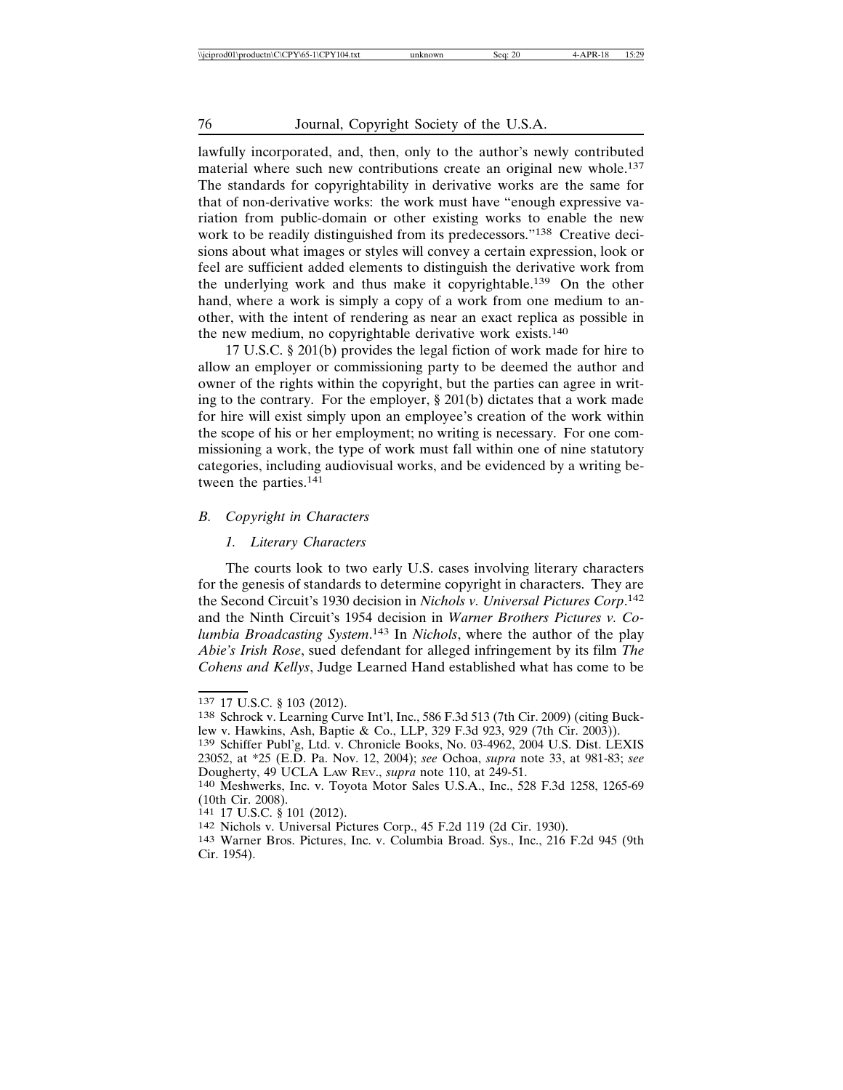lawfully incorporated, and, then, only to the author's newly contributed material where such new contributions create an original new whole.<sup>137</sup> The standards for copyrightability in derivative works are the same for that of non-derivative works: the work must have "enough expressive variation from public-domain or other existing works to enable the new work to be readily distinguished from its predecessors."<sup>138</sup> Creative decisions about what images or styles will convey a certain expression, look or feel are sufficient added elements to distinguish the derivative work from the underlying work and thus make it copyrightable.139 On the other hand, where a work is simply a copy of a work from one medium to another, with the intent of rendering as near an exact replica as possible in the new medium, no copyrightable derivative work exists.140

17 U.S.C. § 201(b) provides the legal fiction of work made for hire to allow an employer or commissioning party to be deemed the author and owner of the rights within the copyright, but the parties can agree in writing to the contrary. For the employer, § 201(b) dictates that a work made for hire will exist simply upon an employee's creation of the work within the scope of his or her employment; no writing is necessary. For one commissioning a work, the type of work must fall within one of nine statutory categories, including audiovisual works, and be evidenced by a writing between the parties.141

### *B. Copyright in Characters*

### *1. Literary Characters*

The courts look to two early U.S. cases involving literary characters for the genesis of standards to determine copyright in characters. They are the Second Circuit's 1930 decision in *Nichols v. Universal Pictures Corp*. 142 and the Ninth Circuit's 1954 decision in *Warner Brothers Pictures v. Columbia Broadcasting System*. 143 In *Nichols*, where the author of the play *Abie's Irish Rose*, sued defendant for alleged infringement by its film *The Cohens and Kellys*, Judge Learned Hand established what has come to be

<sup>137</sup> 17 U.S.C. § 103 (2012).

<sup>138</sup> Schrock v. Learning Curve Int'l, Inc., 586 F.3d 513 (7th Cir. 2009) (citing Bucklew v. Hawkins, Ash, Baptie & Co., LLP, 329 F.3d 923, 929 (7th Cir. 2003)).

<sup>139</sup> Schiffer Publ'g, Ltd. v. Chronicle Books, No. 03-4962, 2004 U.S. Dist. LEXIS 23052, at \*25 (E.D. Pa. Nov. 12, 2004); *see* Ochoa, *supra* note 33, at 981-83; *see* Dougherty, 49 UCLA LAW REV., *supra* note 110, at 249-51.

<sup>140</sup> Meshwerks, Inc. v. Toyota Motor Sales U.S.A., Inc., 528 F.3d 1258, 1265-69 (10th Cir. 2008).

<sup>141</sup> 17 U.S.C. § 101 (2012).

<sup>142</sup> Nichols v. Universal Pictures Corp., 45 F.2d 119 (2d Cir. 1930).

<sup>143</sup> Warner Bros. Pictures, Inc. v. Columbia Broad. Sys., Inc., 216 F.2d 945 (9th Cir. 1954).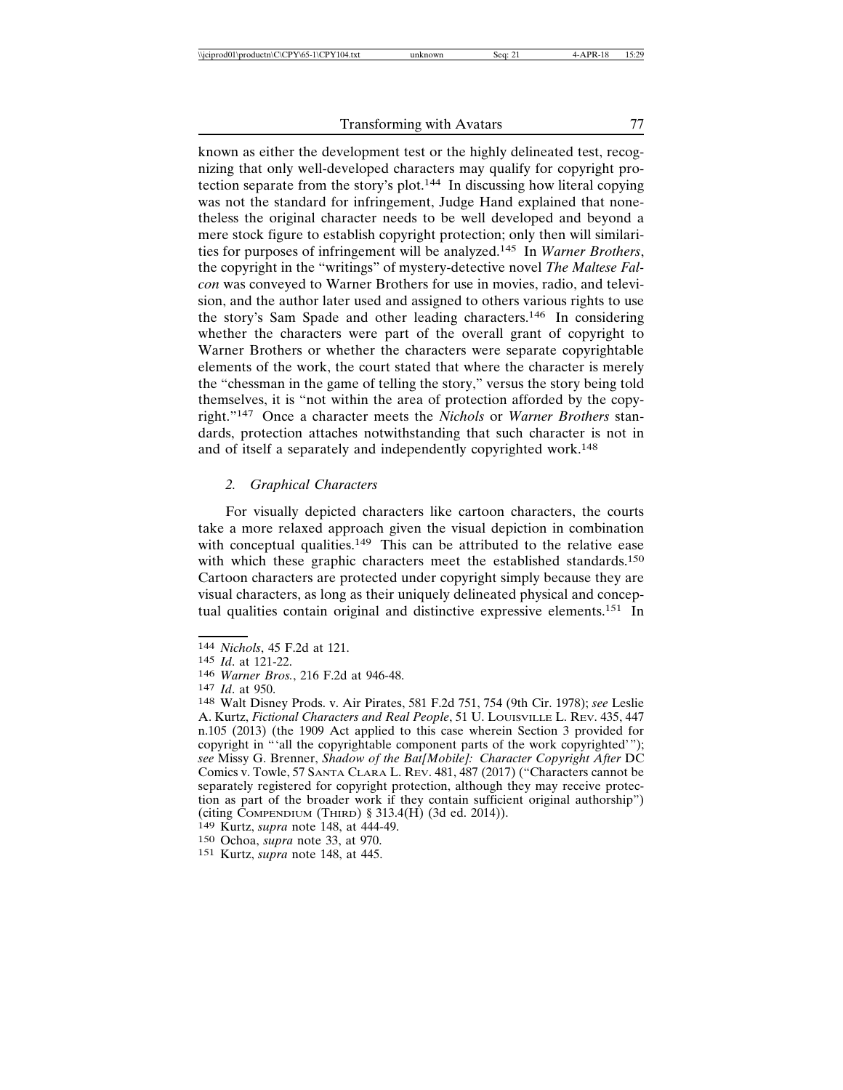known as either the development test or the highly delineated test, recognizing that only well-developed characters may qualify for copyright protection separate from the story's plot.144 In discussing how literal copying was not the standard for infringement, Judge Hand explained that nonetheless the original character needs to be well developed and beyond a mere stock figure to establish copyright protection; only then will similarities for purposes of infringement will be analyzed.145 In *Warner Brothers*, the copyright in the "writings" of mystery-detective novel *The Maltese Falcon* was conveyed to Warner Brothers for use in movies, radio, and television, and the author later used and assigned to others various rights to use the story's Sam Spade and other leading characters.146 In considering whether the characters were part of the overall grant of copyright to Warner Brothers or whether the characters were separate copyrightable elements of the work, the court stated that where the character is merely the "chessman in the game of telling the story," versus the story being told themselves, it is "not within the area of protection afforded by the copyright."147 Once a character meets the *Nichols* or *Warner Brothers* standards, protection attaches notwithstanding that such character is not in and of itself a separately and independently copyrighted work.<sup>148</sup>

### *2. Graphical Characters*

For visually depicted characters like cartoon characters, the courts take a more relaxed approach given the visual depiction in combination with conceptual qualities.<sup>149</sup> This can be attributed to the relative ease with which these graphic characters meet the established standards.<sup>150</sup> Cartoon characters are protected under copyright simply because they are visual characters, as long as their uniquely delineated physical and conceptual qualities contain original and distinctive expressive elements.<sup>151</sup> In

<sup>144</sup> *Nichols*, 45 F.2d at 121.

<sup>145</sup> *Id*. at 121-22.

<sup>146</sup> *Warner Bros.*, 216 F.2d at 946-48.

<sup>147</sup> *Id*. at 950.

<sup>148</sup> Walt Disney Prods. v. Air Pirates, 581 F.2d 751, 754 (9th Cir. 1978); *see* Leslie A. Kurtz, *Fictional Characters and Real People*, 51 U. LOUISVILLE L. REV. 435, 447 n.105 (2013) (the 1909 Act applied to this case wherein Section 3 provided for copyright in "'all the copyrightable component parts of the work copyrighted'"); *see* Missy G. Brenner, *Shadow of the Bat[Mobile]: Character Copyright After* DC Comics v. Towle, 57 SANTA CLARA L. REV. 481, 487 (2017) ("Characters cannot be separately registered for copyright protection, although they may receive protection as part of the broader work if they contain sufficient original authorship") (citing COMPENDIUM (THIRD) § 313.4(H) (3d ed. 2014)).

<sup>149</sup> Kurtz, *supra* note 148, at 444-49.

<sup>150</sup> Ochoa, *supra* note 33, at 970.

<sup>151</sup> Kurtz, *supra* note 148, at 445.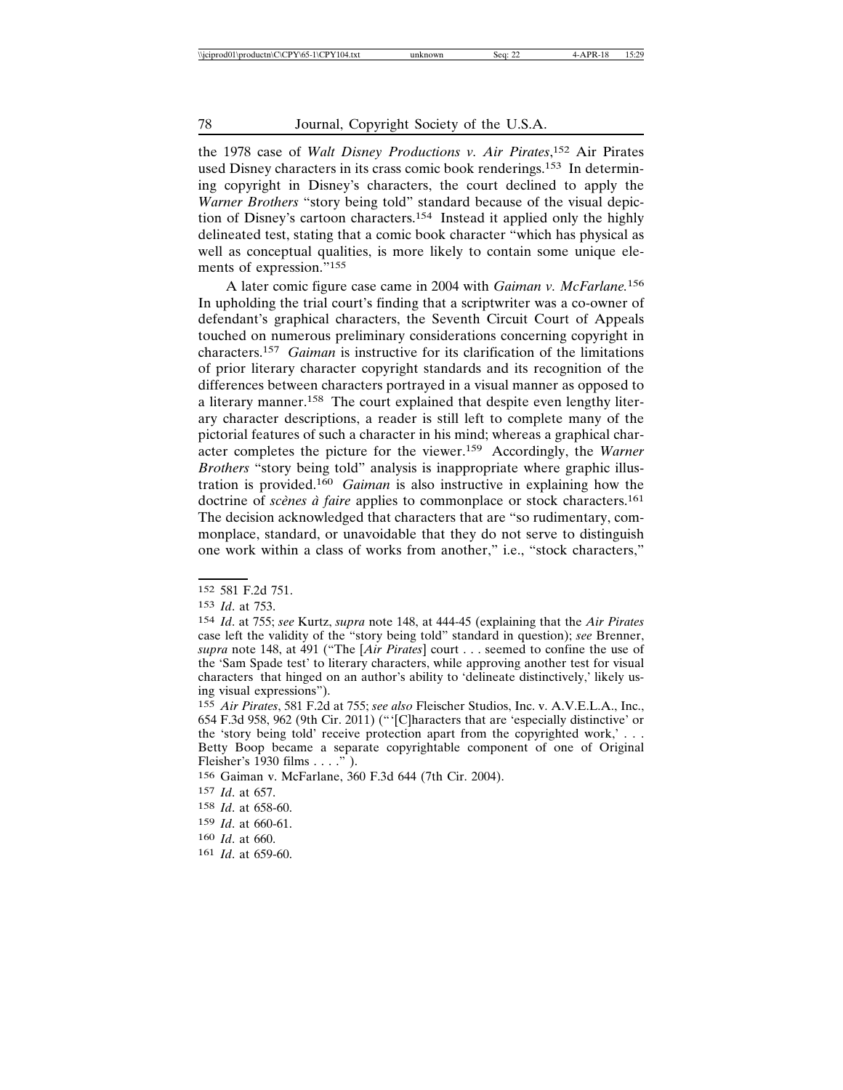the 1978 case of *Walt Disney Productions v. Air Pirates*, 152 Air Pirates used Disney characters in its crass comic book renderings.153 In determining copyright in Disney's characters, the court declined to apply the *Warner Brothers* "story being told" standard because of the visual depiction of Disney's cartoon characters.154 Instead it applied only the highly delineated test, stating that a comic book character "which has physical as well as conceptual qualities, is more likely to contain some unique elements of expression."155

A later comic figure case came in 2004 with *Gaiman v. McFarlane.*<sup>156</sup> In upholding the trial court's finding that a scriptwriter was a co-owner of defendant's graphical characters, the Seventh Circuit Court of Appeals touched on numerous preliminary considerations concerning copyright in characters.<sup>157</sup> *Gaiman* is instructive for its clarification of the limitations of prior literary character copyright standards and its recognition of the differences between characters portrayed in a visual manner as opposed to a literary manner.158 The court explained that despite even lengthy literary character descriptions, a reader is still left to complete many of the pictorial features of such a character in his mind; whereas a graphical character completes the picture for the viewer.159 Accordingly, the *Warner Brothers* "story being told" analysis is inappropriate where graphic illustration is provided.160 *Gaiman* is also instructive in explaining how the doctrine of *sc`enes `a faire* applies to commonplace or stock characters.161 The decision acknowledged that characters that are "so rudimentary, commonplace, standard, or unavoidable that they do not serve to distinguish one work within a class of works from another," i.e., "stock characters,"

<sup>152</sup> 581 F.2d 751.

<sup>153</sup> *Id*. at 753.

<sup>154</sup> *Id*. at 755; *see* Kurtz, *supra* note 148, at 444-45 (explaining that the *Air Pirates* case left the validity of the "story being told" standard in question); *see* Brenner, *supra* note 148, at 491 ("The [*Air Pirates*] court . . . seemed to confine the use of the 'Sam Spade test' to literary characters, while approving another test for visual characters that hinged on an author's ability to 'delineate distinctively,' likely using visual expressions").

<sup>155</sup> *Air Pirates*, 581 F.2d at 755; *see also* Fleischer Studios, Inc. v. A.V.E.L.A., Inc., 654 F.3d 958, 962 (9th Cir. 2011) ("'[C]haracters that are 'especially distinctive' or the 'story being told' receive protection apart from the copyrighted work,' . . . Betty Boop became a separate copyrightable component of one of Original Fleisher's 1930 films . . . ." ).

<sup>156</sup> Gaiman v. McFarlane, 360 F.3d 644 (7th Cir. 2004).

<sup>157</sup> *Id*. at 657.

<sup>158</sup> *Id*. at 658-60.

<sup>159</sup> *Id*. at 660-61.

<sup>160</sup> *Id*. at 660.

<sup>161</sup> *Id*. at 659-60.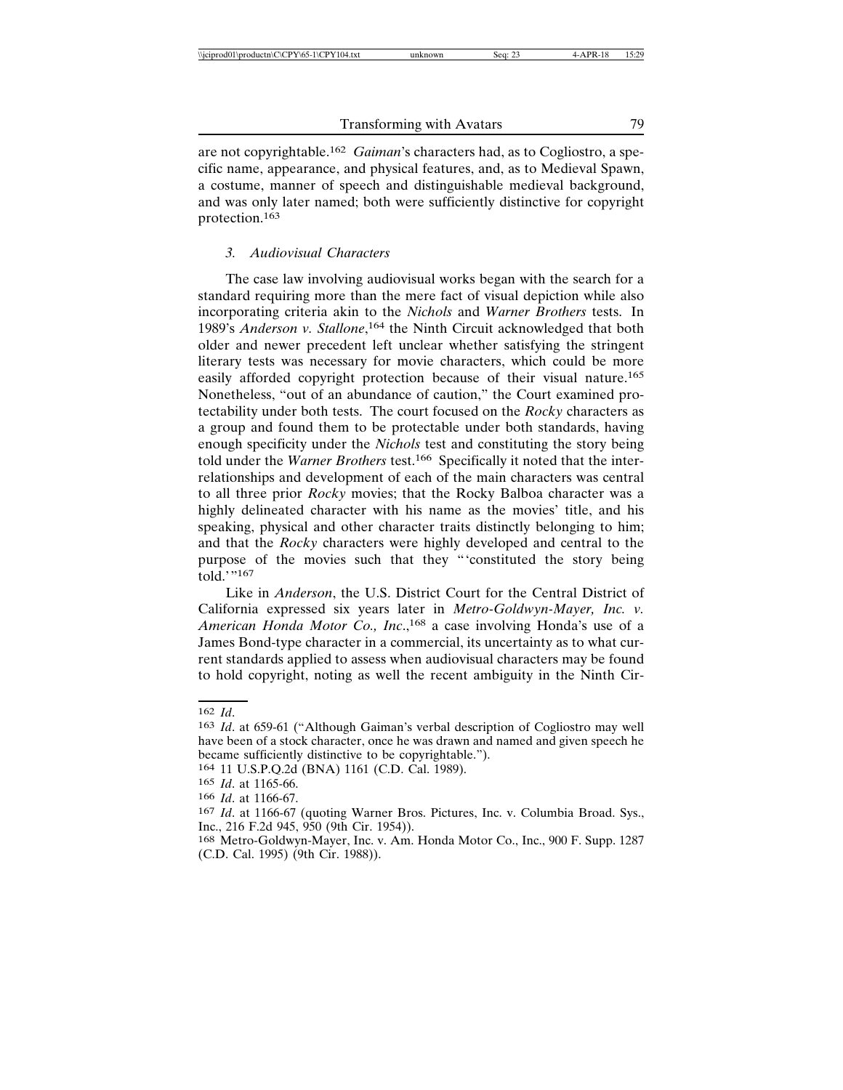are not copyrightable.162 *Gaiman*'s characters had, as to Cogliostro, a specific name, appearance, and physical features, and, as to Medieval Spawn, a costume, manner of speech and distinguishable medieval background, and was only later named; both were sufficiently distinctive for copyright protection.<sup>163</sup>

#### *3. Audiovisual Characters*

The case law involving audiovisual works began with the search for a standard requiring more than the mere fact of visual depiction while also incorporating criteria akin to the *Nichols* and *Warner Brothers* tests. In 1989's Anderson v. Stallone,<sup>164</sup> the Ninth Circuit acknowledged that both older and newer precedent left unclear whether satisfying the stringent literary tests was necessary for movie characters, which could be more easily afforded copyright protection because of their visual nature.165 Nonetheless, "out of an abundance of caution," the Court examined protectability under both tests. The court focused on the *Rocky* characters as a group and found them to be protectable under both standards, having enough specificity under the *Nichols* test and constituting the story being told under the *Warner Brothers* test.<sup>166</sup> Specifically it noted that the interrelationships and development of each of the main characters was central to all three prior *Rocky* movies; that the Rocky Balboa character was a highly delineated character with his name as the movies' title, and his speaking, physical and other character traits distinctly belonging to him; and that the *Rocky* characters were highly developed and central to the purpose of the movies such that they "'constituted the story being told.'"167

Like in *Anderson*, the U.S. District Court for the Central District of California expressed six years later in *Metro-Goldwyn-Mayer, Inc. v. American Honda Motor Co., Inc*.,168 a case involving Honda's use of a James Bond-type character in a commercial, its uncertainty as to what current standards applied to assess when audiovisual characters may be found to hold copyright, noting as well the recent ambiguity in the Ninth Cir-

<sup>162</sup> *Id*.

<sup>163</sup> *Id*. at 659-61 ("Although Gaiman's verbal description of Cogliostro may well have been of a stock character, once he was drawn and named and given speech he became sufficiently distinctive to be copyrightable.").

<sup>164</sup> 11 U.S.P.Q.2d (BNA) 1161 (C.D. Cal. 1989).

<sup>165</sup> *Id*. at 1165-66.

<sup>166</sup> *Id*. at 1166-67.

<sup>167</sup> *Id*. at 1166-67 (quoting Warner Bros. Pictures, Inc. v. Columbia Broad. Sys., Inc., 216 F.2d 945, 950 (9th Cir. 1954)).

<sup>168</sup> Metro-Goldwyn-Mayer, Inc. v. Am. Honda Motor Co., Inc., 900 F. Supp. 1287 (C.D. Cal. 1995) (9th Cir. 1988)).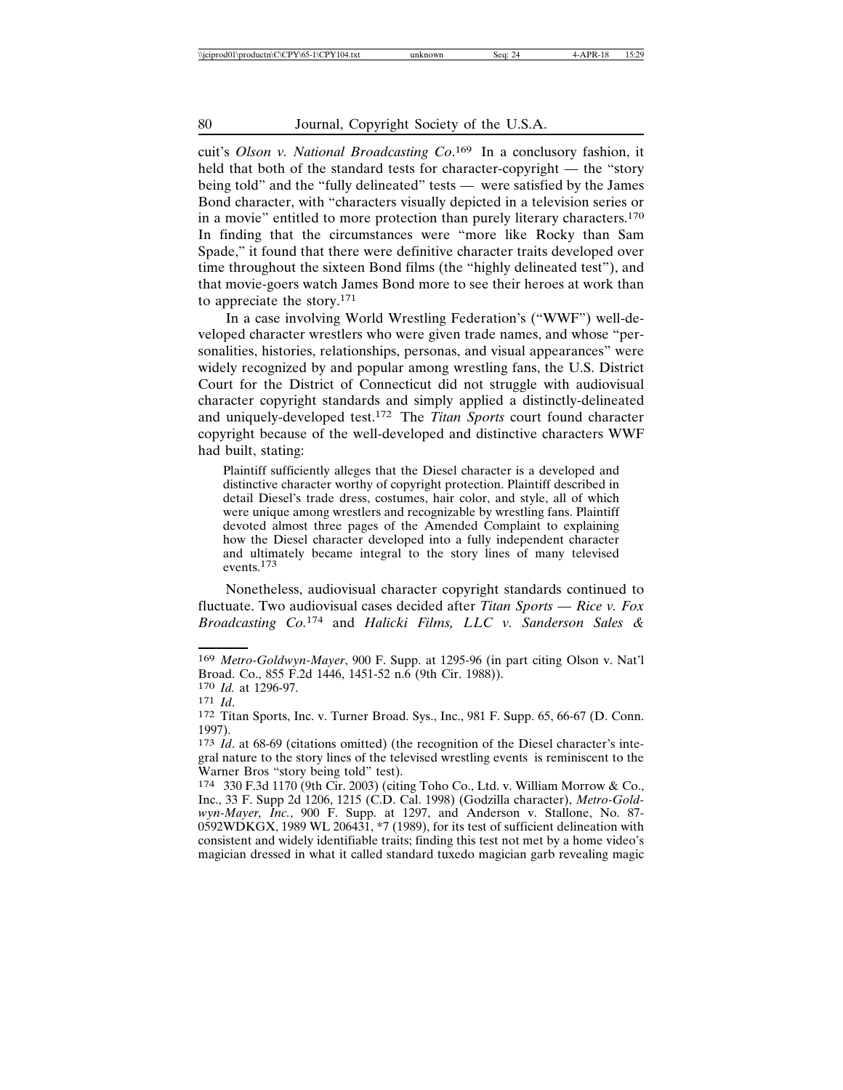cuit's *Olson v. National Broadcasting Co*. 169 In a conclusory fashion, it held that both of the standard tests for character-copyright — the "story being told" and the "fully delineated" tests — were satisfied by the James Bond character, with "characters visually depicted in a television series or in a movie" entitled to more protection than purely literary characters.170 In finding that the circumstances were "more like Rocky than Sam Spade," it found that there were definitive character traits developed over time throughout the sixteen Bond films (the "highly delineated test"), and that movie-goers watch James Bond more to see their heroes at work than to appreciate the story.171

In a case involving World Wrestling Federation's ("WWF") well-developed character wrestlers who were given trade names, and whose "personalities, histories, relationships, personas, and visual appearances" were widely recognized by and popular among wrestling fans, the U.S. District Court for the District of Connecticut did not struggle with audiovisual character copyright standards and simply applied a distinctly-delineated and uniquely-developed test.172 The *Titan Sports* court found character copyright because of the well-developed and distinctive characters WWF had built, stating:

Plaintiff sufficiently alleges that the Diesel character is a developed and distinctive character worthy of copyright protection. Plaintiff described in detail Diesel's trade dress, costumes, hair color, and style, all of which were unique among wrestlers and recognizable by wrestling fans. Plaintiff devoted almost three pages of the Amended Complaint to explaining how the Diesel character developed into a fully independent character and ultimately became integral to the story lines of many televised events.173

Nonetheless, audiovisual character copyright standards continued to fluctuate. Two audiovisual cases decided after *Titan Sports* — *Rice v. Fox Broadcasting Co.*174 and *Halicki Films, LLC v. Sanderson Sales &*

<sup>169</sup> *Metro-Goldwyn-Mayer*, 900 F. Supp. at 1295-96 (in part citing Olson v. Nat'l Broad. Co., 855 F.2d 1446, 1451-52 n.6 (9th Cir. 1988)).

<sup>170</sup> *Id.* at 1296-97.

<sup>171</sup> *Id*.

<sup>172</sup> Titan Sports, Inc. v. Turner Broad. Sys., Inc., 981 F. Supp. 65, 66-67 (D. Conn. 1997).

<sup>173</sup> *Id*. at 68-69 (citations omitted) (the recognition of the Diesel character's integral nature to the story lines of the televised wrestling events is reminiscent to the Warner Bros "story being told" test).

<sup>174 330</sup> F.3d 1170 (9th Cir. 2003) (citing Toho Co., Ltd. v. William Morrow & Co., Inc., 33 F. Supp 2d 1206, 1215 (C.D. Cal. 1998) (Godzilla character), *Metro-Goldwyn-Mayer, Inc.*, 900 F. Supp. at 1297, and Anderson v. Stallone, No. 87- 0592WDKGX, 1989 WL 206431, \*7 (1989), for its test of sufficient delineation with consistent and widely identifiable traits; finding this test not met by a home video's magician dressed in what it called standard tuxedo magician garb revealing magic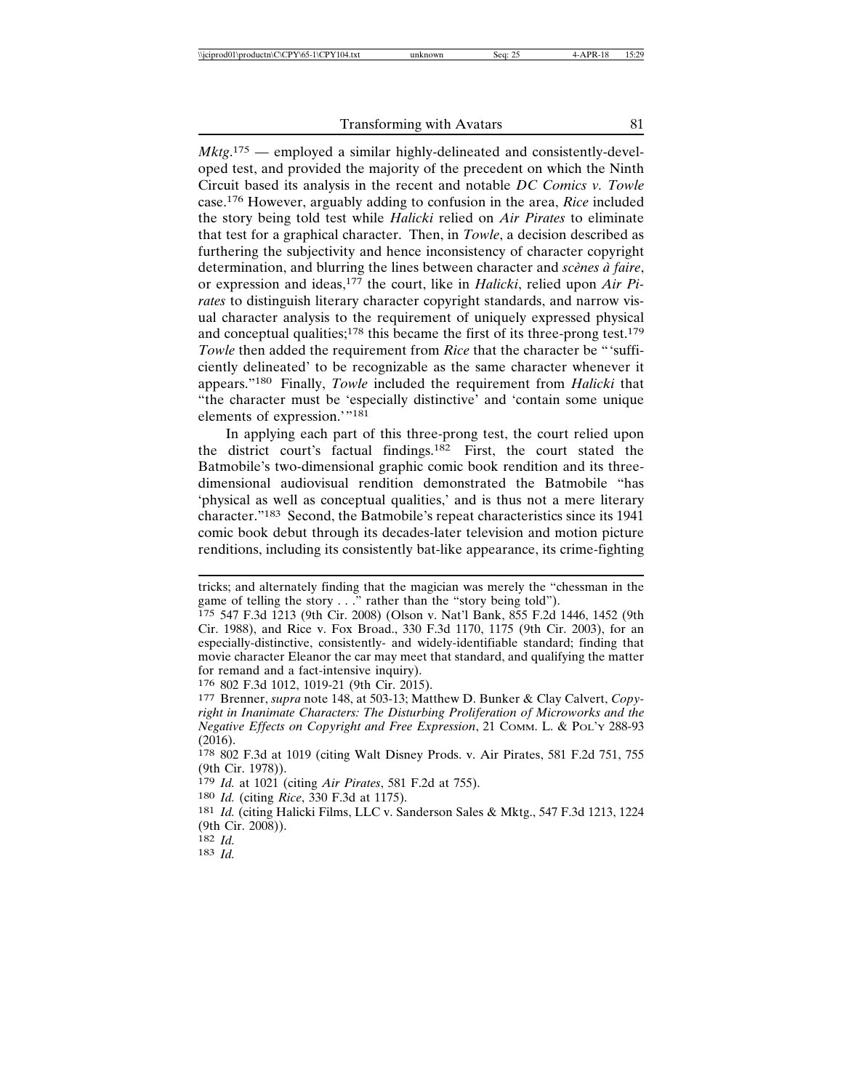Mktg.<sup>175</sup> — employed a similar highly-delineated and consistently-developed test, and provided the majority of the precedent on which the Ninth Circuit based its analysis in the recent and notable *DC Comics v. Towle* case.176 However, arguably adding to confusion in the area, *Rice* included the story being told test while *Halicki* relied on *Air Pirates* to eliminate that test for a graphical character. Then, in *Towle*, a decision described as furthering the subjectivity and hence inconsistency of character copyright determination, and blurring the lines between character and *scènes à faire*, or expression and ideas,177 the court, like in *Halicki*, relied upon *Air Pirates* to distinguish literary character copyright standards, and narrow visual character analysis to the requirement of uniquely expressed physical and conceptual qualities;<sup>178</sup> this became the first of its three-prong test.<sup>179</sup> *Towle* then added the requirement from *Rice* that the character be "'sufficiently delineated' to be recognizable as the same character whenever it appears."180 Finally, *Towle* included the requirement from *Halicki* that "the character must be 'especially distinctive' and 'contain some unique elements of expression.'"181

In applying each part of this three-prong test, the court relied upon the district court's factual findings.182 First, the court stated the Batmobile's two-dimensional graphic comic book rendition and its threedimensional audiovisual rendition demonstrated the Batmobile "has 'physical as well as conceptual qualities,' and is thus not a mere literary character."183 Second, the Batmobile's repeat characteristics since its 1941 comic book debut through its decades-later television and motion picture renditions, including its consistently bat-like appearance, its crime-fighting

176 802 F.3d 1012, 1019-21 (9th Cir. 2015).

180 *Id.* (citing *Rice*, 330 F.3d at 1175).

tricks; and alternately finding that the magician was merely the "chessman in the game of telling the story . . ." rather than the "story being told").

<sup>175</sup> 547 F.3d 1213 (9th Cir. 2008) (Olson v. Nat'l Bank, 855 F.2d 1446, 1452 (9th Cir. 1988), and Rice v. Fox Broad., 330 F.3d 1170, 1175 (9th Cir. 2003), for an especially-distinctive, consistently- and widely-identifiable standard; finding that movie character Eleanor the car may meet that standard, and qualifying the matter for remand and a fact-intensive inquiry).

<sup>177</sup> Brenner, *supra* note 148, at 503-13; Matthew D. Bunker & Clay Calvert, *Copyright in Inanimate Characters: The Disturbing Proliferation of Microworks and the Negative Effects on Copyright and Free Expression*, 21 COMM. L. & POL'Y 288-93 (2016).

<sup>178</sup> 802 F.3d at 1019 (citing Walt Disney Prods. v. Air Pirates, 581 F.2d 751, 755 (9th Cir. 1978)).

<sup>179</sup> *Id.* at 1021 (citing *Air Pirates*, 581 F.2d at 755).

<sup>181</sup> *Id.* (citing Halicki Films, LLC v. Sanderson Sales & Mktg., 547 F.3d 1213, 1224 (9th Cir. 2008)).

<sup>182</sup> *Id.*

<sup>183</sup> *Id.*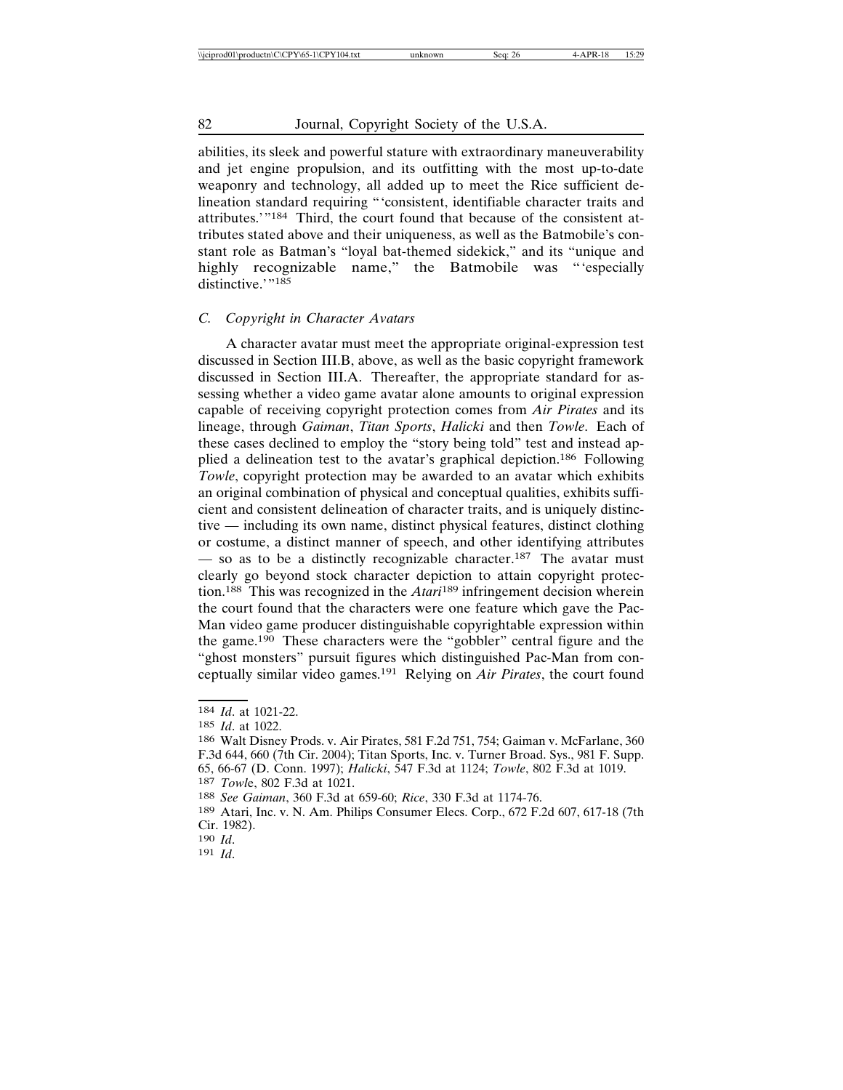abilities, its sleek and powerful stature with extraordinary maneuverability and jet engine propulsion, and its outfitting with the most up-to-date weaponry and technology, all added up to meet the Rice sufficient delineation standard requiring "'consistent, identifiable character traits and attributes.'"184 Third, the court found that because of the consistent attributes stated above and their uniqueness, as well as the Batmobile's constant role as Batman's "loyal bat-themed sidekick," and its "unique and highly recognizable name," the Batmobile was "'especially distinctive.'"<sup>185</sup>

### *C. Copyright in Character Avatars*

A character avatar must meet the appropriate original-expression test discussed in Section III.B, above, as well as the basic copyright framework discussed in Section III.A. Thereafter, the appropriate standard for assessing whether a video game avatar alone amounts to original expression capable of receiving copyright protection comes from *Air Pirates* and its lineage, through *Gaiman*, *Titan Sports*, *Halicki* and then *Towle*. Each of these cases declined to employ the "story being told" test and instead applied a delineation test to the avatar's graphical depiction.186 Following *Towle*, copyright protection may be awarded to an avatar which exhibits an original combination of physical and conceptual qualities, exhibits sufficient and consistent delineation of character traits, and is uniquely distinctive — including its own name, distinct physical features, distinct clothing or costume, a distinct manner of speech, and other identifying attributes — so as to be a distinctly recognizable character.<sup>187</sup> The avatar must clearly go beyond stock character depiction to attain copyright protection.188 This was recognized in the *Atari*189 infringement decision wherein the court found that the characters were one feature which gave the Pac-Man video game producer distinguishable copyrightable expression within the game.190 These characters were the "gobbler" central figure and the "ghost monsters" pursuit figures which distinguished Pac-Man from conceptually similar video games.191 Relying on *Air Pirates*, the court found

<sup>184</sup> *Id*. at 1021-22.

<sup>185</sup> *Id*. at 1022.

<sup>186</sup> Walt Disney Prods. v. Air Pirates, 581 F.2d 751, 754; Gaiman v. McFarlane, 360 F.3d 644, 660 (7th Cir. 2004); Titan Sports, Inc. v. Turner Broad. Sys., 981 F. Supp. 65, 66-67 (D. Conn. 1997); *Halicki*, 547 F.3d at 1124; *Towle*, 802 F.3d at 1019.

<sup>187</sup> *Towl*e, 802 F.3d at 1021.

<sup>188</sup> *See Gaiman*, 360 F.3d at 659-60; *Rice*, 330 F.3d at 1174-76.

<sup>189</sup> Atari, Inc. v. N. Am. Philips Consumer Elecs. Corp., 672 F.2d 607, 617-18 (7th Cir. 1982).

<sup>190</sup> *Id*.

<sup>191</sup> *Id*.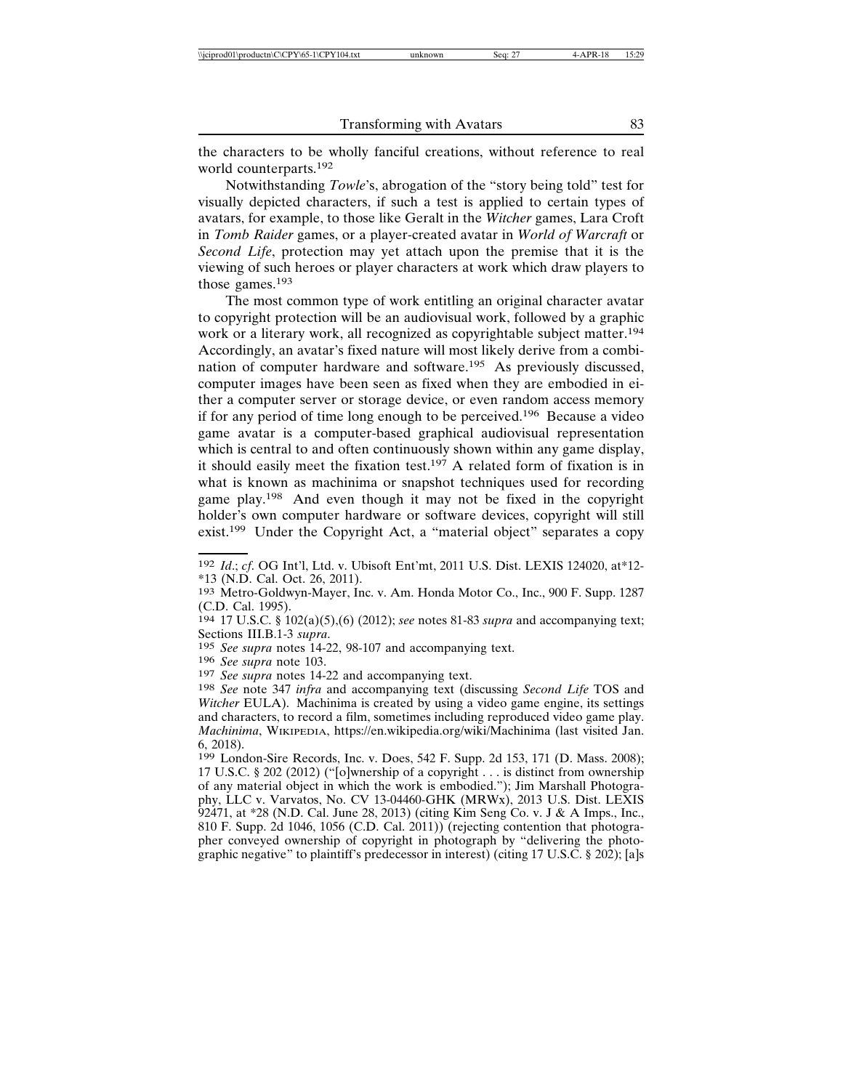|                                            | $\sim$   |     |                 |
|--------------------------------------------|----------|-----|-----------------|
| \\iciprod01\productn\C\CPY\65-1\CPY104.txt | -Seg: 2. | .PR | 5.20<br>- بارد. |
|                                            |          |     |                 |

the characters to be wholly fanciful creations, without reference to real world counterparts.192

Notwithstanding *Towle*'s, abrogation of the "story being told" test for visually depicted characters, if such a test is applied to certain types of avatars, for example, to those like Geralt in the *Witcher* games, Lara Croft in *Tomb Raider* games, or a player-created avatar in *World of Warcraft* or *Second Life*, protection may yet attach upon the premise that it is the viewing of such heroes or player characters at work which draw players to those games.<sup>193</sup>

The most common type of work entitling an original character avatar to copyright protection will be an audiovisual work, followed by a graphic work or a literary work, all recognized as copyrightable subject matter.<sup>194</sup> Accordingly, an avatar's fixed nature will most likely derive from a combination of computer hardware and software.<sup>195</sup> As previously discussed, computer images have been seen as fixed when they are embodied in either a computer server or storage device, or even random access memory if for any period of time long enough to be perceived.196 Because a video game avatar is a computer-based graphical audiovisual representation which is central to and often continuously shown within any game display, it should easily meet the fixation test.197 A related form of fixation is in what is known as machinima or snapshot techniques used for recording game play.198 And even though it may not be fixed in the copyright holder's own computer hardware or software devices, copyright will still exist.199 Under the Copyright Act, a "material object" separates a copy

194 17 U.S.C. § 102(a)(5),(6) (2012); *see* notes 81-83 *supra* and accompanying text; Sections III.B.1-3 *supra*. <sup>195</sup> *See supra* notes 14-22, 98-107 and accompanying text.

196 *See supra* note 103.

199 London-Sire Records, Inc. v. Does, 542 F. Supp. 2d 153, 171 (D. Mass. 2008); 17 U.S.C. § 202 (2012) ("[o]wnership of a copyright . . . is distinct from ownership of any material object in which the work is embodied."); Jim Marshall Photography, LLC v. Varvatos, No. CV 13-04460-GHK (MRWx), 2013 U.S. Dist. LEXIS 92471, at \*28 (N.D. Cal. June 28, 2013) (citing Kim Seng Co. v. J & A Imps., Inc., 810 F. Supp. 2d 1046, 1056 (C.D. Cal. 2011)) (rejecting contention that photographer conveyed ownership of copyright in photograph by "delivering the photographic negative" to plaintiff's predecessor in interest) (citing 17 U.S.C. § 202); [a]s

<sup>192</sup> *Id*.; *cf*. OG Int'l, Ltd. v. Ubisoft Ent'mt, 2011 U.S. Dist. LEXIS 124020, at\*12- \*13 (N.D. Cal. Oct. 26, 2011).

<sup>193</sup> Metro-Goldwyn-Mayer, Inc. v. Am. Honda Motor Co., Inc., 900 F. Supp. 1287 (C.D. Cal. 1995).

<sup>197</sup> *See supra* notes 14-22 and accompanying text.

<sup>198</sup> *See* note 347 *infra* and accompanying text (discussing *Second Life* TOS and *Witcher* EULA). Machinima is created by using a video game engine, its settings and characters, to record a film, sometimes including reproduced video game play. *Machinima*, WIKIPEDIA, https://en.wikipedia.org/wiki/Machinima (last visited Jan. 6, 2018).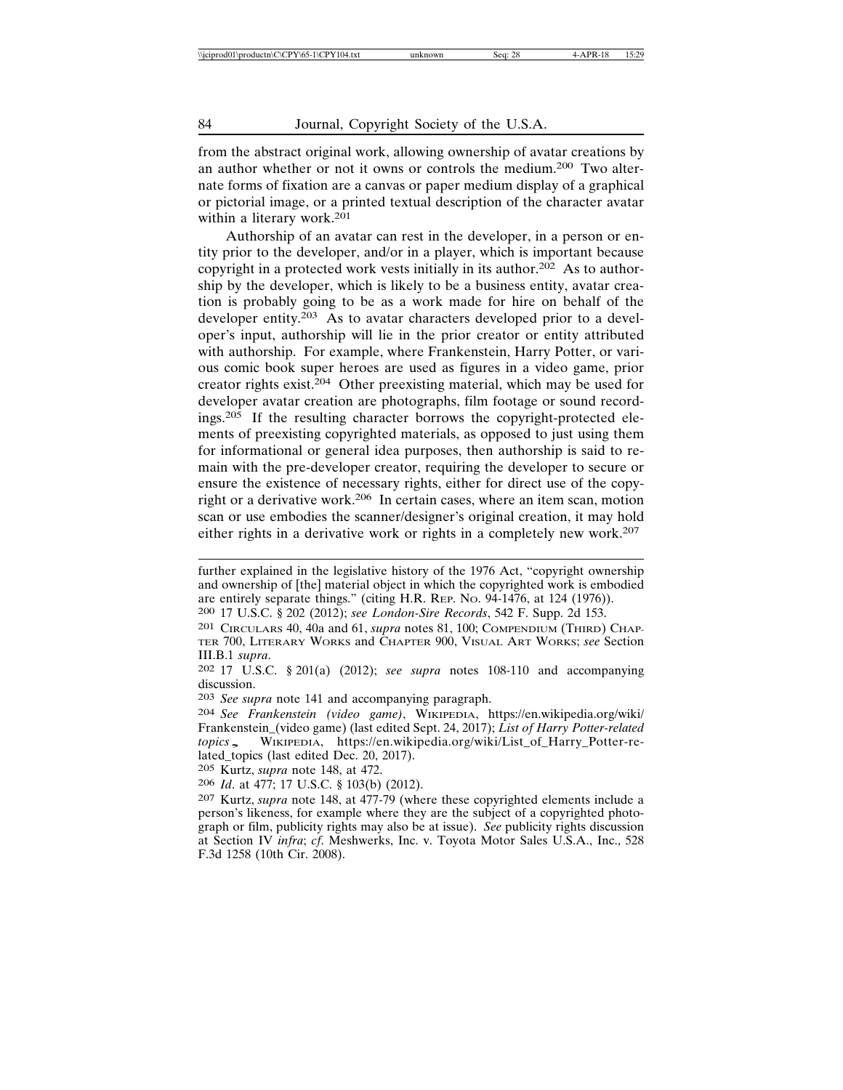from the abstract original work, allowing ownership of avatar creations by an author whether or not it owns or controls the medium.200 Two alternate forms of fixation are a canvas or paper medium display of a graphical or pictorial image, or a printed textual description of the character avatar within a literary work.<sup>201</sup>

Authorship of an avatar can rest in the developer, in a person or entity prior to the developer, and/or in a player, which is important because copyright in a protected work vests initially in its author.202 As to authorship by the developer, which is likely to be a business entity, avatar creation is probably going to be as a work made for hire on behalf of the developer entity.203 As to avatar characters developed prior to a developer's input, authorship will lie in the prior creator or entity attributed with authorship. For example, where Frankenstein, Harry Potter, or various comic book super heroes are used as figures in a video game, prior creator rights exist.204 Other preexisting material, which may be used for developer avatar creation are photographs, film footage or sound recordings.205 If the resulting character borrows the copyright-protected elements of preexisting copyrighted materials, as opposed to just using them for informational or general idea purposes, then authorship is said to remain with the pre-developer creator, requiring the developer to secure or ensure the existence of necessary rights, either for direct use of the copyright or a derivative work.206 In certain cases, where an item scan, motion scan or use embodies the scanner/designer's original creation, it may hold either rights in a derivative work or rights in a completely new work.207

203 *See supra* note 141 and accompanying paragraph.

204 *See Frankenstein (video game)*, WIKIPEDIA, https://en.wikipedia.org/wiki/ Frankenstein\_(video game), WIKIPEDIA, https://cn.wikipedia.org/wiki/<br> *Frankenstein\_(video game)* (last edited Sept. 24, 2017); *List of Harry Potter-related*<br>
loted topics (lot edited Dec 20, 2017) lated\_topics (last edited Dec. 20, 2017).

205 Kurtz, *supra* note 148, at 472.

206 *Id*. at 477; 17 U.S.C. § 103(b) (2012).

further explained in the legislative history of the 1976 Act, "copyright ownership and ownership of [the] material object in which the copyrighted work is embodied are entirely separate things." (citing H.R. REP. NO. 94-1476, at 124 (1976)).

<sup>200</sup> 17 U.S.C. § 202 (2012); *see London-Sire Records*, 542 F. Supp. 2d 153. 201 CIRCULARS 40, 40a and 61, *supra* notes 81, 100; COMPENDIUM (THIRD) CHAP-

TER 700, LITERARY WORKS and CHAPTER 900, VISUAL ART WORKS; *see* Section III.B.1 *supra*.

<sup>202</sup> 17 U.S.C. § 201(a) (2012); *see supra* notes 108-110 and accompanying discussion.

<sup>207</sup> Kurtz, *supra* note 148, at 477-79 (where these copyrighted elements include a person's likeness, for example where they are the subject of a copyrighted photograph or film, publicity rights may also be at issue). *See* publicity rights discussion at Section IV *infra*; *cf*. Meshwerks, Inc. v. Toyota Motor Sales U.S.A., Inc., 528 F.3d 1258 (10th Cir. 2008).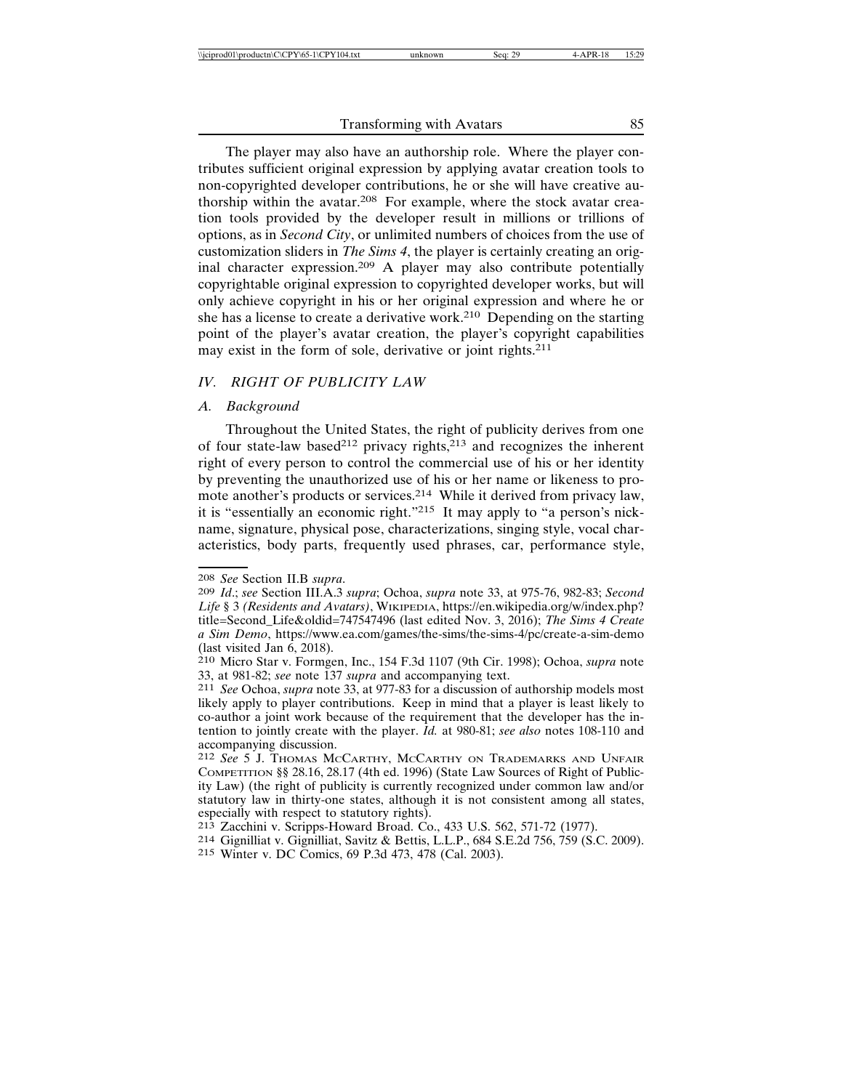The player may also have an authorship role. Where the player contributes sufficient original expression by applying avatar creation tools to non-copyrighted developer contributions, he or she will have creative authorship within the avatar.208 For example, where the stock avatar creation tools provided by the developer result in millions or trillions of options, as in *Second City*, or unlimited numbers of choices from the use of customization sliders in *The Sims 4*, the player is certainly creating an original character expression.209 A player may also contribute potentially copyrightable original expression to copyrighted developer works, but will only achieve copyright in his or her original expression and where he or she has a license to create a derivative work.210 Depending on the starting point of the player's avatar creation, the player's copyright capabilities may exist in the form of sole, derivative or joint rights.211

### *IV. RIGHT OF PUBLICITY LAW*

### *A. Background*

Throughout the United States, the right of publicity derives from one of four state-law based<sup>212</sup> privacy rights, $2^{13}$  and recognizes the inherent right of every person to control the commercial use of his or her identity by preventing the unauthorized use of his or her name or likeness to promote another's products or services.214 While it derived from privacy law, it is "essentially an economic right."215 It may apply to "a person's nickname, signature, physical pose, characterizations, singing style, vocal characteristics, body parts, frequently used phrases, car, performance style,

<sup>208</sup> *See* Section II.B *supra*. <sup>209</sup> *Id*.; *see* Section III.A.3 *supra*; Ochoa, *supra* note 33, at 975-76, 982-83; *Second Life* § 3 *(Residents and Avatars)*, WIKIPEDIA, https://en.wikipedia.org/w/index.php? title=Second\_Life&oldid=747547496 (last edited Nov. 3, 2016); *The Sims 4 Create a Sim Demo*, https://www.ea.com/games/the-sims/the-sims-4/pc/create-a-sim-demo (last visited Jan 6, 2018).

<sup>210</sup> Micro Star v. Formgen, Inc., 154 F.3d 1107 (9th Cir. 1998); Ochoa, *supra* note 33, at 981-82; *see* note 137 *supra* and accompanying text.

<sup>211</sup> *See* Ochoa, *supra* note 33, at 977-83 for a discussion of authorship models most likely apply to player contributions. Keep in mind that a player is least likely to co-author a joint work because of the requirement that the developer has the intention to jointly create with the player. *Id.* at 980-81; *see also* notes 108-110 and accompanying discussion.

<sup>212</sup> *See* 5 J. THOMAS MCCARTHY, MCCARTHY ON TRADEMARKS AND UNFAIR COMPETITION §§ 28.16, 28.17 (4th ed. 1996) (State Law Sources of Right of Publicity Law) (the right of publicity is currently recognized under common law and/or statutory law in thirty-one states, although it is not consistent among all states, especially with respect to statutory rights).

<sup>213</sup> Zacchini v. Scripps-Howard Broad. Co., 433 U.S. 562, 571-72 (1977).

<sup>214</sup> Gignilliat v. Gignilliat, Savitz & Bettis, L.L.P., 684 S.E.2d 756, 759 (S.C. 2009).

<sup>215</sup> Winter v. DC Comics, 69 P.3d 473, 478 (Cal. 2003).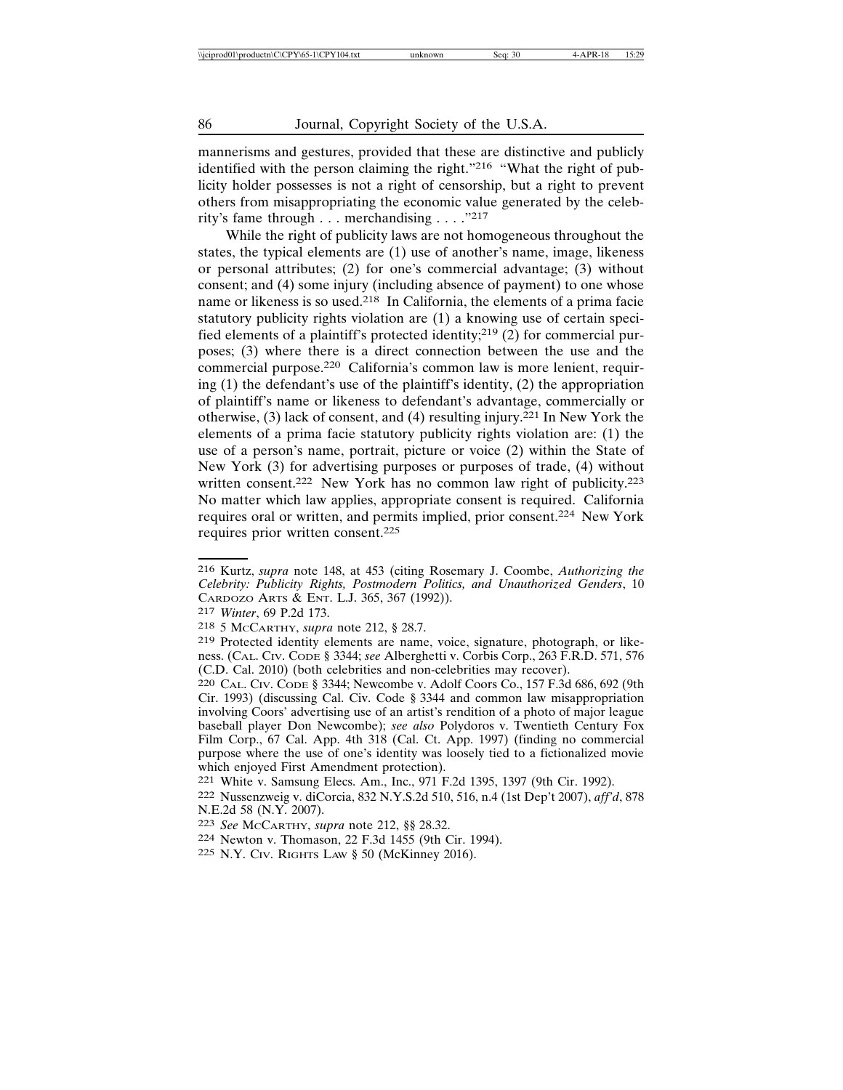mannerisms and gestures, provided that these are distinctive and publicly identified with the person claiming the right."<sup>216</sup> "What the right of publicity holder possesses is not a right of censorship, but a right to prevent others from misappropriating the economic value generated by the celebrity's fame through . . . merchandising . . . ."217

While the right of publicity laws are not homogeneous throughout the states, the typical elements are (1) use of another's name, image, likeness or personal attributes; (2) for one's commercial advantage; (3) without consent; and (4) some injury (including absence of payment) to one whose name or likeness is so used.218 In California, the elements of a prima facie statutory publicity rights violation are (1) a knowing use of certain specified elements of a plaintiff's protected identity;219 (2) for commercial purposes; (3) where there is a direct connection between the use and the commercial purpose.220 California's common law is more lenient, requiring (1) the defendant's use of the plaintiff's identity, (2) the appropriation of plaintiff's name or likeness to defendant's advantage, commercially or otherwise, (3) lack of consent, and (4) resulting injury.221 In New York the elements of a prima facie statutory publicity rights violation are: (1) the use of a person's name, portrait, picture or voice (2) within the State of New York (3) for advertising purposes or purposes of trade, (4) without written consent.<sup>222</sup> New York has no common law right of publicity.<sup>223</sup> No matter which law applies, appropriate consent is required. California requires oral or written, and permits implied, prior consent.224 New York requires prior written consent.225

<sup>216</sup> Kurtz, *supra* note 148, at 453 (citing Rosemary J. Coombe, *Authorizing the Celebrity: Publicity Rights, Postmodern Politics, and Unauthorized Genders*, 10 CARDOZO ARTS & ENT. L.J. 365, 367 (1992)).

<sup>217</sup> *Winter*, 69 P.2d 173.

<sup>218</sup> 5 MCCARTHY, *supra* note 212, § 28.7.

<sup>219</sup> Protected identity elements are name, voice, signature, photograph, or likeness. (CAL. CIV. CODE § 3344; *see* Alberghetti v. Corbis Corp., 263 F.R.D. 571, 576 (C.D. Cal. 2010) (both celebrities and non-celebrities may recover).

<sup>220</sup> CAL. CIV. CODE § 3344; Newcombe v. Adolf Coors Co., 157 F.3d 686, 692 (9th Cir. 1993) (discussing Cal. Civ. Code § 3344 and common law misappropriation involving Coors' advertising use of an artist's rendition of a photo of major league baseball player Don Newcombe); *see also* Polydoros v. Twentieth Century Fox Film Corp., 67 Cal. App. 4th 318 (Cal. Ct. App. 1997) (finding no commercial purpose where the use of one's identity was loosely tied to a fictionalized movie which enjoyed First Amendment protection).

<sup>221</sup> White v. Samsung Elecs. Am., Inc., 971 F.2d 1395, 1397 (9th Cir. 1992).

<sup>222</sup> Nussenzweig v. diCorcia, 832 N.Y.S.2d 510, 516, n.4 (1st Dep't 2007), *aff'd*, 878 N.E.2d 58 (N.Y. 2007).

<sup>223</sup> *See* MCCARTHY, *supra* note 212, §§ 28.32.

<sup>224</sup> Newton v. Thomason, 22 F.3d 1455 (9th Cir. 1994).

<sup>225</sup> N.Y. CIV. RIGHTS LAW § 50 (McKinney 2016).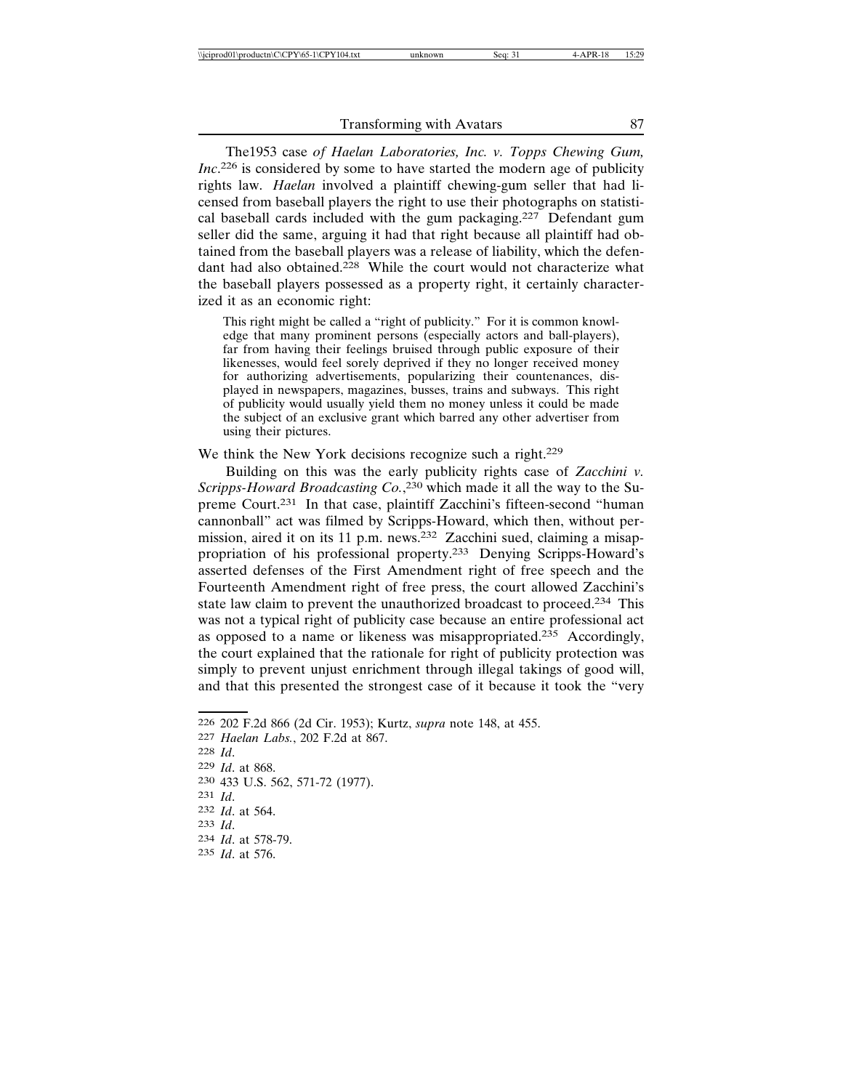|  | \\iciprod01\productn\C\CPY\65-1\CPY104.txt | unknown | Seq: 31 | $4-APR-18$ | 15:29 |
|--|--------------------------------------------|---------|---------|------------|-------|
|--|--------------------------------------------|---------|---------|------------|-------|

The1953 case *of Haelan Laboratories, Inc. v. Topps Chewing Gum, Inc*. 226 is considered by some to have started the modern age of publicity rights law. *Haelan* involved a plaintiff chewing-gum seller that had licensed from baseball players the right to use their photographs on statistical baseball cards included with the gum packaging.227 Defendant gum seller did the same, arguing it had that right because all plaintiff had obtained from the baseball players was a release of liability, which the defendant had also obtained.<sup>228</sup> While the court would not characterize what the baseball players possessed as a property right, it certainly characterized it as an economic right:

This right might be called a "right of publicity." For it is common knowledge that many prominent persons (especially actors and ball-players), far from having their feelings bruised through public exposure of their likenesses, would feel sorely deprived if they no longer received money for authorizing advertisements, popularizing their countenances, displayed in newspapers, magazines, busses, trains and subways. This right of publicity would usually yield them no money unless it could be made the subject of an exclusive grant which barred any other advertiser from using their pictures.

### We think the New York decisions recognize such a right.<sup>229</sup>

Building on this was the early publicity rights case of *Zacchini v. Scripps-Howard Broadcasting Co.*, 230 which made it all the way to the Supreme Court.231 In that case, plaintiff Zacchini's fifteen-second "human cannonball" act was filmed by Scripps-Howard, which then, without permission, aired it on its 11 p.m. news.232 Zacchini sued, claiming a misappropriation of his professional property.233 Denying Scripps-Howard's asserted defenses of the First Amendment right of free speech and the Fourteenth Amendment right of free press, the court allowed Zacchini's state law claim to prevent the unauthorized broadcast to proceed.234 This was not a typical right of publicity case because an entire professional act as opposed to a name or likeness was misappropriated.235 Accordingly, the court explained that the rationale for right of publicity protection was simply to prevent unjust enrichment through illegal takings of good will, and that this presented the strongest case of it because it took the "very

<sup>226</sup> 202 F.2d 866 (2d Cir. 1953); Kurtz, *supra* note 148, at 455.

<sup>227</sup> *Haelan Labs.*, 202 F.2d at 867.

<sup>228</sup> *Id*.

<sup>229</sup> *Id*. at 868.

<sup>230</sup> 433 U.S. 562, 571-72 (1977).

<sup>231</sup> *Id*.

<sup>232</sup> *Id*. at 564.

<sup>233</sup> *Id*.

<sup>234</sup> *Id*. at 578-79.

<sup>235</sup> *Id*. at 576.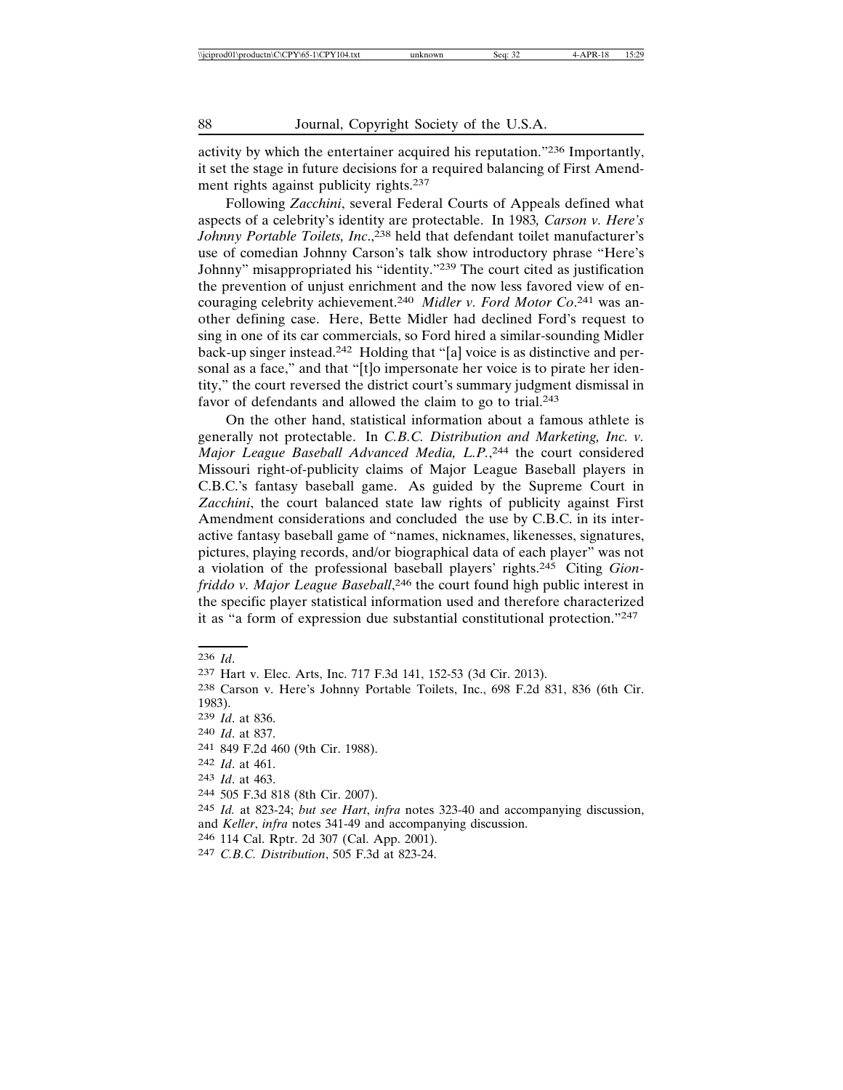activity by which the entertainer acquired his reputation."236 Importantly, it set the stage in future decisions for a required balancing of First Amendment rights against publicity rights.<sup>237</sup>

Following *Zacchini*, several Federal Courts of Appeals defined what aspects of a celebrity's identity are protectable. In 1983*, Carson v. Here's Johnny Portable Toilets, Inc.*,<sup>238</sup> held that defendant toilet manufacturer's use of comedian Johnny Carson's talk show introductory phrase "Here's Johnny" misappropriated his "identity."239 The court cited as justification the prevention of unjust enrichment and the now less favored view of encouraging celebrity achievement.<sup>240</sup> Midler v. Ford Motor Co.<sup>241</sup> was another defining case. Here, Bette Midler had declined Ford's request to sing in one of its car commercials, so Ford hired a similar-sounding Midler back-up singer instead.242 Holding that "[a] voice is as distinctive and personal as a face," and that "[t]o impersonate her voice is to pirate her identity," the court reversed the district court's summary judgment dismissal in favor of defendants and allowed the claim to go to trial.<sup>243</sup>

On the other hand, statistical information about a famous athlete is generally not protectable. In *C.B.C. Distribution and Marketing, Inc. v. Major League Baseball Advanced Media, L.P.*, 244 the court considered Missouri right-of-publicity claims of Major League Baseball players in C.B.C.'s fantasy baseball game. As guided by the Supreme Court in *Zacchini*, the court balanced state law rights of publicity against First Amendment considerations and concluded the use by C.B.C. in its interactive fantasy baseball game of "names, nicknames, likenesses, signatures, pictures, playing records, and/or biographical data of each player" was not a violation of the professional baseball players' rights.245 Citing *Gionfriddo v. Major League Baseball*, 246 the court found high public interest in the specific player statistical information used and therefore characterized it as "a form of expression due substantial constitutional protection."247

<sup>236</sup> *Id*.

<sup>237</sup> Hart v. Elec. Arts, Inc. 717 F.3d 141, 152-53 (3d Cir. 2013).

<sup>238</sup> Carson v. Here's Johnny Portable Toilets, Inc., 698 F.2d 831, 836 (6th Cir. 1983).

<sup>239</sup> *Id*. at 836.

<sup>240</sup> *Id*. at 837.

<sup>241</sup> 849 F.2d 460 (9th Cir. 1988).

<sup>242</sup> *Id*. at 461.

<sup>243</sup> *Id*. at 463.

<sup>244</sup> 505 F.3d 818 (8th Cir. 2007).

<sup>245</sup> *Id.* at 823-24; *but see Hart*, *infra* notes 323-40 and accompanying discussion,

and *Keller*, *infra* notes 341-49 and accompanying discussion.

<sup>246</sup> 114 Cal. Rptr. 2d 307 (Cal. App. 2001).

<sup>247</sup> *C.B.C. Distribution*, 505 F.3d at 823-24.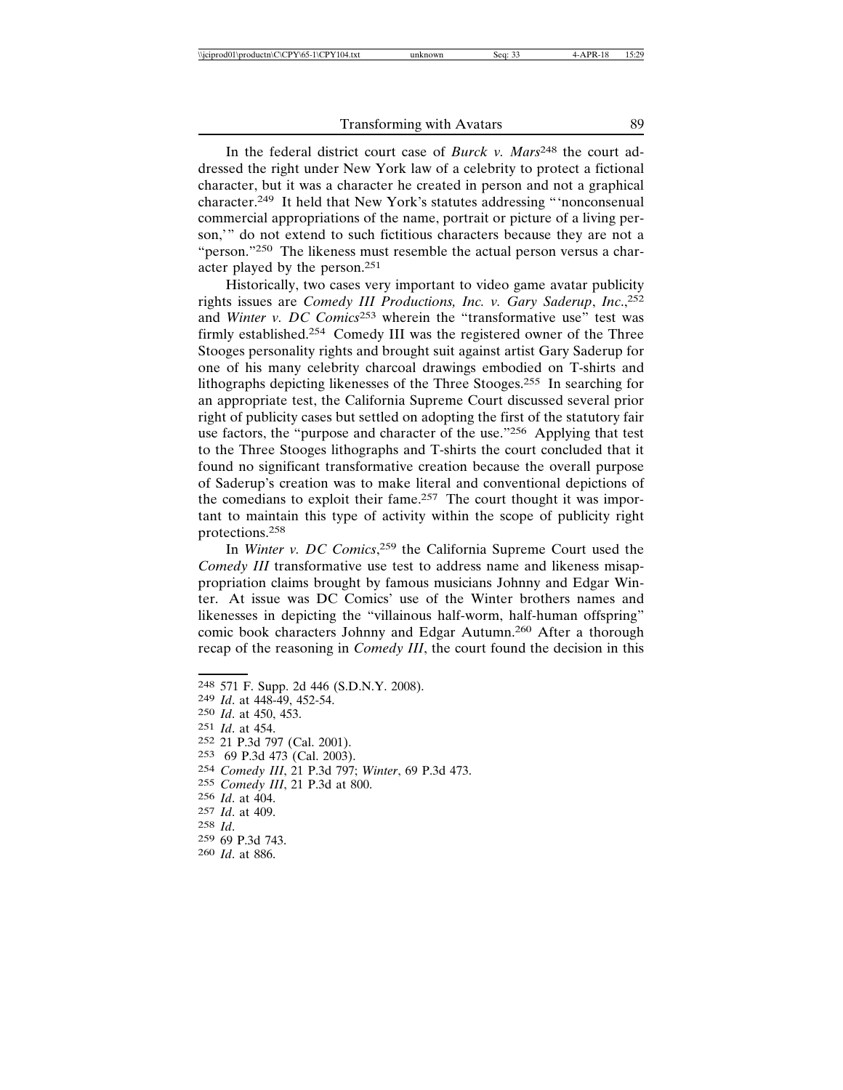| \\iciprod01\productn\C\CPY\65-1\CPY104.txt | unknown | $4-APR-18$<br>Sea: 33 | 15:29 |
|--------------------------------------------|---------|-----------------------|-------|
|--------------------------------------------|---------|-----------------------|-------|

In the federal district court case of *Burck v. Mars*248 the court addressed the right under New York law of a celebrity to protect a fictional character, but it was a character he created in person and not a graphical character.249 It held that New York's statutes addressing "'nonconsenual commercial appropriations of the name, portrait or picture of a living person,'" do not extend to such fictitious characters because they are not a "person."250 The likeness must resemble the actual person versus a character played by the person.251

Historically, two cases very important to video game avatar publicity rights issues are *Comedy III Productions, Inc. v. Gary Saderup*, *Inc*.,<sup>252</sup> and *Winter v. DC Comics*253 wherein the "transformative use" test was firmly established.254 Comedy III was the registered owner of the Three Stooges personality rights and brought suit against artist Gary Saderup for one of his many celebrity charcoal drawings embodied on T-shirts and lithographs depicting likenesses of the Three Stooges.255 In searching for an appropriate test, the California Supreme Court discussed several prior right of publicity cases but settled on adopting the first of the statutory fair use factors, the "purpose and character of the use."256 Applying that test to the Three Stooges lithographs and T-shirts the court concluded that it found no significant transformative creation because the overall purpose of Saderup's creation was to make literal and conventional depictions of the comedians to exploit their fame.257 The court thought it was important to maintain this type of activity within the scope of publicity right protections.<sup>258</sup>

In *Winter v. DC Comics*, 259 the California Supreme Court used the *Comedy III* transformative use test to address name and likeness misappropriation claims brought by famous musicians Johnny and Edgar Winter. At issue was DC Comics' use of the Winter brothers names and likenesses in depicting the "villainous half-worm, half-human offspring" comic book characters Johnny and Edgar Autumn.260 After a thorough recap of the reasoning in *Comedy III*, the court found the decision in this

254 *Comedy III*, 21 P.3d 797; *Winter*, 69 P.3d 473.

256 *Id*. at 404.

<sup>258</sup> *Id*. <sup>259</sup> 69 P.3d 743.

<sup>248</sup> 571 F. Supp. 2d 446 (S.D.N.Y. 2008).

<sup>249</sup> *Id*. at 448-49, 452-54.

<sup>250</sup> *Id*. at 450, 453.

<sup>251</sup> *Id*. at 454.

<sup>252</sup> 21 P.3d 797 (Cal. 2001).

<sup>253 69</sup> P.3d 473 (Cal. 2003).

<sup>255</sup> *Comedy III*, 21 P.3d at 800.

<sup>257</sup> *Id*. at 409.

<sup>260</sup> *Id*. at 886.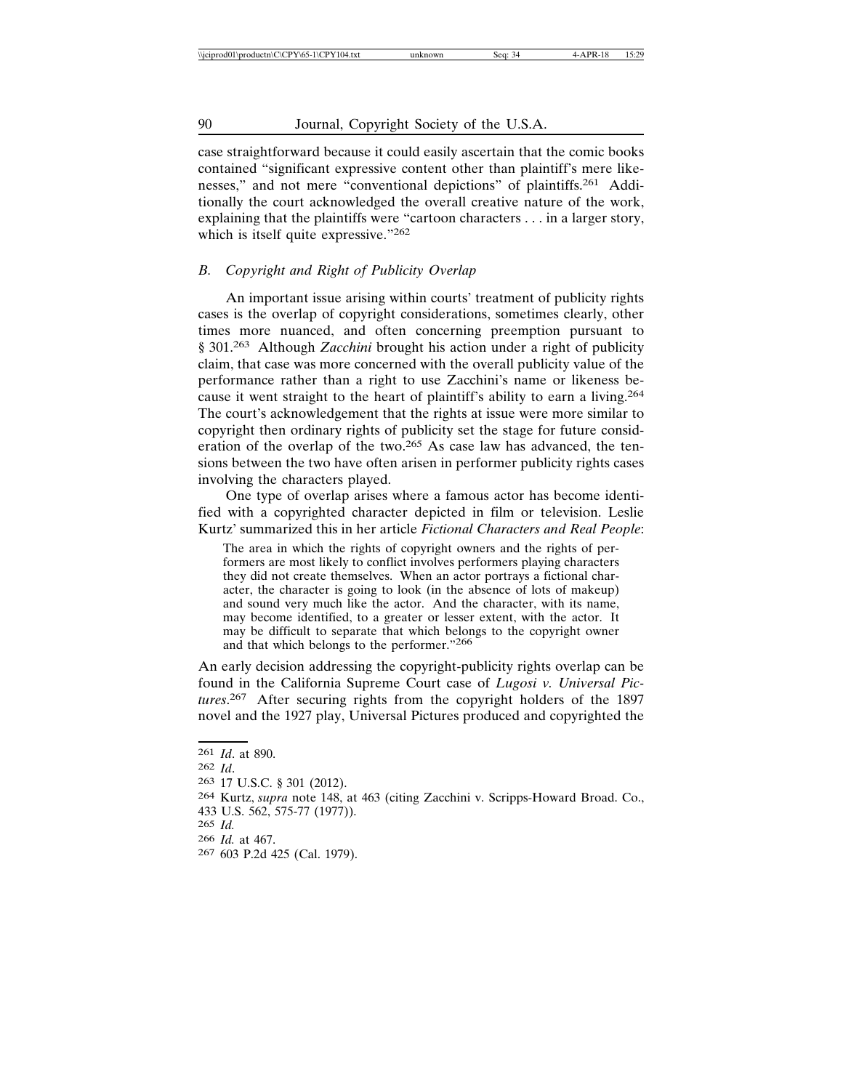case straightforward because it could easily ascertain that the comic books contained "significant expressive content other than plaintiff's mere likenesses," and not mere "conventional depictions" of plaintiffs.261 Additionally the court acknowledged the overall creative nature of the work, explaining that the plaintiffs were "cartoon characters . . . in a larger story, which is itself quite expressive."262

## *B. Copyright and Right of Publicity Overlap*

An important issue arising within courts' treatment of publicity rights cases is the overlap of copyright considerations, sometimes clearly, other times more nuanced, and often concerning preemption pursuant to § 301.<sup>263</sup> Although *Zacchini* brought his action under a right of publicity claim, that case was more concerned with the overall publicity value of the performance rather than a right to use Zacchini's name or likeness because it went straight to the heart of plaintiff's ability to earn a living.264 The court's acknowledgement that the rights at issue were more similar to copyright then ordinary rights of publicity set the stage for future consideration of the overlap of the two.<sup>265</sup> As case law has advanced, the tensions between the two have often arisen in performer publicity rights cases involving the characters played.

One type of overlap arises where a famous actor has become identified with a copyrighted character depicted in film or television. Leslie Kurtz' summarized this in her article *Fictional Characters and Real People*:

The area in which the rights of copyright owners and the rights of performers are most likely to conflict involves performers playing characters they did not create themselves. When an actor portrays a fictional character, the character is going to look (in the absence of lots of makeup) and sound very much like the actor. And the character, with its name, may become identified, to a greater or lesser extent, with the actor. It may be difficult to separate that which belongs to the copyright owner and that which belongs to the performer."266

An early decision addressing the copyright-publicity rights overlap can be found in the California Supreme Court case of *Lugosi v. Universal Pictures*. 267 After securing rights from the copyright holders of the 1897 novel and the 1927 play, Universal Pictures produced and copyrighted the

262 *Id*.

264 Kurtz, *supra* note 148, at 463 (citing Zacchini v. Scripps-Howard Broad. Co., 433 U.S. 562, 575-77 (1977)).

<sup>261</sup> *Id*. at 890.

<sup>263</sup> 17 U.S.C. § 301 (2012).

<sup>265</sup> *Id.*

<sup>266</sup> *Id.* at 467.

<sup>267</sup> 603 P.2d 425 (Cal. 1979).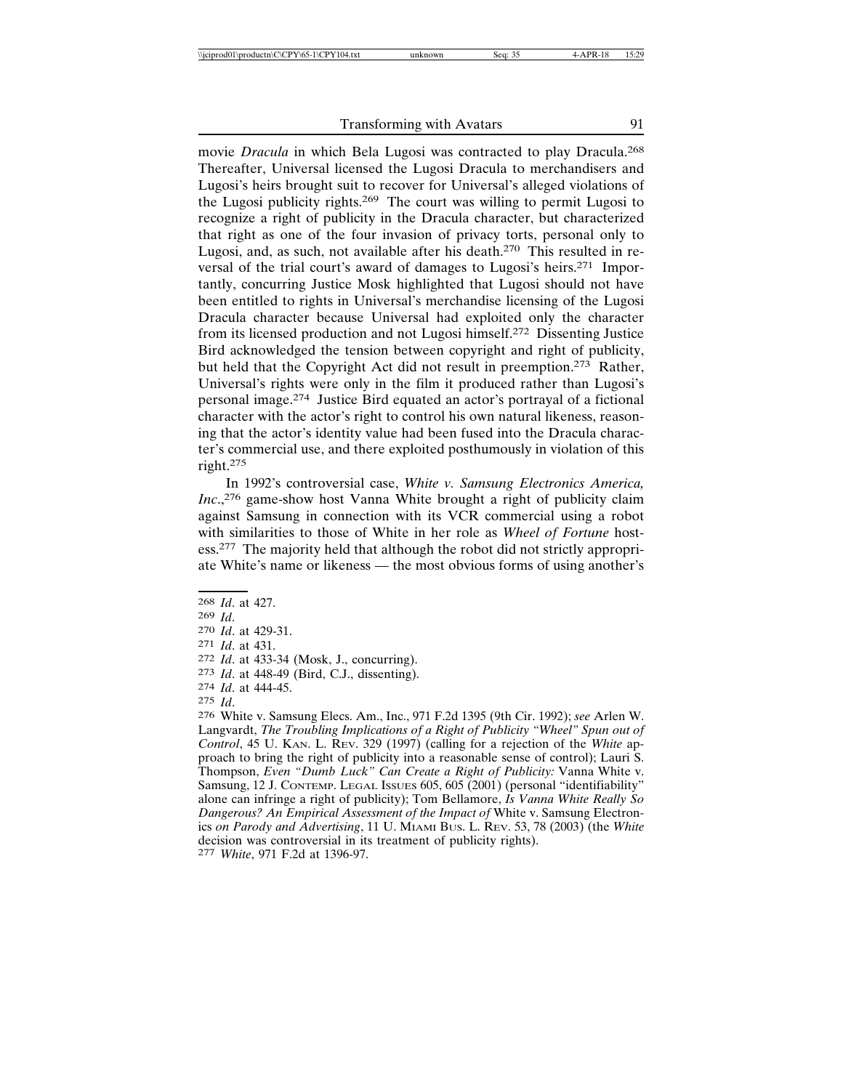movie *Dracula* in which Bela Lugosi was contracted to play Dracula.268 Thereafter, Universal licensed the Lugosi Dracula to merchandisers and Lugosi's heirs brought suit to recover for Universal's alleged violations of the Lugosi publicity rights.269 The court was willing to permit Lugosi to recognize a right of publicity in the Dracula character, but characterized that right as one of the four invasion of privacy torts, personal only to Lugosi, and, as such, not available after his death.270 This resulted in reversal of the trial court's award of damages to Lugosi's heirs.271 Importantly, concurring Justice Mosk highlighted that Lugosi should not have been entitled to rights in Universal's merchandise licensing of the Lugosi Dracula character because Universal had exploited only the character from its licensed production and not Lugosi himself.272 Dissenting Justice Bird acknowledged the tension between copyright and right of publicity, but held that the Copyright Act did not result in preemption.273 Rather, Universal's rights were only in the film it produced rather than Lugosi's personal image.274 Justice Bird equated an actor's portrayal of a fictional character with the actor's right to control his own natural likeness, reasoning that the actor's identity value had been fused into the Dracula character's commercial use, and there exploited posthumously in violation of this right.<sup>275</sup>

In 1992's controversial case, *White v. Samsung Electronics America, Inc*.,276 game-show host Vanna White brought a right of publicity claim against Samsung in connection with its VCR commercial using a robot with similarities to those of White in her role as *Wheel of Fortune* hostess.277 The majority held that although the robot did not strictly appropriate White's name or likeness — the most obvious forms of using another's

275 *Id*.

277 *White*, 971 F.2d at 1396-97.

<sup>268</sup> *Id*. at 427.

<sup>269</sup> *Id*.

<sup>270</sup> *Id*. at 429-31.

<sup>271</sup> *Id*. at 431.

<sup>272</sup> *Id*. at 433-34 (Mosk, J., concurring).

<sup>273</sup> *Id*. at 448-49 (Bird, C.J., dissenting).

<sup>274</sup> *Id*. at 444-45.

<sup>276</sup> White v. Samsung Elecs. Am., Inc., 971 F.2d 1395 (9th Cir. 1992); *see* Arlen W. Langvardt, *The Troubling Implications of a Right of Publicity "Wheel" Spun out of Control*, 45 U. KAN. L. REV. 329 (1997) (calling for a rejection of the *White* approach to bring the right of publicity into a reasonable sense of control); Lauri S. Thompson, *Even "Dumb Luck" Can Create a Right of Publicity:* Vanna White v. Samsung, 12 J. CONTEMP. LEGAL ISSUES 605, 605 (2001) (personal "identifiability" alone can infringe a right of publicity); Tom Bellamore, *Is Vanna White Really So Dangerous? An Empirical Assessment of the Impact of* White v. Samsung Electronics *on Parody and Advertising*, 11 U. MIAMI BUS. L. REV. 53, 78 (2003) (the *White* decision was controversial in its treatment of publicity rights).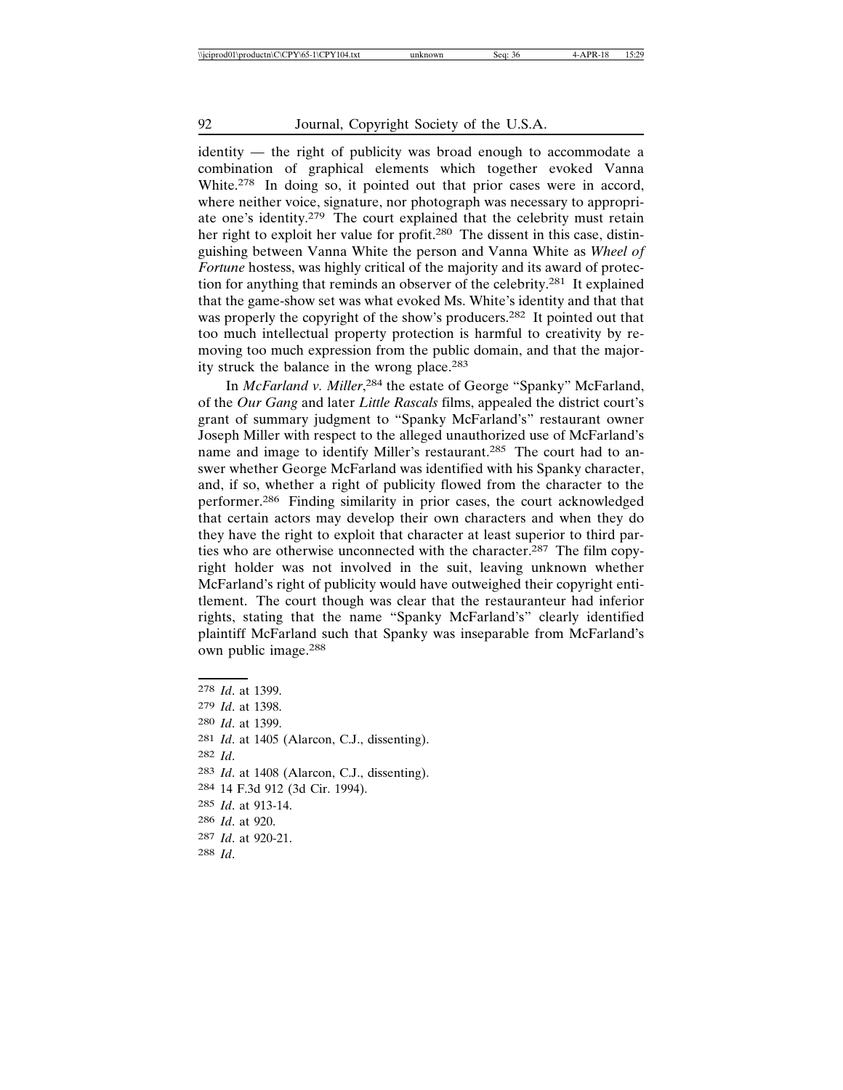identity — the right of publicity was broad enough to accommodate a combination of graphical elements which together evoked Vanna White.<sup>278</sup> In doing so, it pointed out that prior cases were in accord, where neither voice, signature, nor photograph was necessary to appropriate one's identity.279 The court explained that the celebrity must retain her right to exploit her value for profit.280 The dissent in this case, distinguishing between Vanna White the person and Vanna White as *Wheel of Fortune* hostess, was highly critical of the majority and its award of protection for anything that reminds an observer of the celebrity.281 It explained that the game-show set was what evoked Ms. White's identity and that that was properly the copyright of the show's producers.<sup>282</sup> It pointed out that too much intellectual property protection is harmful to creativity by removing too much expression from the public domain, and that the majority struck the balance in the wrong place.283

In *McFarland v. Miller*, 284 the estate of George "Spanky" McFarland, of the *Our Gang* and later *Little Rascals* films, appealed the district court's grant of summary judgment to "Spanky McFarland's" restaurant owner Joseph Miller with respect to the alleged unauthorized use of McFarland's name and image to identify Miller's restaurant.285 The court had to answer whether George McFarland was identified with his Spanky character, and, if so, whether a right of publicity flowed from the character to the performer.286 Finding similarity in prior cases, the court acknowledged that certain actors may develop their own characters and when they do they have the right to exploit that character at least superior to third parties who are otherwise unconnected with the character.287 The film copyright holder was not involved in the suit, leaving unknown whether McFarland's right of publicity would have outweighed their copyright entitlement. The court though was clear that the restauranteur had inferior rights, stating that the name "Spanky McFarland's" clearly identified plaintiff McFarland such that Spanky was inseparable from McFarland's own public image.288

- 281 *Id*. at 1405 (Alarcon, C.J., dissenting).
- 282 *Id*.
- 283 *Id*. at 1408 (Alarcon, C.J., dissenting).
- 284 14 F.3d 912 (3d Cir. 1994).
- 285 *Id*. at 913-14.
- 286 *Id*. at 920.
- 287 *Id*. at 920-21.
- 288 *Id*.

<sup>278</sup> *Id*. at 1399.

<sup>279</sup> *Id*. at 1398.

<sup>280</sup> *Id*. at 1399.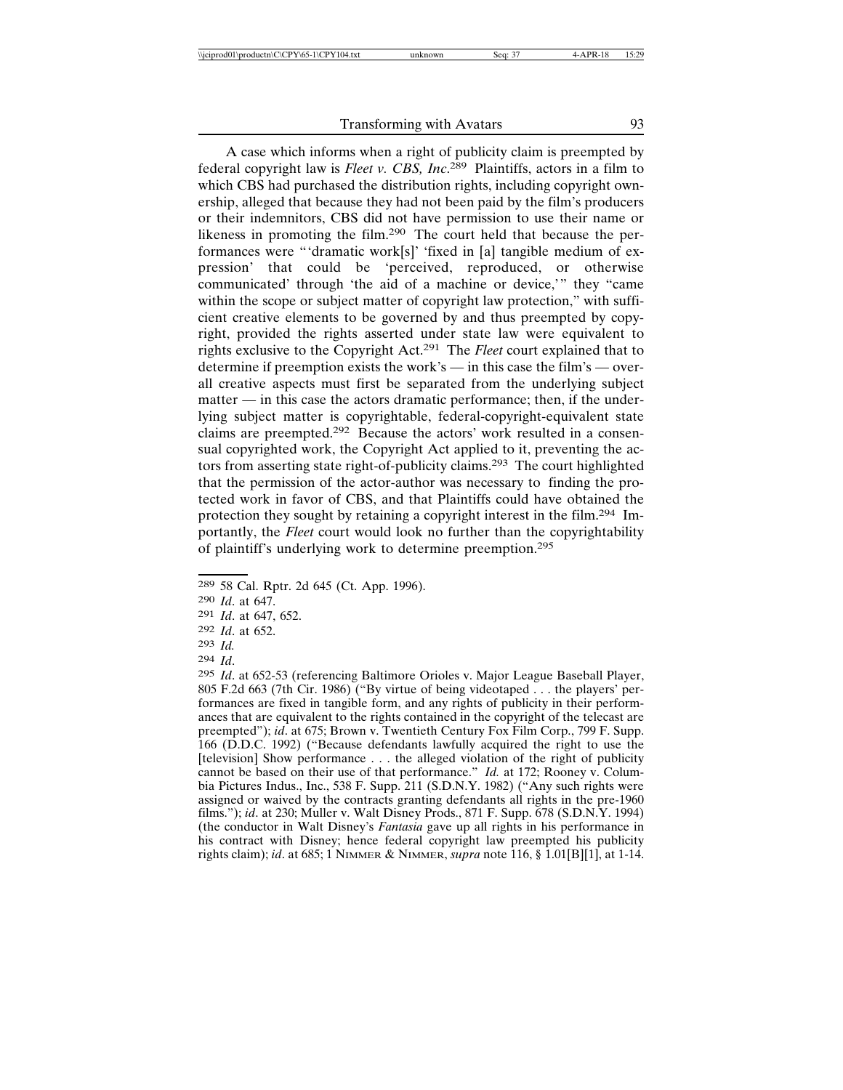A case which informs when a right of publicity claim is preempted by federal copyright law is *Fleet v. CBS, Inc*. 289 Plaintiffs, actors in a film to which CBS had purchased the distribution rights, including copyright ownership, alleged that because they had not been paid by the film's producers or their indemnitors, CBS did not have permission to use their name or likeness in promoting the film.290 The court held that because the performances were "'dramatic work[s]' 'fixed in [a] tangible medium of expression' that could be 'perceived, reproduced, or otherwise communicated' through 'the aid of a machine or device,'" they "came within the scope or subject matter of copyright law protection," with sufficient creative elements to be governed by and thus preempted by copyright, provided the rights asserted under state law were equivalent to rights exclusive to the Copyright Act.291 The *Fleet* court explained that to determine if preemption exists the work's — in this case the film's — overall creative aspects must first be separated from the underlying subject matter — in this case the actors dramatic performance; then, if the underlying subject matter is copyrightable, federal-copyright-equivalent state claims are preempted.292 Because the actors' work resulted in a consensual copyrighted work, the Copyright Act applied to it, preventing the actors from asserting state right-of-publicity claims.<sup>293</sup> The court highlighted that the permission of the actor-author was necessary to finding the protected work in favor of CBS, and that Plaintiffs could have obtained the protection they sought by retaining a copyright interest in the film.294 Importantly, the *Fleet* court would look no further than the copyrightability of plaintiff's underlying work to determine preemption.295

<sup>289</sup> 58 Cal. Rptr. 2d 645 (Ct. App. 1996).

<sup>290</sup> *Id*. at 647.

<sup>291</sup> *Id*. at 647, 652.

<sup>292</sup> *Id*. at 652.

<sup>293</sup> *Id.*

<sup>294</sup> *Id*.

<sup>295</sup> *Id*. at 652-53 (referencing Baltimore Orioles v. Major League Baseball Player, 805 F.2d 663 (7th Cir. 1986) ("By virtue of being videotaped . . . the players' performances are fixed in tangible form, and any rights of publicity in their performances that are equivalent to the rights contained in the copyright of the telecast are preempted"); *id*. at 675; Brown v. Twentieth Century Fox Film Corp., 799 F. Supp. 166 (D.D.C. 1992) ("Because defendants lawfully acquired the right to use the [television] Show performance . . . the alleged violation of the right of publicity cannot be based on their use of that performance." *Id.* at 172; Rooney v. Columbia Pictures Indus., Inc., 538 F. Supp. 211 (S.D.N.Y. 1982) ("Any such rights were assigned or waived by the contracts granting defendants all rights in the pre-1960 films."); *id*. at 230; Muller v. Walt Disney Prods., 871 F. Supp. 678 (S.D.N.Y. 1994) (the conductor in Walt Disney's *Fantasia* gave up all rights in his performance in his contract with Disney; hence federal copyright law preempted his publicity rights claim); *id*. at 685; 1 NIMMER & NIMMER, *supra* note 116, § 1.01[B][1], at 1-14.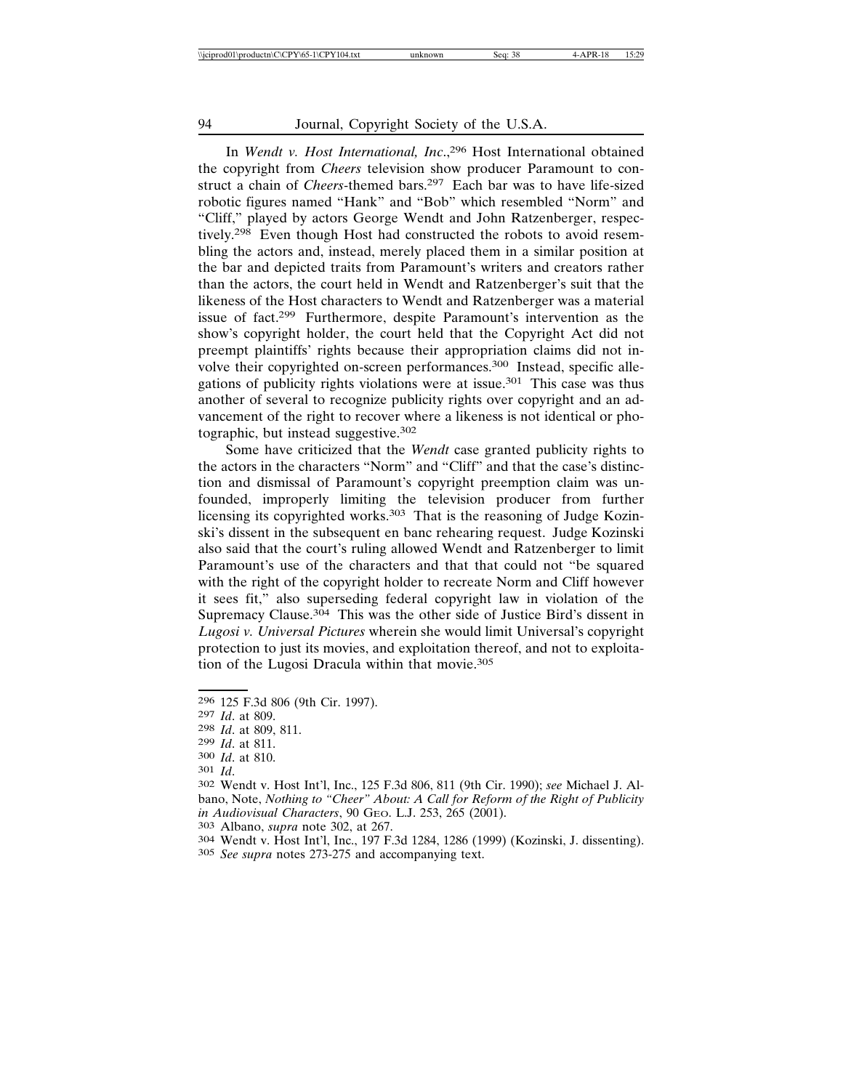In *Wendt v. Host International, Inc.*,<sup>296</sup> Host International obtained the copyright from *Cheers* television show producer Paramount to construct a chain of *Cheers*-themed bars.297 Each bar was to have life-sized robotic figures named "Hank" and "Bob" which resembled "Norm" and "Cliff," played by actors George Wendt and John Ratzenberger, respectively.298 Even though Host had constructed the robots to avoid resembling the actors and, instead, merely placed them in a similar position at the bar and depicted traits from Paramount's writers and creators rather than the actors, the court held in Wendt and Ratzenberger's suit that the likeness of the Host characters to Wendt and Ratzenberger was a material issue of fact.299 Furthermore, despite Paramount's intervention as the show's copyright holder, the court held that the Copyright Act did not preempt plaintiffs' rights because their appropriation claims did not involve their copyrighted on-screen performances.300 Instead, specific allegations of publicity rights violations were at issue.<sup>301</sup> This case was thus another of several to recognize publicity rights over copyright and an advancement of the right to recover where a likeness is not identical or photographic, but instead suggestive.302

Some have criticized that the *Wendt* case granted publicity rights to the actors in the characters "Norm" and "Cliff" and that the case's distinction and dismissal of Paramount's copyright preemption claim was unfounded, improperly limiting the television producer from further licensing its copyrighted works.<sup>303</sup> That is the reasoning of Judge Kozinski's dissent in the subsequent en banc rehearing request. Judge Kozinski also said that the court's ruling allowed Wendt and Ratzenberger to limit Paramount's use of the characters and that that could not "be squared with the right of the copyright holder to recreate Norm and Cliff however it sees fit," also superseding federal copyright law in violation of the Supremacy Clause.<sup>304</sup> This was the other side of Justice Bird's dissent in *Lugosi v. Universal Pictures* wherein she would limit Universal's copyright protection to just its movies, and exploitation thereof, and not to exploitation of the Lugosi Dracula within that movie.<sup>305</sup>

<sup>296</sup> 125 F.3d 806 (9th Cir. 1997).

<sup>297</sup> *Id*. at 809.

<sup>298</sup> *Id*. at 809, 811.

<sup>299</sup> *Id*. at 811.

<sup>300</sup> *Id*. at 810.

<sup>301</sup> *Id*. <sup>302</sup> Wendt v. Host Int'l, Inc., 125 F.3d 806, 811 (9th Cir. 1990); *see* Michael J. Albano, Note, *Nothing to "Cheer" About: A Call for Reform of the Right of Publicity in Audiovisual Characters*, 90 GEO. L.J. 253, 265 (2001).

<sup>303</sup> Albano, *supra* note 302, at 267.

<sup>304</sup> Wendt v. Host Int'l, Inc., 197 F.3d 1284, 1286 (1999) (Kozinski, J. dissenting). 305 *See supra* notes 273-275 and accompanying text.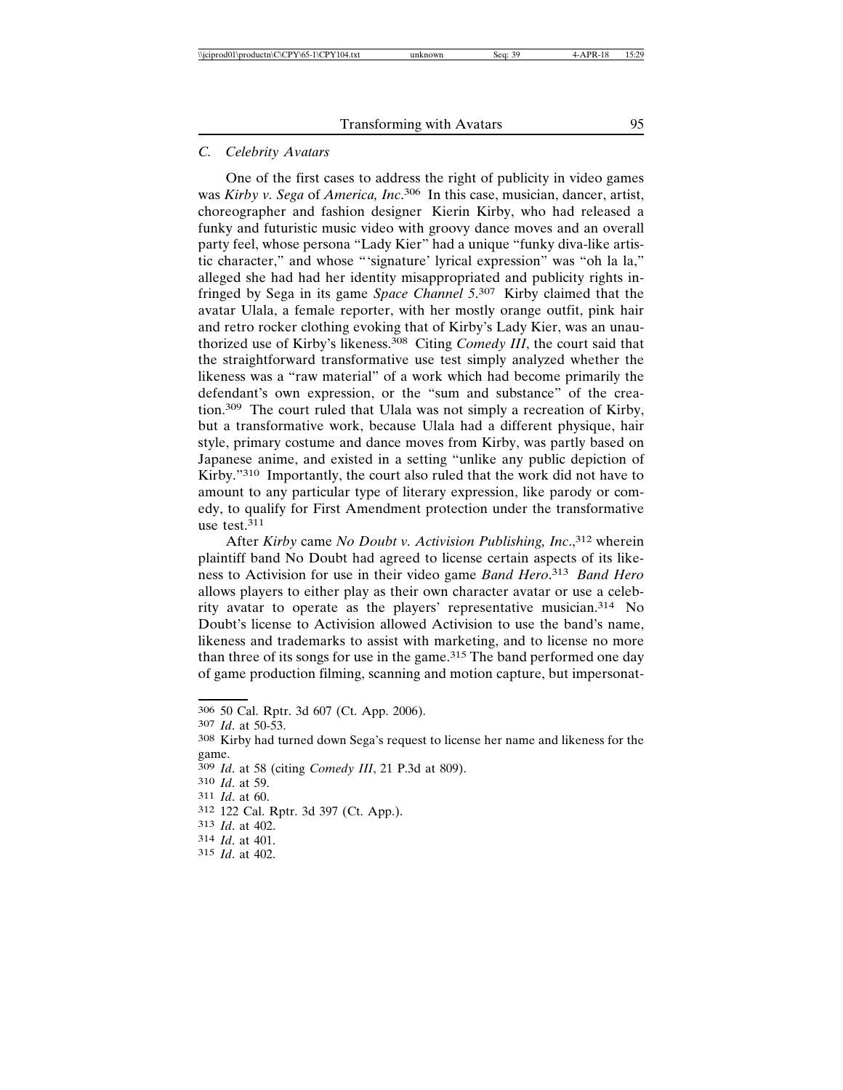### *C. Celebrity Avatars*

One of the first cases to address the right of publicity in video games was *Kirby v. Sega* of *America, Inc*. 306 In this case, musician, dancer, artist, choreographer and fashion designer Kierin Kirby, who had released a funky and futuristic music video with groovy dance moves and an overall party feel, whose persona "Lady Kier" had a unique "funky diva-like artistic character," and whose "'signature' lyrical expression" was "oh la la," alleged she had had her identity misappropriated and publicity rights infringed by Sega in its game *Space Channel 5*. 307 Kirby claimed that the avatar Ulala, a female reporter, with her mostly orange outfit, pink hair and retro rocker clothing evoking that of Kirby's Lady Kier, was an unauthorized use of Kirby's likeness.308 Citing *Comedy III*, the court said that the straightforward transformative use test simply analyzed whether the likeness was a "raw material" of a work which had become primarily the defendant's own expression, or the "sum and substance" of the creation.309 The court ruled that Ulala was not simply a recreation of Kirby, but a transformative work, because Ulala had a different physique, hair style, primary costume and dance moves from Kirby, was partly based on Japanese anime, and existed in a setting "unlike any public depiction of Kirby."310 Importantly, the court also ruled that the work did not have to amount to any particular type of literary expression, like parody or comedy, to qualify for First Amendment protection under the transformative use test.311

After *Kirby* came *No Doubt v. Activision Publishing, Inc*.,312 wherein plaintiff band No Doubt had agreed to license certain aspects of its likeness to Activision for use in their video game *Band Hero*. <sup>313</sup> *Band Hero* allows players to either play as their own character avatar or use a celebrity avatar to operate as the players' representative musician.314 No Doubt's license to Activision allowed Activision to use the band's name, likeness and trademarks to assist with marketing, and to license no more than three of its songs for use in the game. $315$  The band performed one day of game production filming, scanning and motion capture, but impersonat-

<sup>306</sup> 50 Cal. Rptr. 3d 607 (Ct. App. 2006).

<sup>307</sup> *Id*. at 50-53.

<sup>308</sup> Kirby had turned down Sega's request to license her name and likeness for the game.

<sup>309</sup> *Id*. at 58 (citing *Comedy III*, 21 P.3d at 809).

<sup>310</sup> *Id*. at 59.

<sup>311</sup> *Id*. at 60.

<sup>312</sup> 122 Cal. Rptr. 3d 397 (Ct. App.).

<sup>313</sup> *Id*. at 402.

<sup>314</sup> *Id*. at 401.

<sup>315</sup> *Id*. at 402.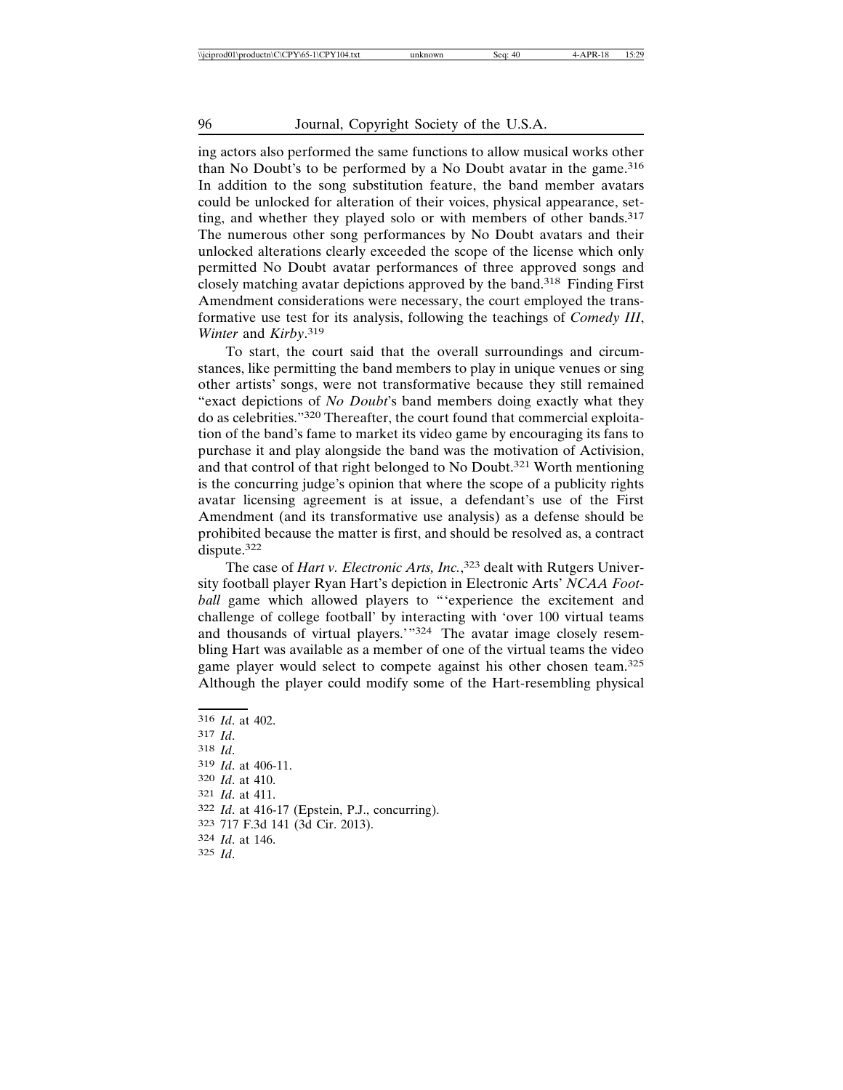ing actors also performed the same functions to allow musical works other than No Doubt's to be performed by a No Doubt avatar in the game.316 In addition to the song substitution feature, the band member avatars could be unlocked for alteration of their voices, physical appearance, setting, and whether they played solo or with members of other bands.<sup>317</sup> The numerous other song performances by No Doubt avatars and their unlocked alterations clearly exceeded the scope of the license which only permitted No Doubt avatar performances of three approved songs and closely matching avatar depictions approved by the band.318 Finding First Amendment considerations were necessary, the court employed the transformative use test for its analysis, following the teachings of *Comedy III*, *Winter* and *Kirby*. 319

To start, the court said that the overall surroundings and circumstances, like permitting the band members to play in unique venues or sing other artists' songs, were not transformative because they still remained "exact depictions of *No Doubt*'s band members doing exactly what they do as celebrities."320 Thereafter, the court found that commercial exploitation of the band's fame to market its video game by encouraging its fans to purchase it and play alongside the band was the motivation of Activision, and that control of that right belonged to No Doubt.321 Worth mentioning is the concurring judge's opinion that where the scope of a publicity rights avatar licensing agreement is at issue, a defendant's use of the First Amendment (and its transformative use analysis) as a defense should be prohibited because the matter is first, and should be resolved as, a contract dispute.<sup>322</sup>

The case of *Hart v. Electronic Arts, Inc.*, 323 dealt with Rutgers University football player Ryan Hart's depiction in Electronic Arts' *NCAA Football* game which allowed players to "'experience the excitement and challenge of college football' by interacting with 'over 100 virtual teams and thousands of virtual players.'"324 The avatar image closely resembling Hart was available as a member of one of the virtual teams the video game player would select to compete against his other chosen team.<sup>325</sup> Although the player could modify some of the Hart-resembling physical

 *Id*. at 402. 317 *Id*. 318 *Id*. *Id*. at 406-11. *Id*. at 410. *Id*. at 411. *Id*. at 416-17 (Epstein, P.J., concurring). 717 F.3d 141 (3d Cir. 2013). *Id*. at 146. 325 *Id*.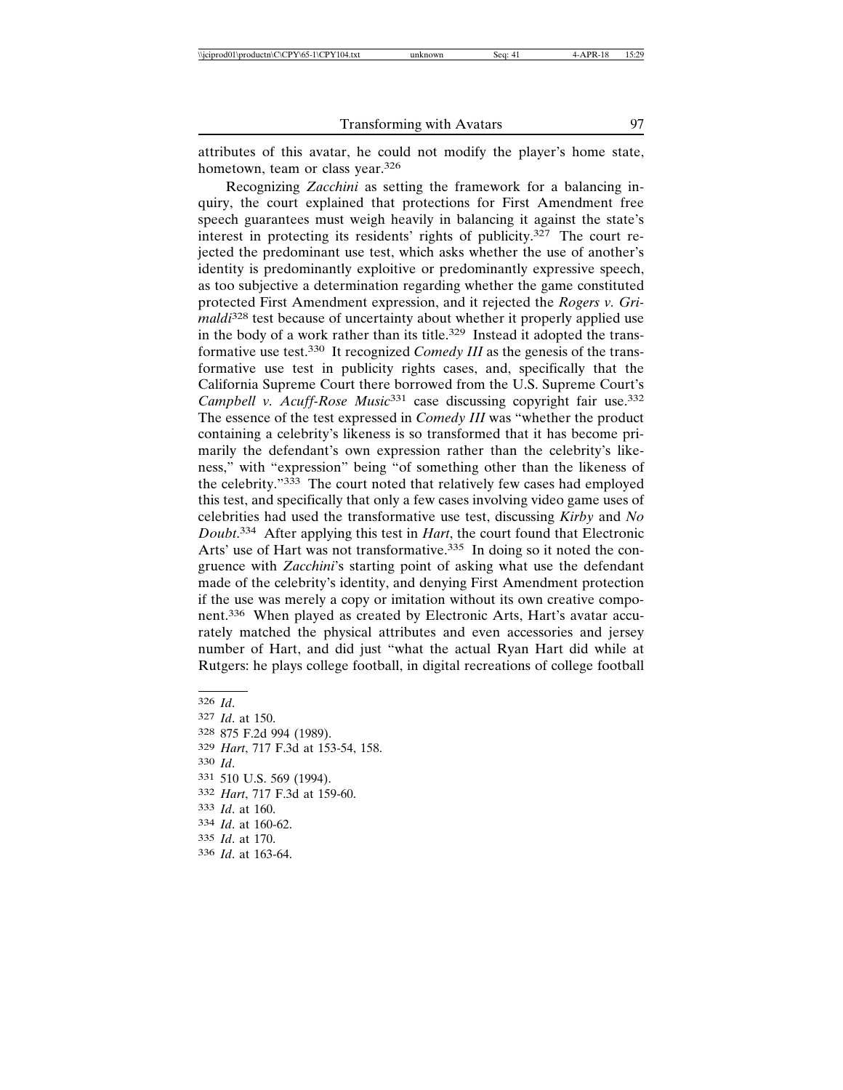|  | \\iciprod01\productn\C\CPY\65-1\CPY104.txt | unknown | Seg: 41 | $4-APR-18$ | 15:29 |
|--|--------------------------------------------|---------|---------|------------|-------|
|--|--------------------------------------------|---------|---------|------------|-------|

attributes of this avatar, he could not modify the player's home state, hometown, team or class year.326

Recognizing *Zacchini* as setting the framework for a balancing inquiry, the court explained that protections for First Amendment free speech guarantees must weigh heavily in balancing it against the state's interest in protecting its residents' rights of publicity.<sup>327</sup> The court rejected the predominant use test, which asks whether the use of another's identity is predominantly exploitive or predominantly expressive speech, as too subjective a determination regarding whether the game constituted protected First Amendment expression, and it rejected the *Rogers v. Grimaldi*328 test because of uncertainty about whether it properly applied use in the body of a work rather than its title.<sup>329</sup> Instead it adopted the transformative use test.330 It recognized *Comedy III* as the genesis of the transformative use test in publicity rights cases, and, specifically that the California Supreme Court there borrowed from the U.S. Supreme Court's *Campbell v. Acuff-Rose Music*331 case discussing copyright fair use.332 The essence of the test expressed in *Comedy III* was "whether the product containing a celebrity's likeness is so transformed that it has become primarily the defendant's own expression rather than the celebrity's likeness," with "expression" being "of something other than the likeness of the celebrity."333 The court noted that relatively few cases had employed this test, and specifically that only a few cases involving video game uses of celebrities had used the transformative use test, discussing *Kirby* and *No Doubt*. 334 After applying this test in *Hart*, the court found that Electronic Arts' use of Hart was not transformative.<sup>335</sup> In doing so it noted the congruence with *Zacchini*'s starting point of asking what use the defendant made of the celebrity's identity, and denying First Amendment protection if the use was merely a copy or imitation without its own creative component.336 When played as created by Electronic Arts, Hart's avatar accurately matched the physical attributes and even accessories and jersey number of Hart, and did just "what the actual Ryan Hart did while at Rutgers: he plays college football, in digital recreations of college football

- 328 875 F.2d 994 (1989).
- 329 *Hart*, 717 F.3d at 153-54, 158.

330 *Id*.

- 331 510 U.S. 569 (1994).
- 332 *Hart*, 717 F.3d at 159-60.
- 333 *Id*. at 160.
- 334 *Id*. at 160-62.
- 335 *Id*. at 170.
- 336 *Id*. at 163-64.

<sup>326</sup> *Id*.

<sup>327</sup> *Id*. at 150.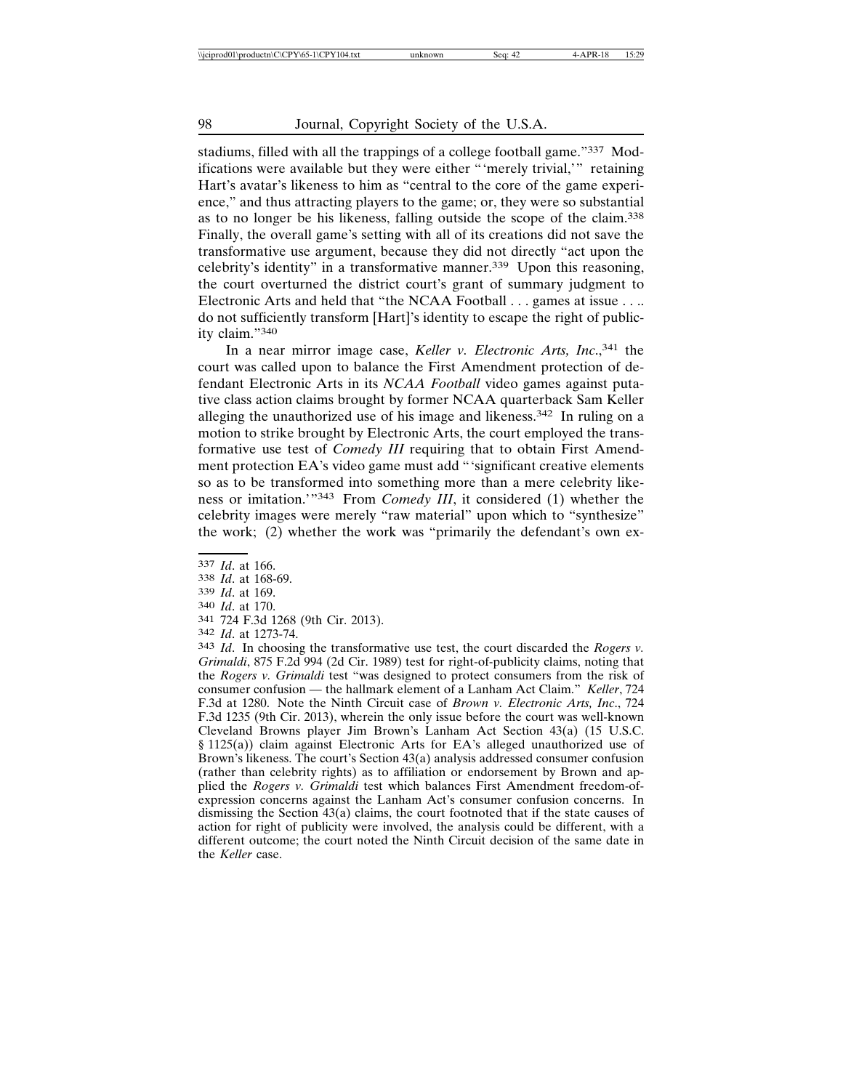stadiums, filled with all the trappings of a college football game."337 Modifications were available but they were either "'merely trivial,'" retaining Hart's avatar's likeness to him as "central to the core of the game experience," and thus attracting players to the game; or, they were so substantial as to no longer be his likeness, falling outside the scope of the claim.338 Finally, the overall game's setting with all of its creations did not save the transformative use argument, because they did not directly "act upon the celebrity's identity" in a transformative manner.339 Upon this reasoning, the court overturned the district court's grant of summary judgment to Electronic Arts and held that "the NCAA Football . . . games at issue . . . . do not sufficiently transform [Hart]'s identity to escape the right of publicity claim."340

In a near mirror image case, *Keller v. Electronic Arts*, *Inc.*<sup>341</sup> the court was called upon to balance the First Amendment protection of defendant Electronic Arts in its *NCAA Football* video games against putative class action claims brought by former NCAA quarterback Sam Keller alleging the unauthorized use of his image and likeness.342 In ruling on a motion to strike brought by Electronic Arts, the court employed the transformative use test of *Comedy III* requiring that to obtain First Amendment protection EA's video game must add "'significant creative elements so as to be transformed into something more than a mere celebrity likeness or imitation.'"343 From *Comedy III*, it considered (1) whether the celebrity images were merely "raw material" upon which to "synthesize" the work; (2) whether the work was "primarily the defendant's own ex-

339 *Id*. at 169.

340 *Id*. at 170.

341 724 F.3d 1268 (9th Cir. 2013).

<sup>337</sup> *Id*. at 166.

<sup>338</sup> *Id*. at 168-69.

<sup>342</sup> *Id*. at 1273-74.

<sup>343</sup> *Id*. In choosing the transformative use test, the court discarded the *Rogers v. Grimaldi*, 875 F.2d 994 (2d Cir. 1989) test for right-of-publicity claims, noting that the *Rogers v. Grimaldi* test "was designed to protect consumers from the risk of consumer confusion — the hallmark element of a Lanham Act Claim." *Keller*, 724 F.3d at 1280. Note the Ninth Circuit case of *Brown v. Electronic Arts, Inc*., 724 F.3d 1235 (9th Cir. 2013), wherein the only issue before the court was well-known Cleveland Browns player Jim Brown's Lanham Act Section 43(a) (15 U.S.C. § 1125(a)) claim against Electronic Arts for EA's alleged unauthorized use of Brown's likeness. The court's Section 43(a) analysis addressed consumer confusion (rather than celebrity rights) as to affiliation or endorsement by Brown and applied the *Rogers v. Grimaldi* test which balances First Amendment freedom-ofexpression concerns against the Lanham Act's consumer confusion concerns. In dismissing the Section 43(a) claims, the court footnoted that if the state causes of action for right of publicity were involved, the analysis could be different, with a different outcome; the court noted the Ninth Circuit decision of the same date in the *Keller* case.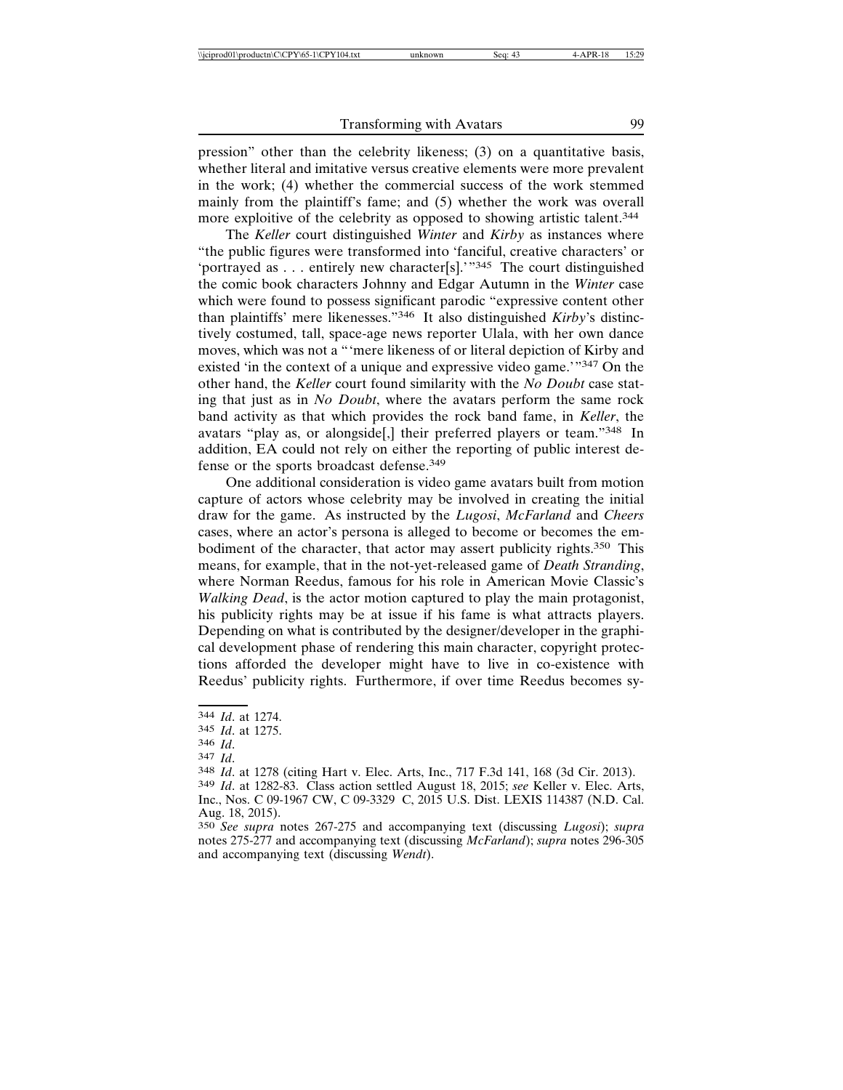pression" other than the celebrity likeness; (3) on a quantitative basis, whether literal and imitative versus creative elements were more prevalent in the work; (4) whether the commercial success of the work stemmed mainly from the plaintiff's fame; and (5) whether the work was overall more exploitive of the celebrity as opposed to showing artistic talent.<sup>344</sup>

The *Keller* court distinguished *Winter* and *Kirby* as instances where "the public figures were transformed into 'fanciful, creative characters' or 'portrayed as . . . entirely new character[s].'"345 The court distinguished the comic book characters Johnny and Edgar Autumn in the *Winter* case which were found to possess significant parodic "expressive content other than plaintiffs' mere likenesses."346 It also distinguished *Kirby*'s distinctively costumed, tall, space-age news reporter Ulala, with her own dance moves, which was not a "'mere likeness of or literal depiction of Kirby and existed 'in the context of a unique and expressive video game.'"347 On the other hand, the *Keller* court found similarity with the *No Doubt* case stating that just as in *No Doubt*, where the avatars perform the same rock band activity as that which provides the rock band fame, in *Keller*, the avatars "play as, or alongside[,] their preferred players or team."348 In addition, EA could not rely on either the reporting of public interest defense or the sports broadcast defense.<sup>349</sup>

One additional consideration is video game avatars built from motion capture of actors whose celebrity may be involved in creating the initial draw for the game. As instructed by the *Lugosi*, *McFarland* and *Cheers* cases, where an actor's persona is alleged to become or becomes the embodiment of the character, that actor may assert publicity rights.350 This means, for example, that in the not-yet-released game of *Death Stranding*, where Norman Reedus, famous for his role in American Movie Classic's *Walking Dead*, is the actor motion captured to play the main protagonist, his publicity rights may be at issue if his fame is what attracts players. Depending on what is contributed by the designer/developer in the graphical development phase of rendering this main character, copyright protections afforded the developer might have to live in co-existence with Reedus' publicity rights. Furthermore, if over time Reedus becomes sy-

<sup>344</sup> *Id*. at 1274.

<sup>345</sup> *Id*. at 1275.

<sup>346</sup> *Id*. <sup>347</sup> *Id*. <sup>348</sup> *Id*. at 1278 (citing Hart v. Elec. Arts, Inc., 717 F.3d 141, 168 (3d Cir. 2013).

<sup>349</sup> *Id*. at 1282-83. Class action settled August 18, 2015; *see* Keller v. Elec. Arts, Inc., Nos. C 09-1967 CW, C 09-3329 C, 2015 U.S. Dist. LEXIS 114387 (N.D. Cal. Aug. 18, 2015).

<sup>350</sup> *See supra* notes 267-275 and accompanying text (discussing *Lugosi*); *supra* notes 275-277 and accompanying text (discussing *McFarland*); *supra* notes 296-305 and accompanying text (discussing *Wendt*).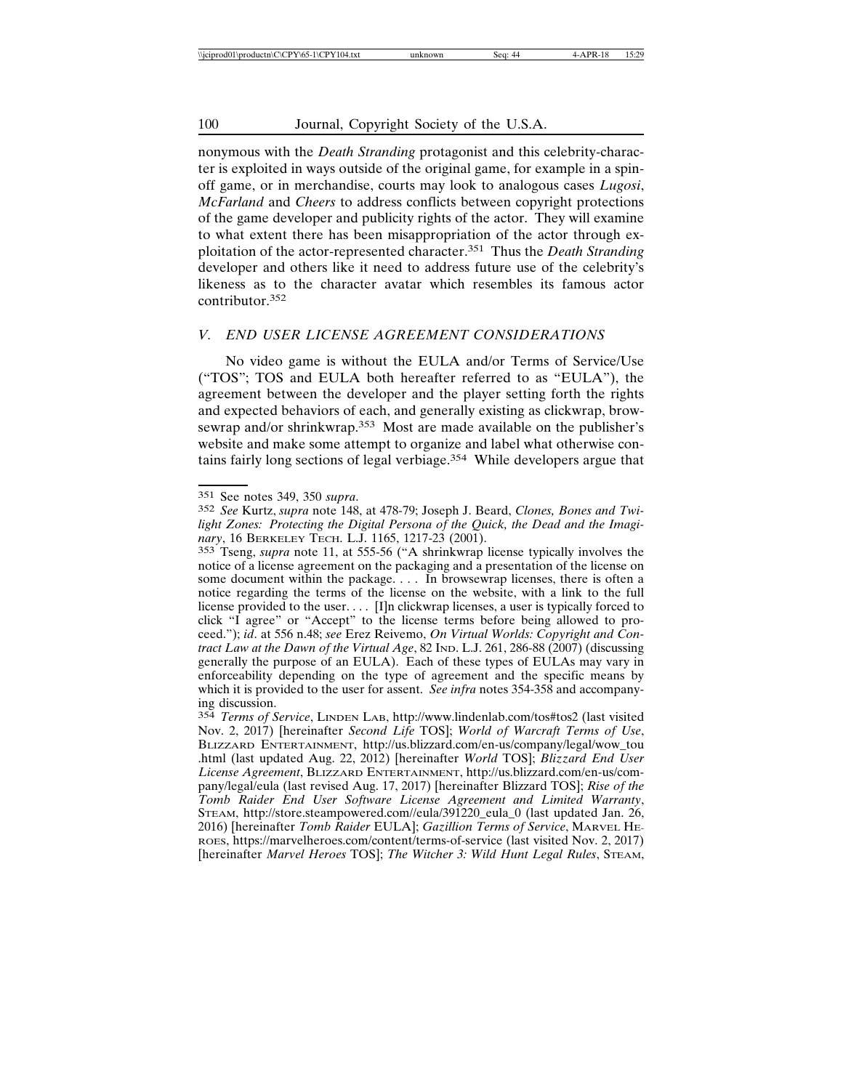nonymous with the *Death Stranding* protagonist and this celebrity-character is exploited in ways outside of the original game, for example in a spinoff game, or in merchandise, courts may look to analogous cases *Lugosi*, *McFarland* and *Cheers* to address conflicts between copyright protections of the game developer and publicity rights of the actor. They will examine to what extent there has been misappropriation of the actor through exploitation of the actor-represented character.351 Thus the *Death Stranding* developer and others like it need to address future use of the celebrity's likeness as to the character avatar which resembles its famous actor contributor.<sup>352</sup>

### *V. END USER LICENSE AGREEMENT CONSIDERATIONS*

No video game is without the EULA and/or Terms of Service/Use ("TOS"; TOS and EULA both hereafter referred to as "EULA"), the agreement between the developer and the player setting forth the rights and expected behaviors of each, and generally existing as clickwrap, browsewrap and/or shrinkwrap.353 Most are made available on the publisher's website and make some attempt to organize and label what otherwise contains fairly long sections of legal verbiage.354 While developers argue that

<sup>351</sup> See notes 349, 350 *supra*. <sup>352</sup> *See* Kurtz, *supra* note 148, at 478-79; Joseph J. Beard, *Clones, Bones and Twilight Zones: Protecting the Digital Persona of the Quick, the Dead and the Imaginary*, 16 BERKELEY TECH. L.J. 1165, 1217-23 (2001).

<sup>353</sup> Tseng, *supra* note 11, at 555-56 ("A shrinkwrap license typically involves the notice of a license agreement on the packaging and a presentation of the license on some document within the package. . . . In browsewrap licenses, there is often a notice regarding the terms of the license on the website, with a link to the full license provided to the user. . . . [I]n clickwrap licenses, a user is typically forced to click "I agree" or "Accept" to the license terms before being allowed to proceed."); *id*. at 556 n.48; *see* Erez Reivemo, *On Virtual Worlds: Copyright and Contract Law at the Dawn of the Virtual Age*, 82 IND. L.J. 261, 286-88 (2007) (discussing generally the purpose of an EULA). Each of these types of EULAs may vary in enforceability depending on the type of agreement and the specific means by which it is provided to the user for assent. *See infra* notes 354-358 and accompanying discussion.

<sup>354</sup> *Terms of Service*, LINDEN LAB, http://www.lindenlab.com/tos#tos2 (last visited Nov. 2, 2017) [hereinafter *Second Life* TOS]; *World of Warcraft Terms of Use*, BLIZZARD ENTERTAINMENT, http://us.blizzard.com/en-us/company/legal/wow\_tou .html (last updated Aug. 22, 2012) [hereinafter *World* TOS]; *Blizzard End User License Agreement*, BLIZZARD ENTERTAINMENT, http://us.blizzard.com/en-us/company/legal/eula (last revised Aug. 17, 2017) [hereinafter Blizzard TOS]; *Rise of the Tomb Raider End User Software License Agreement and Limited Warranty*, STEAM, http://store.steampowered.com//eula/391220\_eula\_0 (last updated Jan. 26, 2016) [hereinafter *Tomb Raider* EULA]; *Gazillion Terms of Service*, MARVEL HE-ROES, https://marvelheroes.com/content/terms-of-service (last visited Nov. 2, 2017) [hereinafter *Marvel Heroes* TOS]; *The Witcher 3: Wild Hunt Legal Rules*, STEAM,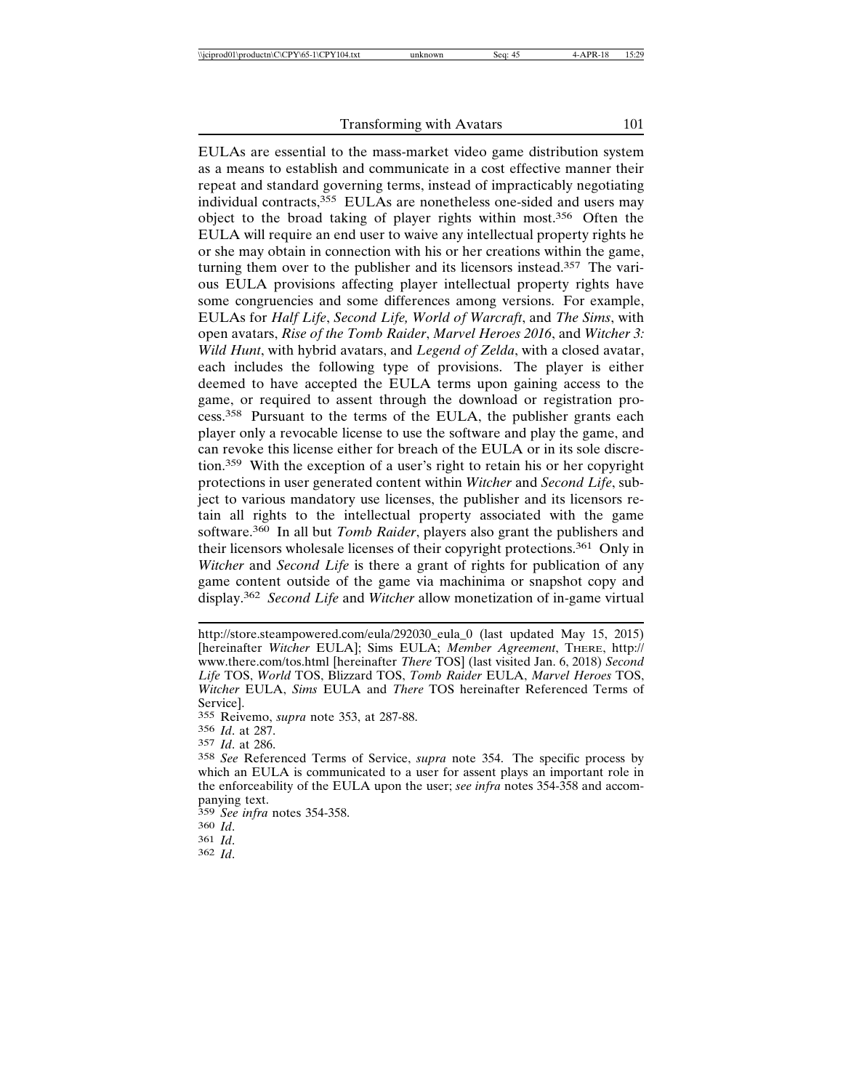EULAs are essential to the mass-market video game distribution system as a means to establish and communicate in a cost effective manner their repeat and standard governing terms, instead of impracticably negotiating individual contracts,<sup>355</sup> EULAs are nonetheless one-sided and users may object to the broad taking of player rights within most.356 Often the EULA will require an end user to waive any intellectual property rights he or she may obtain in connection with his or her creations within the game, turning them over to the publisher and its licensors instead.<sup>357</sup> The various EULA provisions affecting player intellectual property rights have some congruencies and some differences among versions. For example, EULAs for *Half Life*, *Second Life, World of Warcraft*, and *The Sims*, with open avatars, *Rise of the Tomb Raider*, *Marvel Heroes 2016*, and *Witcher 3: Wild Hunt*, with hybrid avatars, and *Legend of Zelda*, with a closed avatar, each includes the following type of provisions. The player is either deemed to have accepted the EULA terms upon gaining access to the game, or required to assent through the download or registration process.358 Pursuant to the terms of the EULA, the publisher grants each player only a revocable license to use the software and play the game, and can revoke this license either for breach of the EULA or in its sole discretion.359 With the exception of a user's right to retain his or her copyright protections in user generated content within *Witcher* and *Second Life*, subject to various mandatory use licenses, the publisher and its licensors retain all rights to the intellectual property associated with the game software.360 In all but *Tomb Raider*, players also grant the publishers and their licensors wholesale licenses of their copyright protections.361 Only in *Witcher* and *Second Life* is there a grant of rights for publication of any game content outside of the game via machinima or snapshot copy and display.<sup>362</sup> *Second Life* and *Witcher* allow monetization of in-game virtual

357 *Id*. at 286.

http://store.steampowered.com/eula/292030\_eula\_0 (last updated May 15, 2015) [hereinafter *Witcher* EULA]; Sims EULA; *Member Agreement*, THERE, http:// www.there.com/tos.html [hereinafter *There* TOS] (last visited Jan. 6, 2018) *Second Life* TOS, *World* TOS, Blizzard TOS, *Tomb Raider* EULA, *Marvel Heroes* TOS, *Witcher* EULA, *Sims* EULA and *There* TOS hereinafter Referenced Terms of Service].

<sup>355</sup> Reivemo, *supra* note 353, at 287-88.

<sup>356</sup> *Id*. at 287.

<sup>358</sup> *See* Referenced Terms of Service, *supra* note 354. The specific process by which an EULA is communicated to a user for assent plays an important role in the enforceability of the EULA upon the user; *see infra* notes 354-358 and accompanying text.

<sup>359</sup> *See infra* notes 354-358.

<sup>360</sup> *Id*. 361 *Id*. 362 *Id*.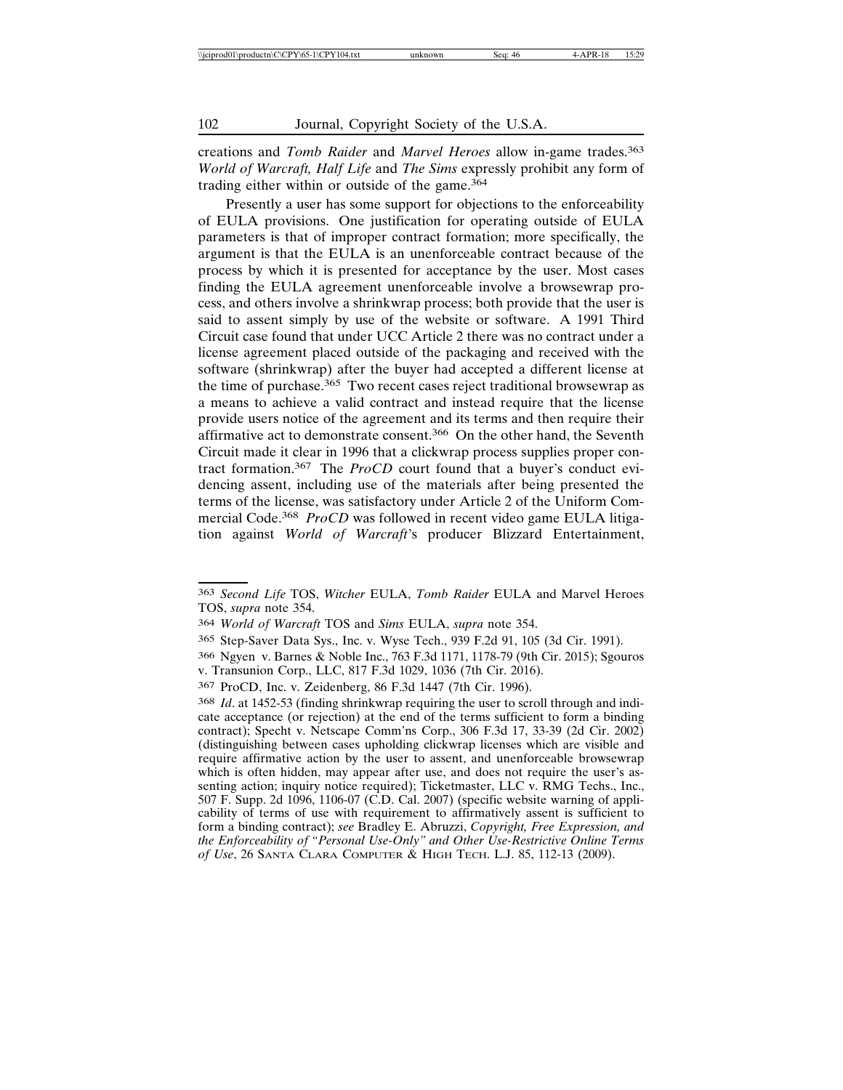\\jciprod01\productn\C\CPY\65-1\CPY104.txt unknown Seq: 46 4-APR-18 15:29

102 Journal, Copyright Society of the U.S.A.

creations and *Tomb Raider* and *Marvel Heroes* allow in-game trades.363 *World of Warcraft, Half Life* and *The Sims* expressly prohibit any form of trading either within or outside of the game.364

Presently a user has some support for objections to the enforceability of EULA provisions. One justification for operating outside of EULA parameters is that of improper contract formation; more specifically, the argument is that the EULA is an unenforceable contract because of the process by which it is presented for acceptance by the user. Most cases finding the EULA agreement unenforceable involve a browsewrap process, and others involve a shrinkwrap process; both provide that the user is said to assent simply by use of the website or software. A 1991 Third Circuit case found that under UCC Article 2 there was no contract under a license agreement placed outside of the packaging and received with the software (shrinkwrap) after the buyer had accepted a different license at the time of purchase.365 Two recent cases reject traditional browsewrap as a means to achieve a valid contract and instead require that the license provide users notice of the agreement and its terms and then require their affirmative act to demonstrate consent.366 On the other hand, the Seventh Circuit made it clear in 1996 that a clickwrap process supplies proper contract formation.367 The *ProCD* court found that a buyer's conduct evidencing assent, including use of the materials after being presented the terms of the license, was satisfactory under Article 2 of the Uniform Commercial Code.368 *ProCD* was followed in recent video game EULA litigation against *World of Warcraft*'s producer Blizzard Entertainment,

<sup>363</sup> *Second Life* TOS, *Witcher* EULA, *Tomb Raider* EULA and Marvel Heroes TOS, *supra* note 354.

<sup>364</sup> *World of Warcraft* TOS and *Sims* EULA, *supra* note 354.

<sup>365</sup> Step-Saver Data Sys., Inc. v. Wyse Tech., 939 F.2d 91, 105 (3d Cir. 1991).

<sup>366</sup> Ngyen v. Barnes & Noble Inc., 763 F.3d 1171, 1178-79 (9th Cir. 2015); Sgouros v. Transunion Corp., LLC, 817 F.3d 1029, 1036 (7th Cir. 2016).

<sup>367</sup> ProCD, Inc. v. Zeidenberg, 86 F.3d 1447 (7th Cir. 1996).

<sup>368</sup> *Id*. at 1452-53 (finding shrinkwrap requiring the user to scroll through and indicate acceptance (or rejection) at the end of the terms sufficient to form a binding contract); Specht v. Netscape Comm'ns Corp., 306 F.3d 17, 33-39 (2d Cir. 2002) (distinguishing between cases upholding clickwrap licenses which are visible and require affirmative action by the user to assent, and unenforceable browsewrap which is often hidden, may appear after use, and does not require the user's assenting action; inquiry notice required); Ticketmaster, LLC v. RMG Techs., Inc., 507 F. Supp. 2d 1096, 1106-07 (C.D. Cal. 2007) (specific website warning of applicability of terms of use with requirement to affirmatively assent is sufficient to form a binding contract); *see* Bradley E. Abruzzi, *Copyright, Free Expression, and the Enforceability of "Personal Use-Only" and Other Use-Restrictive Online Terms of Use*, 26 SANTA CLARA COMPUTER & HIGH TECH. L.J. 85, 112-13 (2009).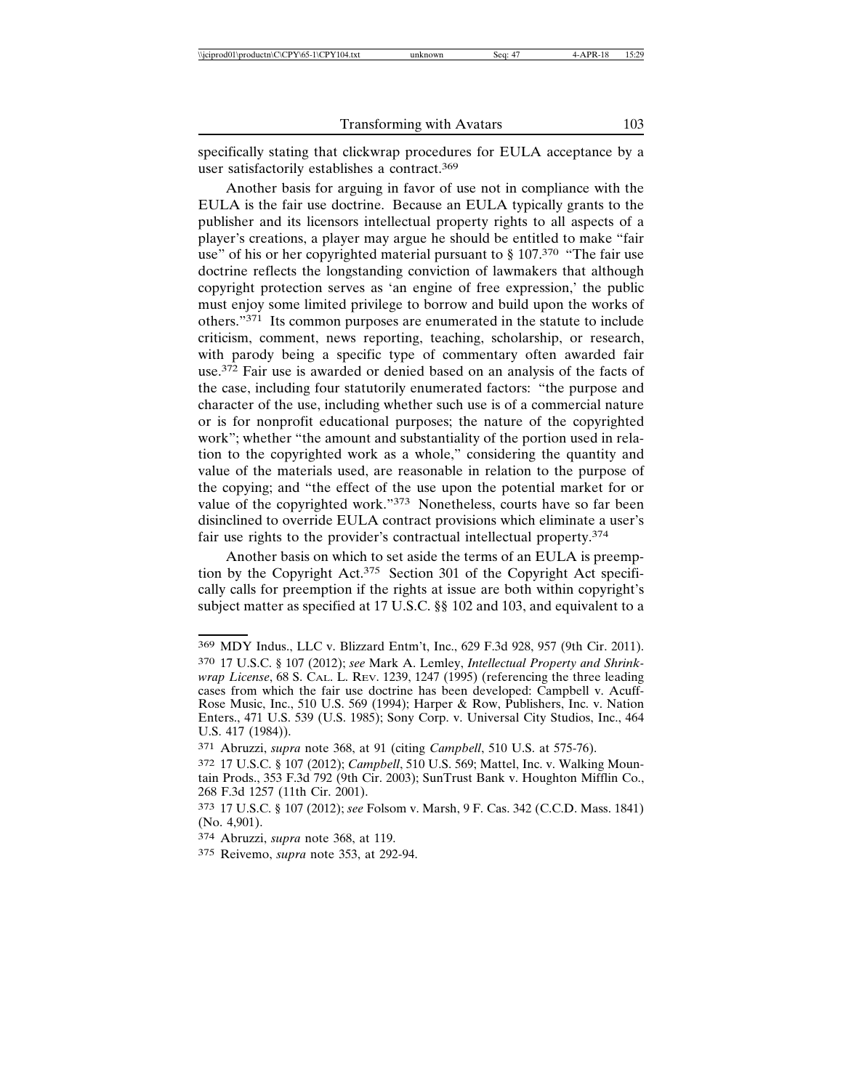|  | \\iciprod01\productn\C\CPY\65-1\CPY104.txt | unknown | Seq: 47 | $4-APR-18$ | 15:29 |
|--|--------------------------------------------|---------|---------|------------|-------|
|--|--------------------------------------------|---------|---------|------------|-------|

specifically stating that clickwrap procedures for EULA acceptance by a user satisfactorily establishes a contract.369

Another basis for arguing in favor of use not in compliance with the EULA is the fair use doctrine. Because an EULA typically grants to the publisher and its licensors intellectual property rights to all aspects of a player's creations, a player may argue he should be entitled to make "fair use" of his or her copyrighted material pursuant to  $\S 107.370$  "The fair use doctrine reflects the longstanding conviction of lawmakers that although copyright protection serves as 'an engine of free expression,' the public must enjoy some limited privilege to borrow and build upon the works of others."371 Its common purposes are enumerated in the statute to include criticism, comment, news reporting, teaching, scholarship, or research, with parody being a specific type of commentary often awarded fair use.372 Fair use is awarded or denied based on an analysis of the facts of the case, including four statutorily enumerated factors: "the purpose and character of the use, including whether such use is of a commercial nature or is for nonprofit educational purposes; the nature of the copyrighted work"; whether "the amount and substantiality of the portion used in relation to the copyrighted work as a whole," considering the quantity and value of the materials used, are reasonable in relation to the purpose of the copying; and "the effect of the use upon the potential market for or value of the copyrighted work."373 Nonetheless, courts have so far been disinclined to override EULA contract provisions which eliminate a user's fair use rights to the provider's contractual intellectual property.374

Another basis on which to set aside the terms of an EULA is preemption by the Copyright Act.375 Section 301 of the Copyright Act specifically calls for preemption if the rights at issue are both within copyright's subject matter as specified at 17 U.S.C. §§ 102 and 103, and equivalent to a

<sup>369</sup> MDY Indus., LLC v. Blizzard Entm't, Inc., 629 F.3d 928, 957 (9th Cir. 2011). 370 17 U.S.C. § 107 (2012); *see* Mark A. Lemley, *Intellectual Property and Shrinkwrap License*, 68 S. CAL. L. REV. 1239, 1247 (1995) (referencing the three leading cases from which the fair use doctrine has been developed: Campbell v. Acuff-Rose Music, Inc., 510 U.S. 569 (1994); Harper & Row, Publishers, Inc. v. Nation Enters., 471 U.S. 539 (U.S. 1985); Sony Corp. v. Universal City Studios, Inc., 464 U.S. 417 (1984)).

<sup>371</sup> Abruzzi, *supra* note 368, at 91 (citing *Campbell*, 510 U.S. at 575-76).

<sup>372</sup> 17 U.S.C. § 107 (2012); *Campbell*, 510 U.S. 569; Mattel, Inc. v. Walking Mountain Prods., 353 F.3d 792 (9th Cir. 2003); SunTrust Bank v. Houghton Mifflin Co., 268 F.3d 1257 (11th Cir. 2001).

<sup>373</sup> 17 U.S.C. § 107 (2012); *see* Folsom v. Marsh, 9 F. Cas. 342 (C.C.D. Mass. 1841) (No. 4,901).

<sup>374</sup> Abruzzi, *supra* note 368, at 119.

<sup>375</sup> Reivemo, *supra* note 353, at 292-94.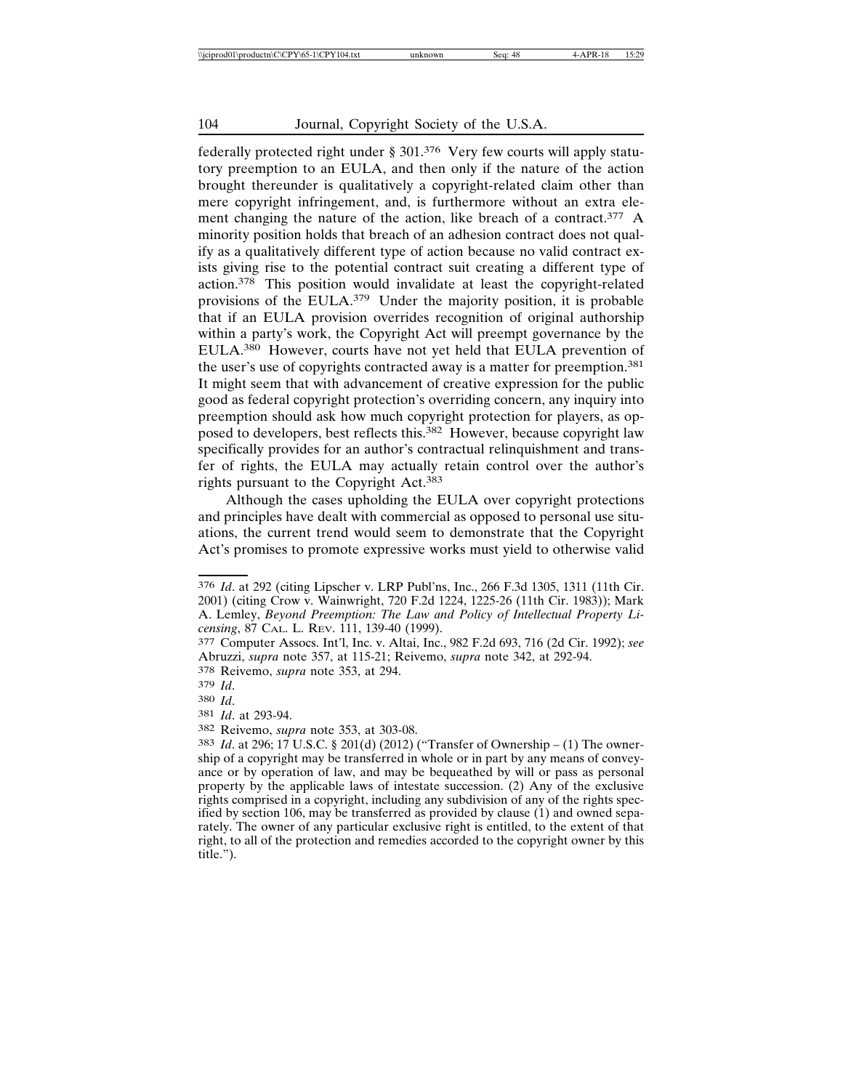federally protected right under § 301.376 Very few courts will apply statutory preemption to an EULA, and then only if the nature of the action brought thereunder is qualitatively a copyright-related claim other than mere copyright infringement, and, is furthermore without an extra element changing the nature of the action, like breach of a contract.<sup>377</sup> A minority position holds that breach of an adhesion contract does not qualify as a qualitatively different type of action because no valid contract exists giving rise to the potential contract suit creating a different type of action.378 This position would invalidate at least the copyright-related provisions of the EULA.379 Under the majority position, it is probable that if an EULA provision overrides recognition of original authorship within a party's work, the Copyright Act will preempt governance by the EULA.380 However, courts have not yet held that EULA prevention of the user's use of copyrights contracted away is a matter for preemption.<sup>381</sup> It might seem that with advancement of creative expression for the public good as federal copyright protection's overriding concern, any inquiry into preemption should ask how much copyright protection for players, as opposed to developers, best reflects this.382 However, because copyright law specifically provides for an author's contractual relinquishment and transfer of rights, the EULA may actually retain control over the author's rights pursuant to the Copyright Act.383

Although the cases upholding the EULA over copyright protections and principles have dealt with commercial as opposed to personal use situations, the current trend would seem to demonstrate that the Copyright Act's promises to promote expressive works must yield to otherwise valid

<sup>376</sup> *Id*. at 292 (citing Lipscher v. LRP Publ'ns, Inc., 266 F.3d 1305, 1311 (11th Cir. 2001) (citing Crow v. Wainwright, 720 F.2d 1224, 1225-26 (11th Cir. 1983)); Mark A. Lemley, *Beyond Preemption: The Law and Policy of Intellectual Property Licensing*, 87 CAL. L. REV. 111, 139-40 (1999).

<sup>377</sup> Computer Assocs. Int'l, Inc. v. Altai, Inc., 982 F.2d 693, 716 (2d Cir. 1992); *see* Abruzzi, *supra* note 357, at 115-21; Reivemo, *supra* note 342, at 292-94.

<sup>378</sup> Reivemo, *supra* note 353, at 294.

<sup>379</sup> *Id*.

<sup>380</sup> *Id*.

<sup>381</sup> *Id*. at 293-94.

<sup>382</sup> Reivemo, *supra* note 353, at 303-08.

<sup>383</sup> *Id*. at 296; 17 U.S.C. § 201(d) (2012) ("Transfer of Ownership – (1) The ownership of a copyright may be transferred in whole or in part by any means of conveyance or by operation of law, and may be bequeathed by will or pass as personal property by the applicable laws of intestate succession. (2) Any of the exclusive rights comprised in a copyright, including any subdivision of any of the rights specified by section 106, may be transferred as provided by clause (1) and owned separately. The owner of any particular exclusive right is entitled, to the extent of that right, to all of the protection and remedies accorded to the copyright owner by this title.").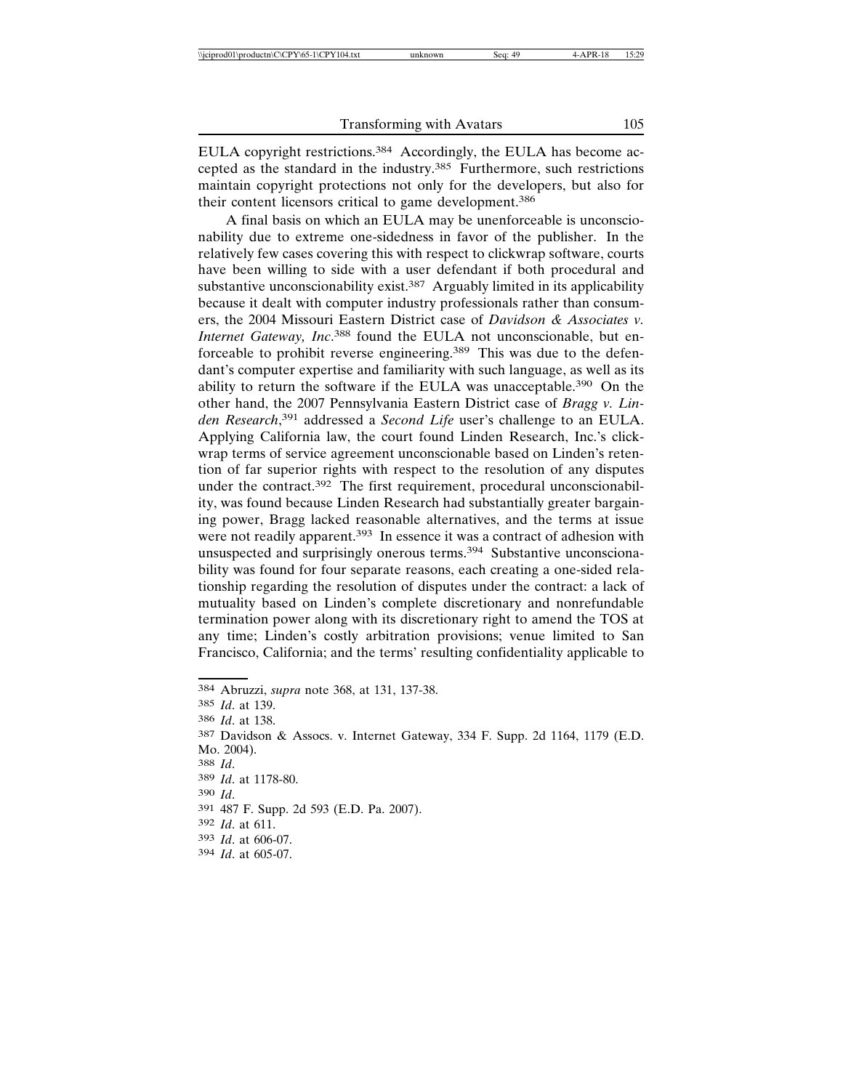EULA copyright restrictions.384 Accordingly, the EULA has become accepted as the standard in the industry.385 Furthermore, such restrictions maintain copyright protections not only for the developers, but also for their content licensors critical to game development.386

A final basis on which an EULA may be unenforceable is unconscionability due to extreme one-sidedness in favor of the publisher. In the relatively few cases covering this with respect to clickwrap software, courts have been willing to side with a user defendant if both procedural and substantive unconscionability exist.<sup>387</sup> Arguably limited in its applicability because it dealt with computer industry professionals rather than consumers, the 2004 Missouri Eastern District case of *Davidson & Associates v. Internet Gateway, Inc*. 388 found the EULA not unconscionable, but enforceable to prohibit reverse engineering.389 This was due to the defendant's computer expertise and familiarity with such language, as well as its ability to return the software if the EULA was unacceptable.390 On the other hand, the 2007 Pennsylvania Eastern District case of *Bragg v. Linden Research*, 391 addressed a *Second Life* user's challenge to an EULA. Applying California law, the court found Linden Research, Inc.'s clickwrap terms of service agreement unconscionable based on Linden's retention of far superior rights with respect to the resolution of any disputes under the contract.<sup>392</sup> The first requirement, procedural unconscionability, was found because Linden Research had substantially greater bargaining power, Bragg lacked reasonable alternatives, and the terms at issue were not readily apparent.<sup>393</sup> In essence it was a contract of adhesion with unsuspected and surprisingly onerous terms.394 Substantive unconscionability was found for four separate reasons, each creating a one-sided relationship regarding the resolution of disputes under the contract: a lack of mutuality based on Linden's complete discretionary and nonrefundable termination power along with its discretionary right to amend the TOS at any time; Linden's costly arbitration provisions; venue limited to San Francisco, California; and the terms' resulting confidentiality applicable to

390 *Id*.

<sup>384</sup> Abruzzi, *supra* note 368, at 131, 137-38.

<sup>385</sup> *Id*. at 139.

<sup>386</sup> *Id*. at 138.

<sup>387</sup> Davidson & Assocs. v. Internet Gateway, 334 F. Supp. 2d 1164, 1179 (E.D. Mo. 2004).

<sup>388</sup> *Id*.

<sup>389</sup> *Id*. at 1178-80.

<sup>391</sup> 487 F. Supp. 2d 593 (E.D. Pa. 2007).

<sup>392</sup> *Id*. at 611.

<sup>393</sup> *Id*. at 606-07.

<sup>394</sup> *Id*. at 605-07.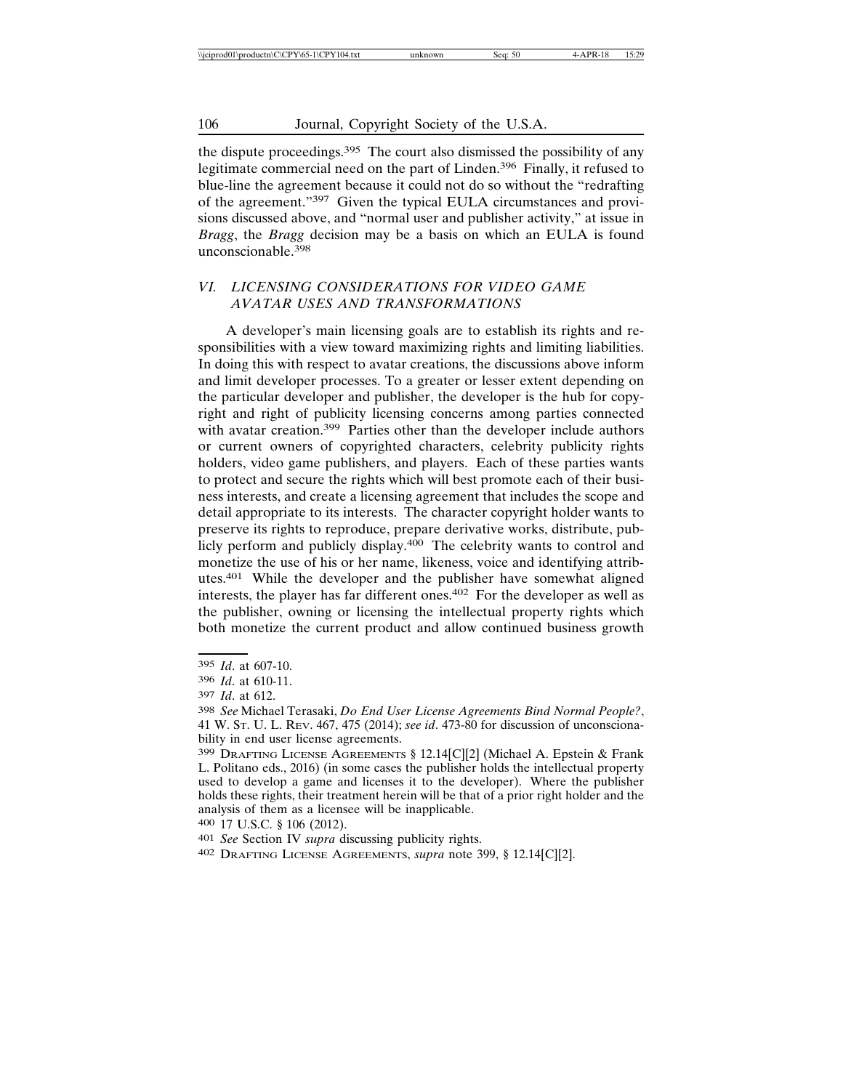the dispute proceedings.395 The court also dismissed the possibility of any legitimate commercial need on the part of Linden.396 Finally, it refused to blue-line the agreement because it could not do so without the "redrafting of the agreement."397 Given the typical EULA circumstances and provisions discussed above, and "normal user and publisher activity," at issue in *Bragg*, the *Bragg* decision may be a basis on which an EULA is found unconscionable.<sup>398</sup>

# *VI. LICENSING CONSIDERATIONS FOR VIDEO GAME AVATAR USES AND TRANSFORMATIONS*

A developer's main licensing goals are to establish its rights and responsibilities with a view toward maximizing rights and limiting liabilities. In doing this with respect to avatar creations, the discussions above inform and limit developer processes. To a greater or lesser extent depending on the particular developer and publisher, the developer is the hub for copyright and right of publicity licensing concerns among parties connected with avatar creation.<sup>399</sup> Parties other than the developer include authors or current owners of copyrighted characters, celebrity publicity rights holders, video game publishers, and players. Each of these parties wants to protect and secure the rights which will best promote each of their business interests, and create a licensing agreement that includes the scope and detail appropriate to its interests. The character copyright holder wants to preserve its rights to reproduce, prepare derivative works, distribute, publicly perform and publicly display.400 The celebrity wants to control and monetize the use of his or her name, likeness, voice and identifying attributes.401 While the developer and the publisher have somewhat aligned interests, the player has far different ones.402 For the developer as well as the publisher, owning or licensing the intellectual property rights which both monetize the current product and allow continued business growth

400 17 U.S.C. § 106 (2012).

<sup>395</sup> *Id*. at 607-10.

<sup>396</sup> *Id*. at 610-11.

<sup>397</sup> *Id*. at 612.

<sup>398</sup> *See* Michael Terasaki, *Do End User License Agreements Bind Normal People?*, 41 W. ST. U. L. REV. 467, 475 (2014); *see id*. 473-80 for discussion of unconscionability in end user license agreements.

<sup>399</sup> DRAFTING LICENSE AGREEMENTS § 12.14[C][2] (Michael A. Epstein & Frank L. Politano eds., 2016) (in some cases the publisher holds the intellectual property used to develop a game and licenses it to the developer). Where the publisher holds these rights, their treatment herein will be that of a prior right holder and the analysis of them as a licensee will be inapplicable.

<sup>401</sup> *See* Section IV *supra* discussing publicity rights.

<sup>402</sup> DRAFTING LICENSE AGREEMENTS, *supra* note 399, § 12.14[C][2].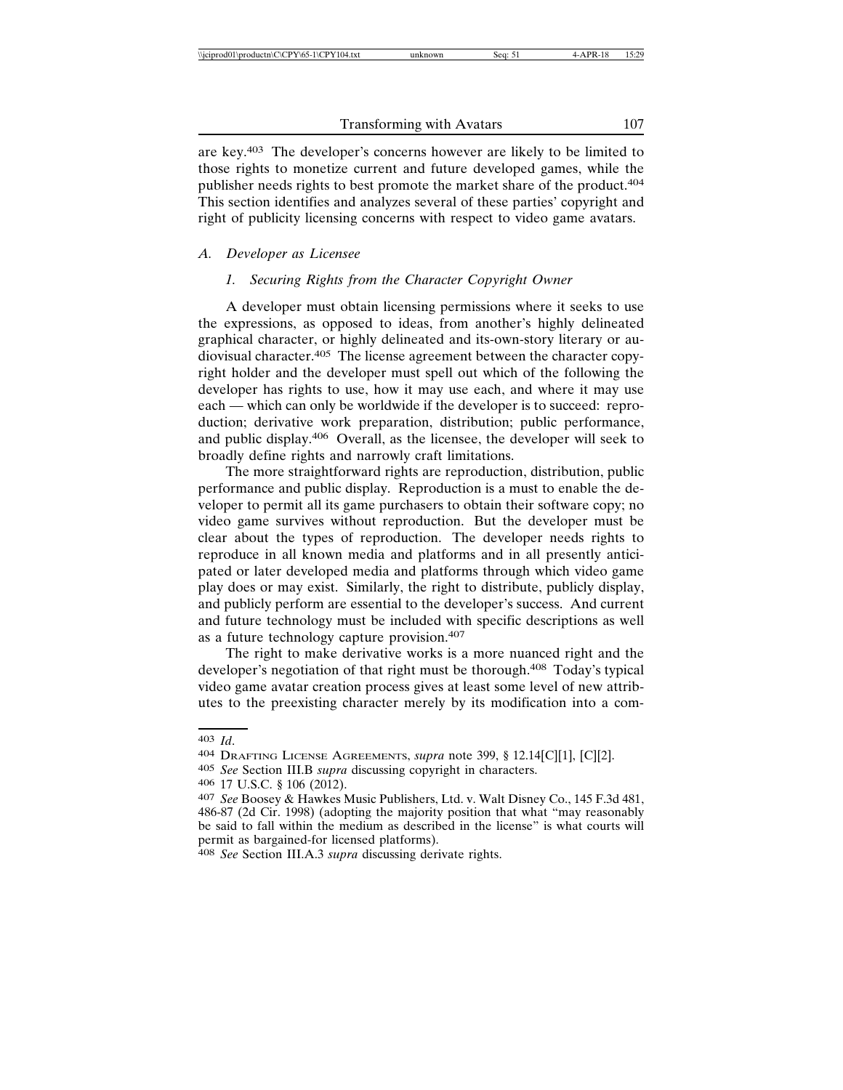| \\iciprod01\productn\C\CPY\65-1\CPY104.txt |  | unknown | Seg: 51 | $4-APR-18$ | 15:29 |
|--------------------------------------------|--|---------|---------|------------|-------|
|--------------------------------------------|--|---------|---------|------------|-------|

are key.403 The developer's concerns however are likely to be limited to those rights to monetize current and future developed games, while the publisher needs rights to best promote the market share of the product.404 This section identifies and analyzes several of these parties' copyright and right of publicity licensing concerns with respect to video game avatars.

#### *A. Developer as Licensee*

### *1. Securing Rights from the Character Copyright Owner*

A developer must obtain licensing permissions where it seeks to use the expressions, as opposed to ideas, from another's highly delineated graphical character, or highly delineated and its-own-story literary or audiovisual character.405 The license agreement between the character copyright holder and the developer must spell out which of the following the developer has rights to use, how it may use each, and where it may use each — which can only be worldwide if the developer is to succeed: reproduction; derivative work preparation, distribution; public performance, and public display.406 Overall, as the licensee, the developer will seek to broadly define rights and narrowly craft limitations.

The more straightforward rights are reproduction, distribution, public performance and public display. Reproduction is a must to enable the developer to permit all its game purchasers to obtain their software copy; no video game survives without reproduction. But the developer must be clear about the types of reproduction. The developer needs rights to reproduce in all known media and platforms and in all presently anticipated or later developed media and platforms through which video game play does or may exist. Similarly, the right to distribute, publicly display, and publicly perform are essential to the developer's success. And current and future technology must be included with specific descriptions as well as a future technology capture provision.407

The right to make derivative works is a more nuanced right and the developer's negotiation of that right must be thorough.408 Today's typical video game avatar creation process gives at least some level of new attributes to the preexisting character merely by its modification into a com-

<sup>403</sup> *Id*.

<sup>404</sup> DRAFTING LICENSE AGREEMENTS, *supra* note 399, § 12.14[C][1], [C][2].

<sup>405</sup> *See* Section III.B *supra* discussing copyright in characters.

<sup>406</sup> 17 U.S.C. § 106 (2012).

<sup>407</sup> *See* Boosey & Hawkes Music Publishers, Ltd. v. Walt Disney Co., 145 F.3d 481, 486-87 (2d Cir. 1998) (adopting the majority position that what "may reasonably be said to fall within the medium as described in the license" is what courts will permit as bargained-for licensed platforms).

<sup>408</sup> *See* Section III.A.3 *supra* discussing derivate rights.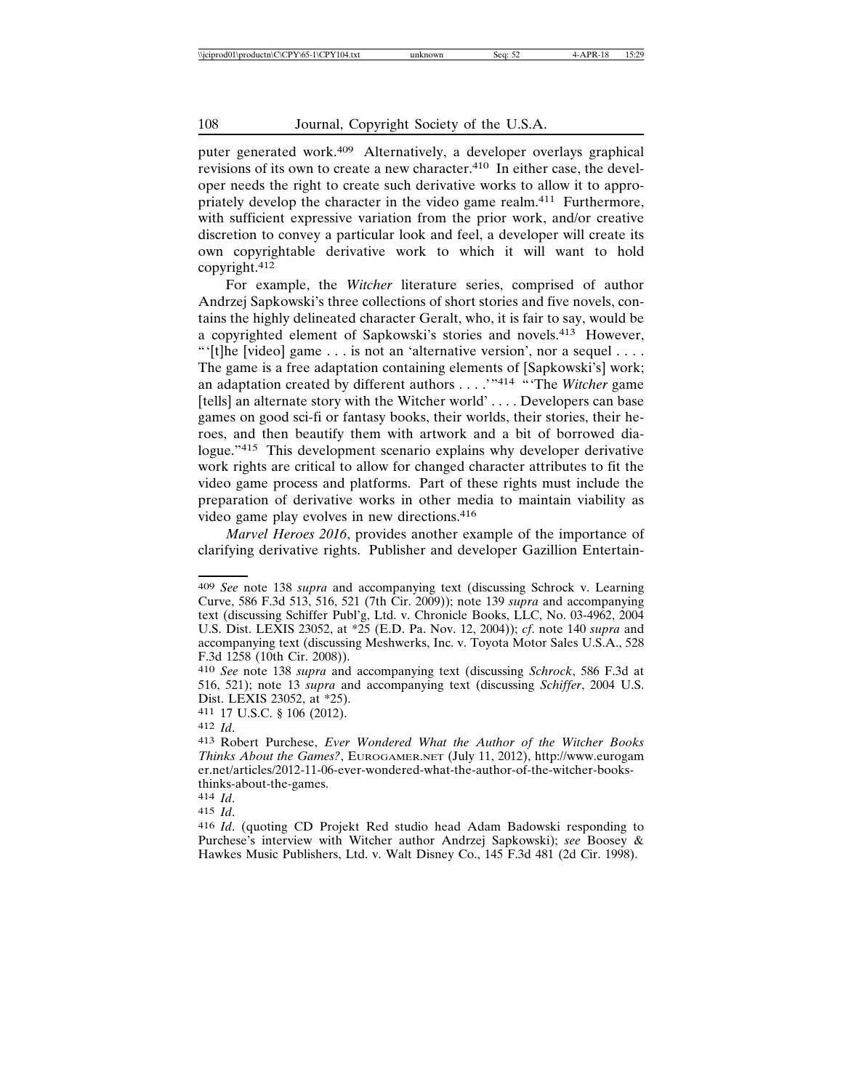puter generated work.409 Alternatively, a developer overlays graphical revisions of its own to create a new character.<sup>410</sup> In either case, the developer needs the right to create such derivative works to allow it to appropriately develop the character in the video game realm.411 Furthermore, with sufficient expressive variation from the prior work, and/or creative discretion to convey a particular look and feel, a developer will create its own copyrightable derivative work to which it will want to hold copyright.<sup>412</sup>

For example, the *Witcher* literature series, comprised of author Andrzej Sapkowski's three collections of short stories and five novels, contains the highly delineated character Geralt, who, it is fair to say, would be a copyrighted element of Sapkowski's stories and novels.413 However, "'[t]he [video] game  $\dots$  is not an 'alternative version', nor a sequel  $\dots$ The game is a free adaptation containing elements of [Sapkowski's] work; an adaptation created by different authors . . . .'"414 "'The *Witcher* game [tells] an alternate story with the Witcher world' . . . . Developers can base games on good sci-fi or fantasy books, their worlds, their stories, their heroes, and then beautify them with artwork and a bit of borrowed dialogue."<sup>415</sup> This development scenario explains why developer derivative work rights are critical to allow for changed character attributes to fit the video game process and platforms. Part of these rights must include the preparation of derivative works in other media to maintain viability as video game play evolves in new directions.416

*Marvel Heroes 2016*, provides another example of the importance of clarifying derivative rights. Publisher and developer Gazillion Entertain-

<sup>409</sup> *See* note 138 *supra* and accompanying text (discussing Schrock v. Learning Curve, 586 F.3d 513, 516, 521 (7th Cir. 2009)); note 139 *supra* and accompanying text (discussing Schiffer Publ'g, Ltd. v. Chronicle Books, LLC, No. 03-4962, 2004 U.S. Dist. LEXIS 23052, at \*25 (E.D. Pa. Nov. 12, 2004)); *cf*. note 140 *supra* and accompanying text (discussing Meshwerks, Inc. v. Toyota Motor Sales U.S.A., 528 F.3d 1258 (10th Cir. 2008)).

<sup>410</sup> *See* note 138 *supra* and accompanying text (discussing *Schrock*, 586 F.3d at 516, 521); note 13 *supra* and accompanying text (discussing *Schiffer*, 2004 U.S. Dist. LEXIS 23052, at \*25).

<sup>411</sup> 17 U.S.C. § 106 (2012).

<sup>412</sup> *Id*.

<sup>413</sup> Robert Purchese, *Ever Wondered What the Author of the Witcher Books Thinks About the Games?*, EUROGAMER.NET (July 11, 2012), http://www.eurogam er.net/articles/2012-11-06-ever-wondered-what-the-author-of-the-witcher-booksthinks-about-the-games.

<sup>414</sup> *Id*.

<sup>415</sup> *Id*.

<sup>416</sup> *Id*. (quoting CD Projekt Red studio head Adam Badowski responding to Purchese's interview with Witcher author Andrzej Sapkowski); *see* Boosey & Hawkes Music Publishers, Ltd. v. Walt Disney Co., 145 F.3d 481 (2d Cir. 1998).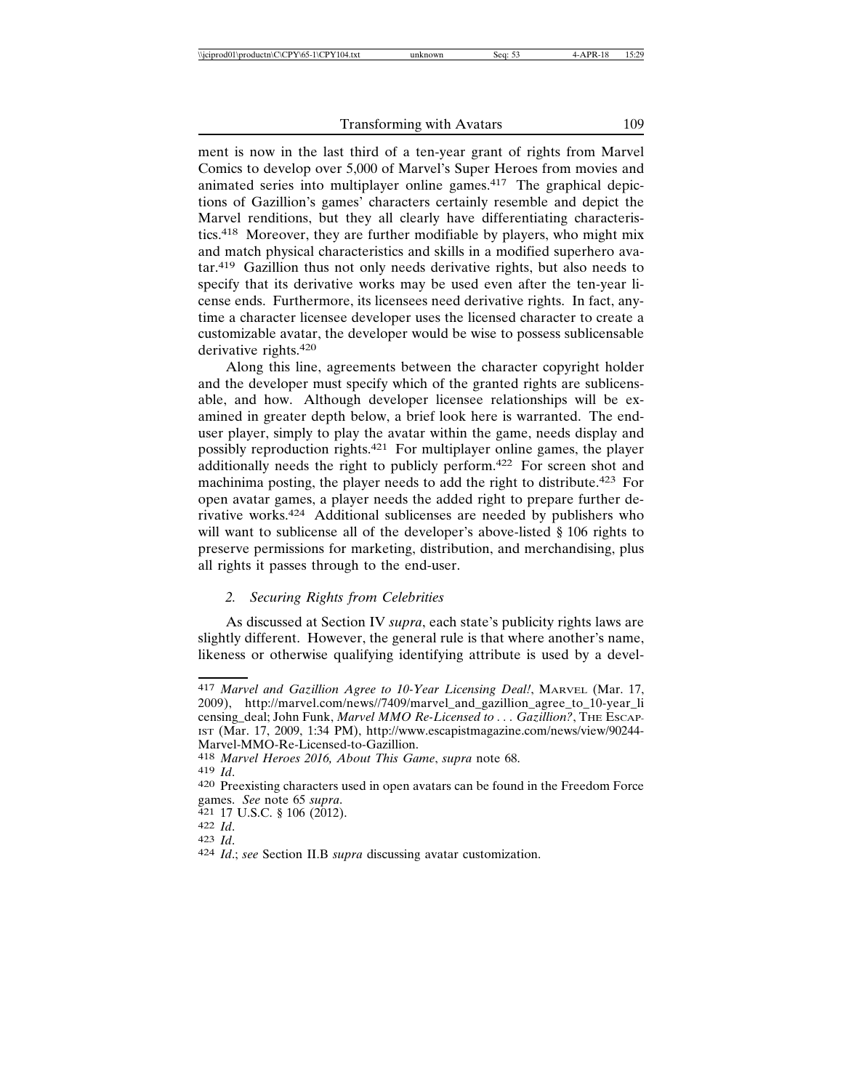ment is now in the last third of a ten-year grant of rights from Marvel Comics to develop over 5,000 of Marvel's Super Heroes from movies and animated series into multiplayer online games.<sup>417</sup> The graphical depictions of Gazillion's games' characters certainly resemble and depict the Marvel renditions, but they all clearly have differentiating characteristics.418 Moreover, they are further modifiable by players, who might mix and match physical characteristics and skills in a modified superhero avatar.419 Gazillion thus not only needs derivative rights, but also needs to specify that its derivative works may be used even after the ten-year license ends. Furthermore, its licensees need derivative rights. In fact, anytime a character licensee developer uses the licensed character to create a customizable avatar, the developer would be wise to possess sublicensable derivative rights.420

Along this line, agreements between the character copyright holder and the developer must specify which of the granted rights are sublicensable, and how. Although developer licensee relationships will be examined in greater depth below, a brief look here is warranted. The enduser player, simply to play the avatar within the game, needs display and possibly reproduction rights.421 For multiplayer online games, the player additionally needs the right to publicly perform.422 For screen shot and machinima posting, the player needs to add the right to distribute.423 For open avatar games, a player needs the added right to prepare further derivative works.424 Additional sublicenses are needed by publishers who will want to sublicense all of the developer's above-listed § 106 rights to preserve permissions for marketing, distribution, and merchandising, plus all rights it passes through to the end-user.

### *2. Securing Rights from Celebrities*

As discussed at Section IV *supra*, each state's publicity rights laws are slightly different. However, the general rule is that where another's name, likeness or otherwise qualifying identifying attribute is used by a devel-

<sup>417</sup> *Marvel and Gazillion Agree to 10-Year Licensing Deal!*, MARVEL (Mar. 17, 2009), http://marvel.com/news//7409/marvel\_and\_gazillion\_agree\_to\_10-year\_li censing\_deal; John Funk, *Marvel MMO Re-Licensed to . . . Gazillion?*, THE ESCAP-IST (Mar. 17, 2009, 1:34 PM), http://www.escapistmagazine.com/news/view/90244- Marvel-MMO-Re-Licensed-to-Gazillion.

<sup>418</sup> *Marvel Heroes 2016, About This Game*, *supra* note 68.

<sup>&</sup>lt;sup>420</sup> Preexisting characters used in open avatars can be found in the Freedom Force games. *See* note 65 *supra*. <sup>421</sup> 17 U.S.C. § 106 (2012).

<sup>422</sup> *Id*. <sup>423</sup> *Id*. <sup>424</sup> *Id*.; *see* Section II.B *supra* discussing avatar customization.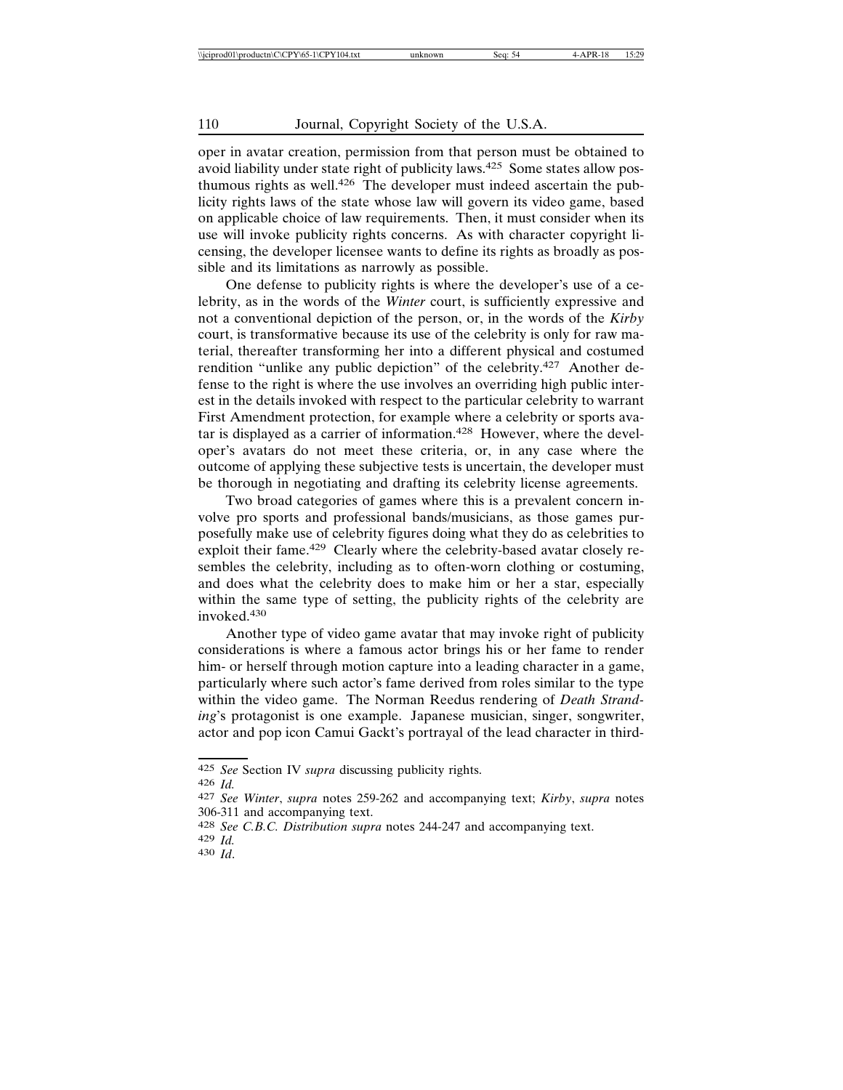oper in avatar creation, permission from that person must be obtained to avoid liability under state right of publicity laws.425 Some states allow posthumous rights as well.426 The developer must indeed ascertain the publicity rights laws of the state whose law will govern its video game, based on applicable choice of law requirements. Then, it must consider when its use will invoke publicity rights concerns. As with character copyright licensing, the developer licensee wants to define its rights as broadly as possible and its limitations as narrowly as possible.

One defense to publicity rights is where the developer's use of a celebrity, as in the words of the *Winter* court, is sufficiently expressive and not a conventional depiction of the person, or, in the words of the *Kirby* court, is transformative because its use of the celebrity is only for raw material, thereafter transforming her into a different physical and costumed rendition "unlike any public depiction" of the celebrity.427 Another defense to the right is where the use involves an overriding high public interest in the details invoked with respect to the particular celebrity to warrant First Amendment protection, for example where a celebrity or sports avatar is displayed as a carrier of information.<sup>428</sup> However, where the developer's avatars do not meet these criteria, or, in any case where the outcome of applying these subjective tests is uncertain, the developer must be thorough in negotiating and drafting its celebrity license agreements.

Two broad categories of games where this is a prevalent concern involve pro sports and professional bands/musicians, as those games purposefully make use of celebrity figures doing what they do as celebrities to exploit their fame.<sup>429</sup> Clearly where the celebrity-based avatar closely resembles the celebrity, including as to often-worn clothing or costuming, and does what the celebrity does to make him or her a star, especially within the same type of setting, the publicity rights of the celebrity are invoked.<sup>430</sup>

Another type of video game avatar that may invoke right of publicity considerations is where a famous actor brings his or her fame to render him- or herself through motion capture into a leading character in a game, particularly where such actor's fame derived from roles similar to the type within the video game. The Norman Reedus rendering of *Death Stranding*'s protagonist is one example. Japanese musician, singer, songwriter, actor and pop icon Camui Gackt's portrayal of the lead character in third-

<sup>425</sup> *See* Section IV *supra* discussing publicity rights.

<sup>426</sup> *Id.*

<sup>427</sup> *See Winter*, *supra* notes 259-262 and accompanying text; *Kirby*, *supra* notes 306-311 and accompanying text.

<sup>428</sup> *See C.B.C. Distribution supra* notes 244-247 and accompanying text.

<sup>429</sup> *Id.*

<sup>430</sup> *Id*.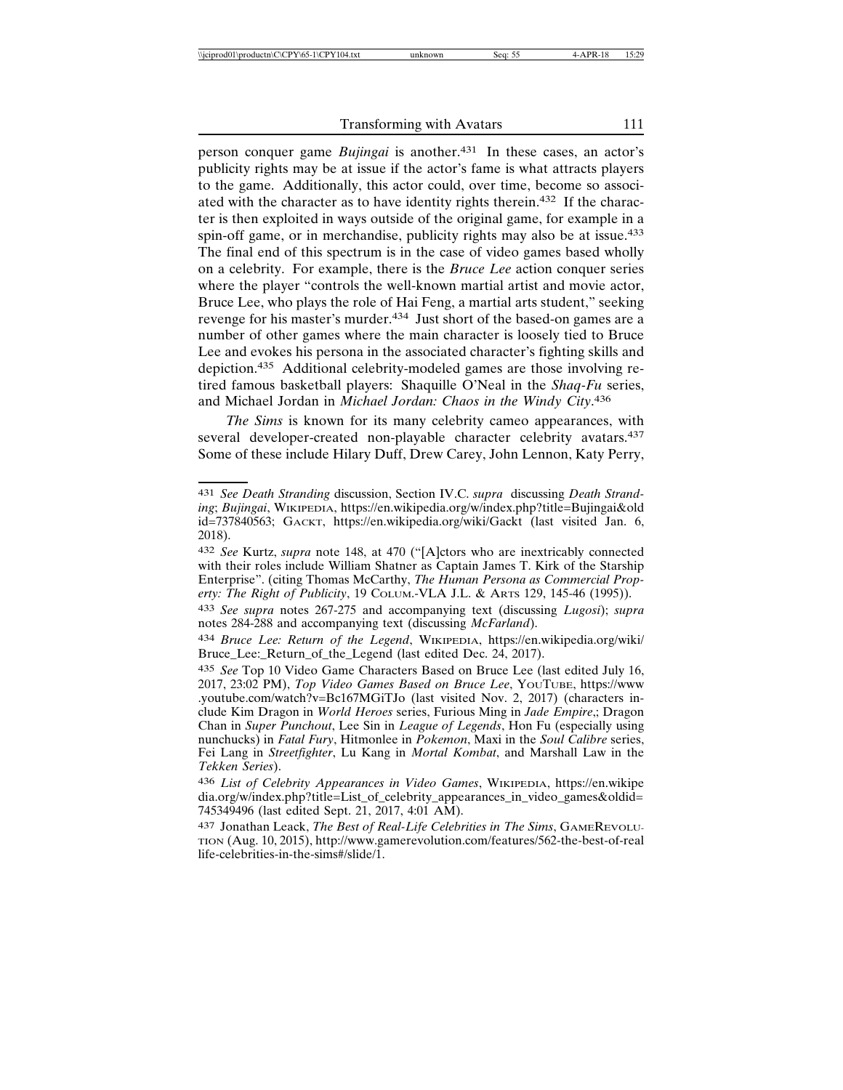person conquer game *Bujingai* is another.<sup>431</sup> In these cases, an actor's publicity rights may be at issue if the actor's fame is what attracts players to the game. Additionally, this actor could, over time, become so associated with the character as to have identity rights therein.<sup>432</sup> If the character is then exploited in ways outside of the original game, for example in a spin-off game, or in merchandise, publicity rights may also be at issue.<sup>433</sup> The final end of this spectrum is in the case of video games based wholly on a celebrity. For example, there is the *Bruce Lee* action conquer series where the player "controls the well-known martial artist and movie actor, Bruce Lee, who plays the role of Hai Feng, a martial arts student," seeking revenge for his master's murder.434 Just short of the based-on games are a number of other games where the main character is loosely tied to Bruce Lee and evokes his persona in the associated character's fighting skills and depiction.435 Additional celebrity-modeled games are those involving retired famous basketball players: Shaquille O'Neal in the *Shaq-Fu* series, and Michael Jordan in *Michael Jordan: Chaos in the Windy City*. 436

*The Sims* is known for its many celebrity cameo appearances, with several developer-created non-playable character celebrity avatars.<sup>437</sup> Some of these include Hilary Duff, Drew Carey, John Lennon, Katy Perry,

<sup>431</sup> *See Death Stranding* discussion, Section IV.C. *supra* discussing *Death Stranding*; *Bujingai*, WIKIPEDIA, https://en.wikipedia.org/w/index.php?title=Bujingai&old id=737840563; GACKT, https://en.wikipedia.org/wiki/Gackt (last visited Jan. 6, 2018).

<sup>432</sup> *See* Kurtz, *supra* note 148, at 470 ("[A]ctors who are inextricably connected with their roles include William Shatner as Captain James T. Kirk of the Starship Enterprise". (citing Thomas McCarthy, *The Human Persona as Commercial Property: The Right of Publicity*, 19 COLUM.-VLA J.L. & ARTS 129, 145-46 (1995)).

<sup>433</sup> *See supra* notes 267-275 and accompanying text (discussing *Lugosi*); *supra* notes 284-288 and accompanying text (discussing *McFarland*).

<sup>434</sup> *Bruce Lee: Return of the Legend*, WIKIPEDIA, https://en.wikipedia.org/wiki/ Bruce\_Lee:\_Return\_of\_the\_Legend (last edited Dec. 24, 2017).

<sup>435</sup> *See* Top 10 Video Game Characters Based on Bruce Lee (last edited July 16, 2017, 23:02 PM), *Top Video Games Based on Bruce Lee*, YOUTUBE, https://www .youtube.com/watch?v=Bc167MGiTJo (last visited Nov. 2, 2017) (characters include Kim Dragon in *World Heroes* series, Furious Ming in *Jade Empire*,; Dragon Chan in *Super Punchout*, Lee Sin in *League of Legends*, Hon Fu (especially using nunchucks) in *Fatal Fury*, Hitmonlee in *Pokemon*, Maxi in the *Soul Calibre* series, Fei Lang in *Streetfighter*, Lu Kang in *Mortal Kombat*, and Marshall Law in the *Tekken Series*).

<sup>436</sup> *List of Celebrity Appearances in Video Games*, WIKIPEDIA, https://en.wikipe dia.org/w/index.php?title=List\_of\_celebrity\_appearances\_in\_video\_games&oldid= 745349496 (last edited Sept. 21, 2017, 4:01 AM).

<sup>437</sup> Jonathan Leack, *The Best of Real-Life Celebrities in The Sims*, GAMEREVOLU-TION (Aug. 10, 2015), http://www.gamerevolution.com/features/562-the-best-of-real life-celebrities-in-the-sims#/slide/1.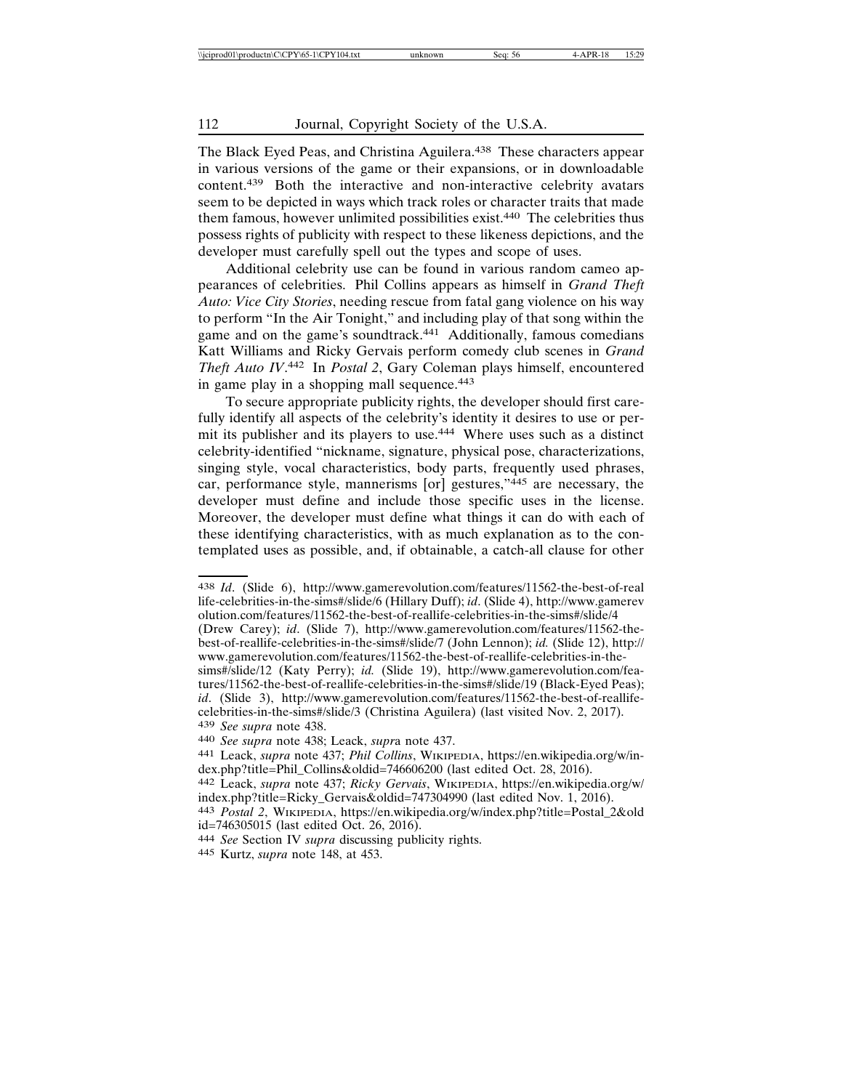The Black Eyed Peas, and Christina Aguilera.<sup>438</sup> These characters appear in various versions of the game or their expansions, or in downloadable content.439 Both the interactive and non-interactive celebrity avatars seem to be depicted in ways which track roles or character traits that made them famous, however unlimited possibilities exist.440 The celebrities thus possess rights of publicity with respect to these likeness depictions, and the developer must carefully spell out the types and scope of uses.

Additional celebrity use can be found in various random cameo appearances of celebrities. Phil Collins appears as himself in *Grand Theft Auto: Vice City Stories*, needing rescue from fatal gang violence on his way to perform "In the Air Tonight," and including play of that song within the game and on the game's soundtrack.<sup>441</sup> Additionally, famous comedians Katt Williams and Ricky Gervais perform comedy club scenes in *Grand Theft Auto IV*. 442 In *Postal 2*, Gary Coleman plays himself, encountered in game play in a shopping mall sequence.<sup>443</sup>

To secure appropriate publicity rights, the developer should first carefully identify all aspects of the celebrity's identity it desires to use or permit its publisher and its players to use.444 Where uses such as a distinct celebrity-identified "nickname, signature, physical pose, characterizations, singing style, vocal characteristics, body parts, frequently used phrases, car, performance style, mannerisms [or] gestures,"445 are necessary, the developer must define and include those specific uses in the license. Moreover, the developer must define what things it can do with each of these identifying characteristics, with as much explanation as to the contemplated uses as possible, and, if obtainable, a catch-all clause for other

<sup>438</sup> *Id*. (Slide 6), http://www.gamerevolution.com/features/11562-the-best-of-real life-celebrities-in-the-sims#/slide/6 (Hillary Duff); *id*. (Slide 4), http://www.gamerev olution.com/features/11562-the-best-of-reallife-celebrities-in-the-sims#/slide/4 (Drew Carey); *id*. (Slide 7), http://www.gamerevolution.com/features/11562-thebest-of-reallife-celebrities-in-the-sims#/slide/7 (John Lennon); *id.* (Slide 12), http:// www.gamerevolution.com/features/11562-the-best-of-reallife-celebrities-in-thesims#/slide/12 (Katy Perry); *id.* (Slide 19), http://www.gamerevolution.com/features/11562-the-best-of-reallife-celebrities-in-the-sims#/slide/19 (Black-Eyed Peas); *id*. (Slide 3), http://www.gamerevolution.com/features/11562-the-best-of-reallifecelebrities-in-the-sims#/slide/3 (Christina Aguilera) (last visited Nov. 2, 2017). 439 *See supra* note 438.

<sup>440</sup> *See supra* note 438; Leack, *supr*a note 437.

<sup>441</sup> Leack, *supra* note 437; *Phil Collins*, WIKIPEDIA, https://en.wikipedia.org/w/index.php?title=Phil\_Collins&oldid=746606200 (last edited Oct. 28, 2016).

<sup>442</sup> Leack, *supra* note 437; *Ricky Gervais*, WIKIPEDIA, https://en.wikipedia.org/w/ index.php?title=Ricky\_Gervais&oldid=747304990 (last edited Nov. 1, 2016).

<sup>443</sup> *Postal 2*, WIKIPEDIA, https://en.wikipedia.org/w/index.php?title=Postal\_2&old id=746305015 (last edited Oct. 26, 2016).

<sup>444</sup> *See* Section IV *supra* discussing publicity rights.

<sup>445</sup> Kurtz, *supra* note 148, at 453.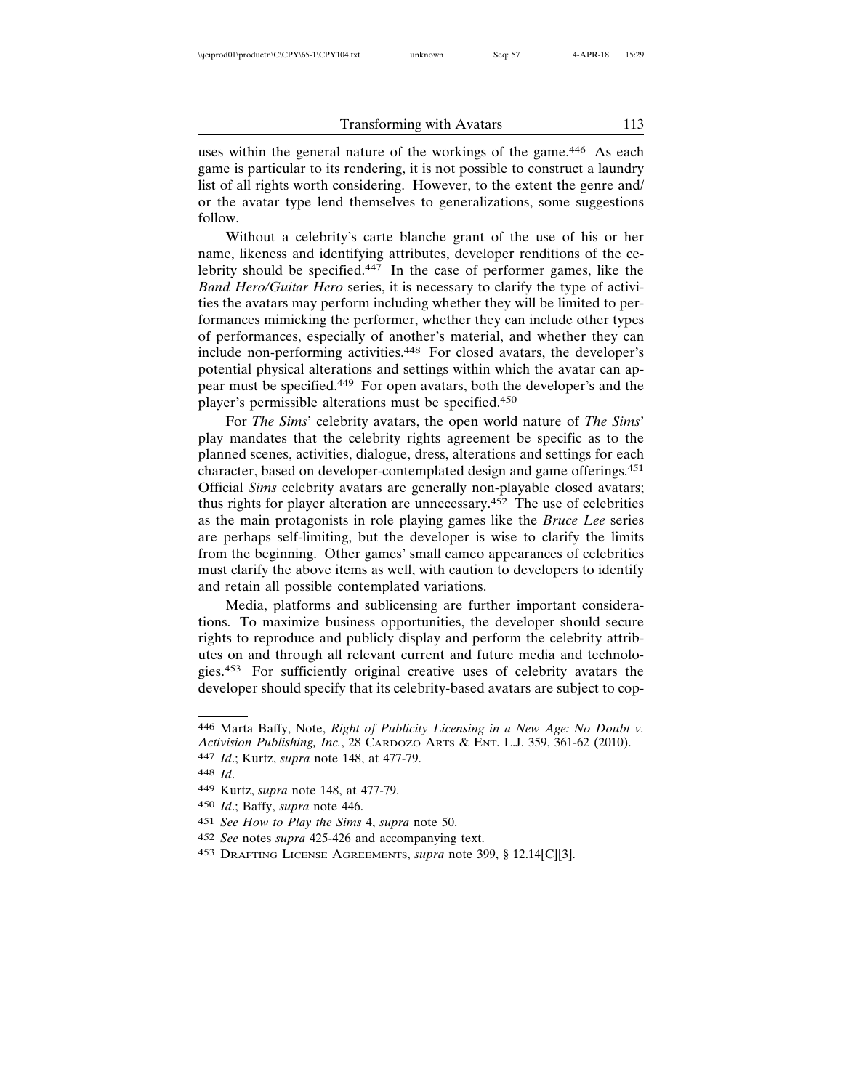uses within the general nature of the workings of the game.446 As each game is particular to its rendering, it is not possible to construct a laundry list of all rights worth considering. However, to the extent the genre and/ or the avatar type lend themselves to generalizations, some suggestions follow.

Without a celebrity's carte blanche grant of the use of his or her name, likeness and identifying attributes, developer renditions of the celebrity should be specified.447 In the case of performer games, like the *Band Hero/Guitar Hero* series, it is necessary to clarify the type of activities the avatars may perform including whether they will be limited to performances mimicking the performer, whether they can include other types of performances, especially of another's material, and whether they can include non-performing activities.448 For closed avatars, the developer's potential physical alterations and settings within which the avatar can appear must be specified.449 For open avatars, both the developer's and the player's permissible alterations must be specified.450

For *The Sims*' celebrity avatars, the open world nature of *The Sims*' play mandates that the celebrity rights agreement be specific as to the planned scenes, activities, dialogue, dress, alterations and settings for each character, based on developer-contemplated design and game offerings.451 Official *Sims* celebrity avatars are generally non-playable closed avatars; thus rights for player alteration are unnecessary.452 The use of celebrities as the main protagonists in role playing games like the *Bruce Lee* series are perhaps self-limiting, but the developer is wise to clarify the limits from the beginning. Other games' small cameo appearances of celebrities must clarify the above items as well, with caution to developers to identify and retain all possible contemplated variations.

Media, platforms and sublicensing are further important considerations. To maximize business opportunities, the developer should secure rights to reproduce and publicly display and perform the celebrity attributes on and through all relevant current and future media and technologies.453 For sufficiently original creative uses of celebrity avatars the developer should specify that its celebrity-based avatars are subject to cop-

<sup>446</sup> Marta Baffy, Note, *Right of Publicity Licensing in a New Age: No Doubt v. Activision Publishing, Inc.*, 28 CARDOZO ARTS & ENT. L.J. 359, 361-62 (2010).

<sup>447</sup> *Id*.; Kurtz, *supra* note 148, at 477-79.

<sup>448</sup> *Id*.

<sup>449</sup> Kurtz, *supra* note 148, at 477-79.

<sup>450</sup> *Id*.; Baffy, *supra* note 446.

<sup>451</sup> *See How to Play the Sims* 4, *supra* note 50.

<sup>452</sup> *See* notes *supra* 425-426 and accompanying text.

<sup>453</sup> DRAFTING LICENSE AGREEMENTS, *supra* note 399, § 12.14[C][3].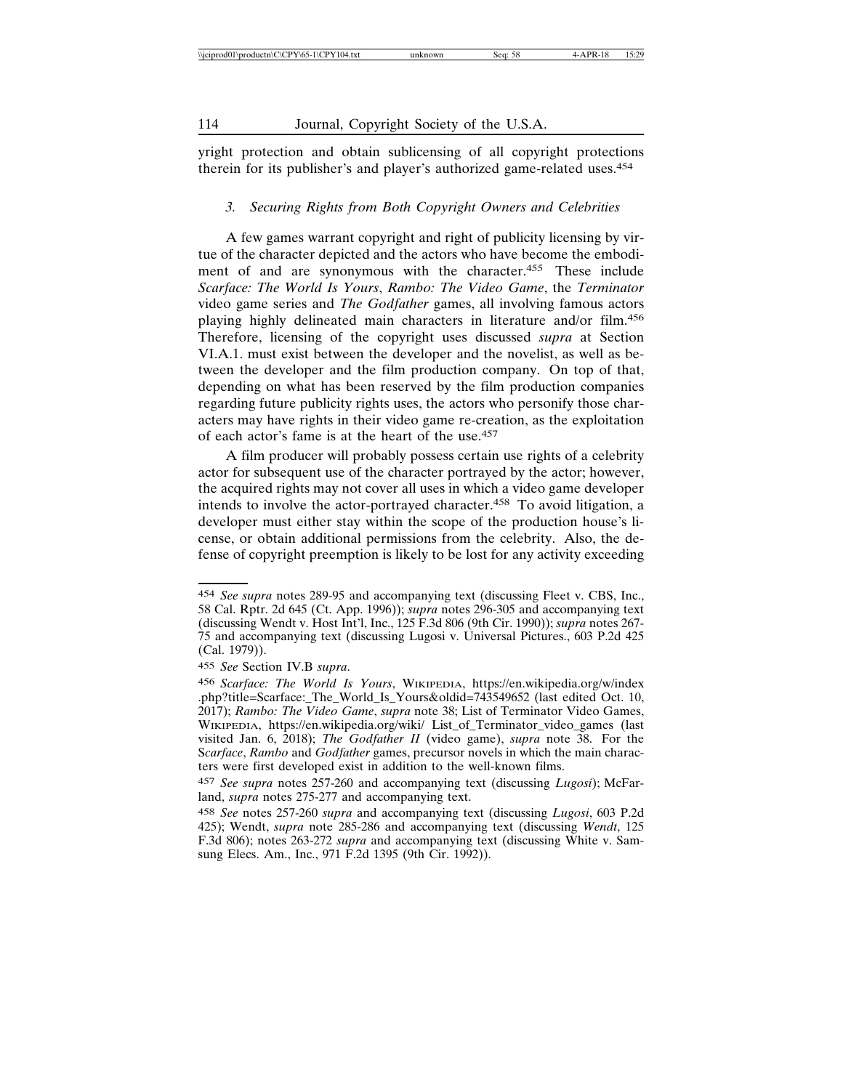yright protection and obtain sublicensing of all copyright protections therein for its publisher's and player's authorized game-related uses.454

### *3. Securing Rights from Both Copyright Owners and Celebrities*

A few games warrant copyright and right of publicity licensing by virtue of the character depicted and the actors who have become the embodiment of and are synonymous with the character.455 These include *Scarface: The World Is Yours*, *Rambo: The Video Game*, the *Terminator* video game series and *The Godfather* games, all involving famous actors playing highly delineated main characters in literature and/or film.456 Therefore, licensing of the copyright uses discussed *supra* at Section VI.A.1. must exist between the developer and the novelist, as well as between the developer and the film production company. On top of that, depending on what has been reserved by the film production companies regarding future publicity rights uses, the actors who personify those characters may have rights in their video game re-creation, as the exploitation of each actor's fame is at the heart of the use.457

A film producer will probably possess certain use rights of a celebrity actor for subsequent use of the character portrayed by the actor; however, the acquired rights may not cover all uses in which a video game developer intends to involve the actor-portrayed character.<sup>458</sup> To avoid litigation, a developer must either stay within the scope of the production house's license, or obtain additional permissions from the celebrity. Also, the defense of copyright preemption is likely to be lost for any activity exceeding

<sup>454</sup> *See supra* notes 289-95 and accompanying text (discussing Fleet v. CBS, Inc., 58 Cal. Rptr. 2d 645 (Ct. App. 1996)); *supra* notes 296-305 and accompanying text (discussing Wendt v. Host Int'l, Inc., 125 F.3d 806 (9th Cir. 1990)); *supra* notes 267- 75 and accompanying text (discussing Lugosi v. Universal Pictures., 603 P.2d 425 (Cal. 1979)).

<sup>455</sup> *See* Section IV.B *supra*.

<sup>456</sup> *Scarface: The World Is Yours*, WIKIPEDIA, https://en.wikipedia.org/w/index .php?title=Scarface:\_The\_World\_Is\_Yours&oldid=743549652 (last edited Oct. 10, 2017); *Rambo: The Video Game*, *supra* note 38; List of Terminator Video Games, WIKIPEDIA, https://en.wikipedia.org/wiki/ List\_of\_Terminator\_video\_games (last visited Jan. 6, 2018); *The Godfather II* (video game), *supra* note 38. For the S*carface*, *Rambo* and *Godfather* games, precursor novels in which the main characters were first developed exist in addition to the well-known films.

<sup>457</sup> *See supra* notes 257-260 and accompanying text (discussing *Lugosi*); McFarland, *supra* notes 275-277 and accompanying text.

<sup>458</sup> *See* notes 257-260 *supra* and accompanying text (discussing *Lugosi*, 603 P.2d 425); Wendt, *supra* note 285-286 and accompanying text (discussing *Wendt*, 125 F.3d 806); notes 263-272 *supra* and accompanying text (discussing White v. Samsung Elecs. Am., Inc., 971 F.2d 1395 (9th Cir. 1992)).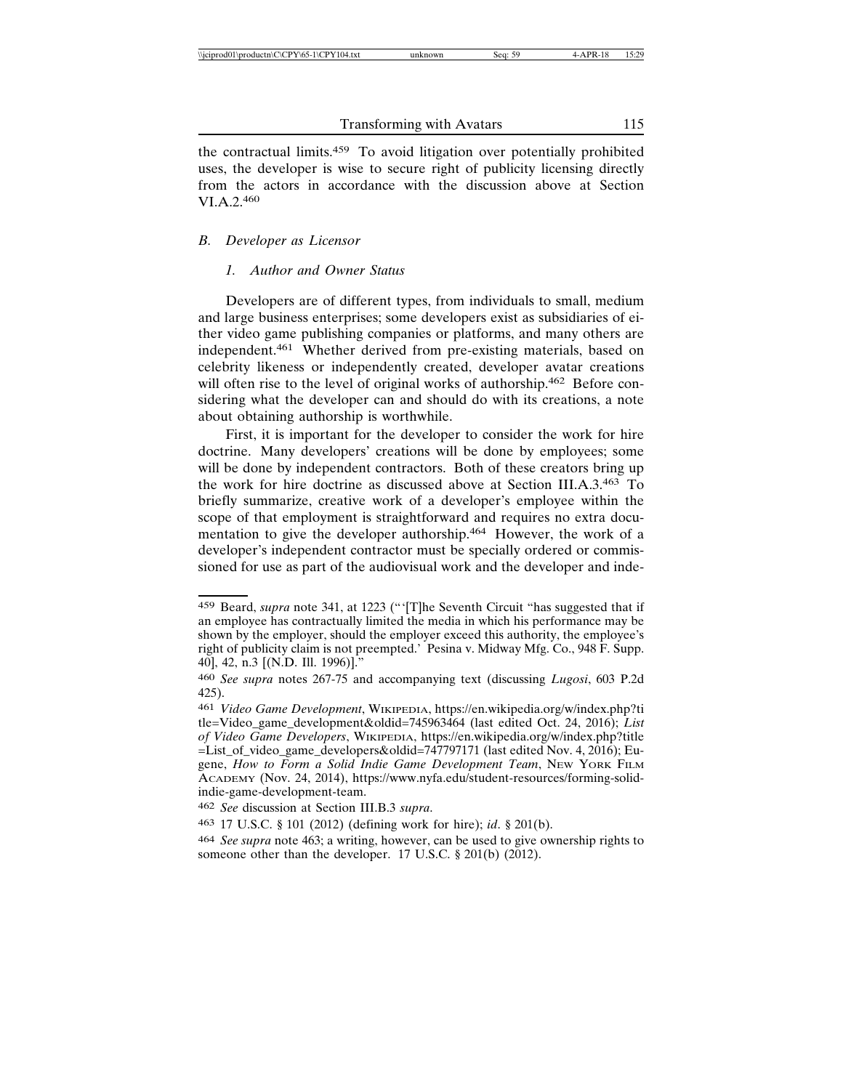the contractual limits.459 To avoid litigation over potentially prohibited uses, the developer is wise to secure right of publicity licensing directly from the actors in accordance with the discussion above at Section VI.A.2.<sup>460</sup>

## *B. Developer as Licensor*

## *1. Author and Owner Status*

Developers are of different types, from individuals to small, medium and large business enterprises; some developers exist as subsidiaries of either video game publishing companies or platforms, and many others are independent.461 Whether derived from pre-existing materials, based on celebrity likeness or independently created, developer avatar creations will often rise to the level of original works of authorship.<sup>462</sup> Before considering what the developer can and should do with its creations, a note about obtaining authorship is worthwhile.

First, it is important for the developer to consider the work for hire doctrine. Many developers' creations will be done by employees; some will be done by independent contractors. Both of these creators bring up the work for hire doctrine as discussed above at Section III.A.3.463 To briefly summarize, creative work of a developer's employee within the scope of that employment is straightforward and requires no extra documentation to give the developer authorship.464 However, the work of a developer's independent contractor must be specially ordered or commissioned for use as part of the audiovisual work and the developer and inde-

<sup>459</sup> Beard, *supra* note 341, at 1223 ("'[T]he Seventh Circuit "has suggested that if an employee has contractually limited the media in which his performance may be shown by the employer, should the employer exceed this authority, the employee's right of publicity claim is not preempted.' Pesina v. Midway Mfg. Co., 948 F. Supp. 40], 42, n.3 [(N.D. Ill. 1996)]."

<sup>460</sup> *See supra* notes 267-75 and accompanying text (discussing *Lugosi*, 603 P.2d 425).

<sup>461</sup> *Video Game Development*, WIKIPEDIA, https://en.wikipedia.org/w/index.php?ti tle=Video\_game\_development&oldid=745963464 (last edited Oct. 24, 2016); *List of Video Game Developers*, WIKIPEDIA, https://en.wikipedia.org/w/index.php?title =List\_of\_video\_game\_developers&oldid=747797171 (last edited Nov. 4, 2016); Eugene, *How to Form a Solid Indie Game Development Team*, NEW YORK FILM ACADEMY (Nov. 24, 2014), https://www.nyfa.edu/student-resources/forming-solidindie-game-development-team.

<sup>462</sup> *See* discussion at Section III.B.3 *supra*.

<sup>463</sup> 17 U.S.C. § 101 (2012) (defining work for hire); *id*. § 201(b).

<sup>464</sup> *See supra* note 463; a writing, however, can be used to give ownership rights to someone other than the developer. 17 U.S.C. § 201(b) (2012).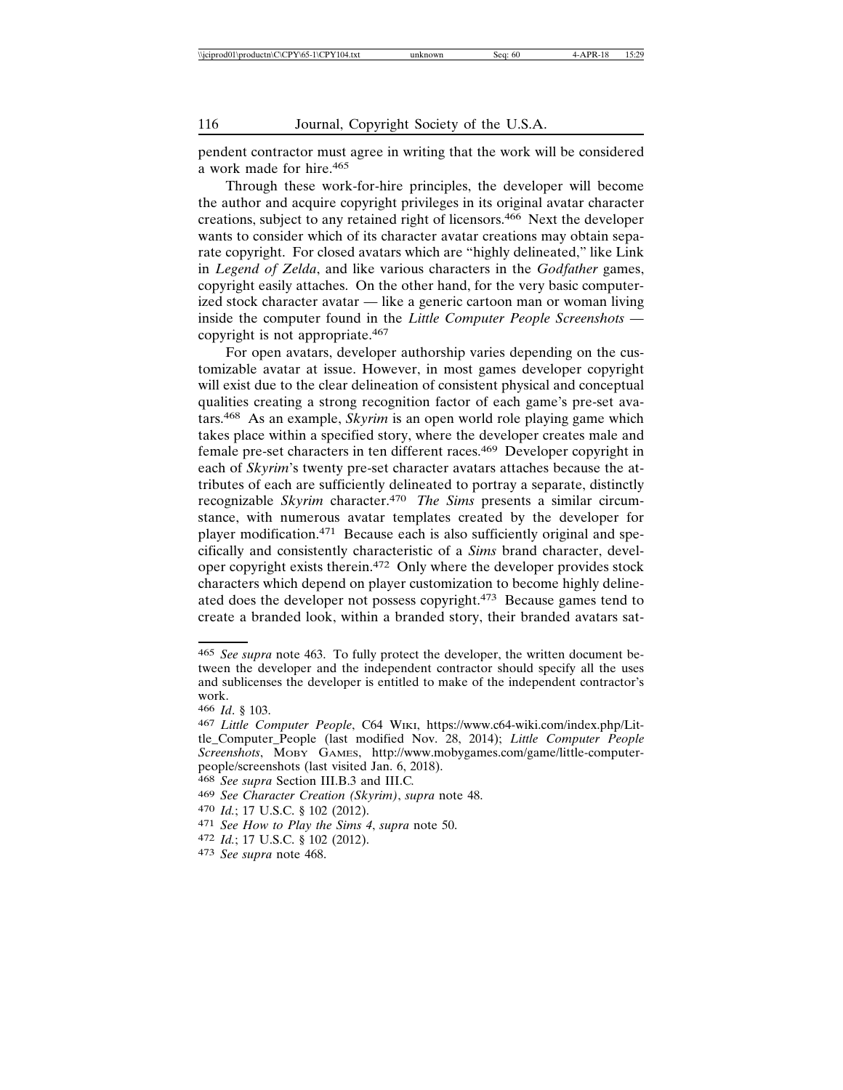\\jciprod01\productn\C\CPY\65-1\CPY104.txt unknown Seq: 60 4-APR-18 15:29

# 116 Journal, Copyright Society of the U.S.A.

pendent contractor must agree in writing that the work will be considered a work made for hire.465

Through these work-for-hire principles, the developer will become the author and acquire copyright privileges in its original avatar character creations, subject to any retained right of licensors.466 Next the developer wants to consider which of its character avatar creations may obtain separate copyright. For closed avatars which are "highly delineated," like Link in *Legend of Zelda*, and like various characters in the *Godfather* games, copyright easily attaches. On the other hand, for the very basic computerized stock character avatar — like a generic cartoon man or woman living inside the computer found in the *Little Computer People Screenshots*  copyright is not appropriate.467

For open avatars, developer authorship varies depending on the customizable avatar at issue. However, in most games developer copyright will exist due to the clear delineation of consistent physical and conceptual qualities creating a strong recognition factor of each game's pre-set avatars.468 As an example, *Skyrim* is an open world role playing game which takes place within a specified story, where the developer creates male and female pre-set characters in ten different races.469 Developer copyright in each of *Skyrim*'s twenty pre-set character avatars attaches because the attributes of each are sufficiently delineated to portray a separate, distinctly recognizable *Skyrim* character.470 *The Sims* presents a similar circumstance, with numerous avatar templates created by the developer for player modification.<sup>471</sup> Because each is also sufficiently original and specifically and consistently characteristic of a *Sims* brand character, developer copyright exists therein.472 Only where the developer provides stock characters which depend on player customization to become highly delineated does the developer not possess copyright.473 Because games tend to create a branded look, within a branded story, their branded avatars sat-

<sup>465</sup> *See supra* note 463. To fully protect the developer, the written document between the developer and the independent contractor should specify all the uses and sublicenses the developer is entitled to make of the independent contractor's work.

<sup>466</sup> *Id*. § 103.

<sup>467</sup> *Little Computer People*, C64 WIKI, https://www.c64-wiki.com/index.php/Little\_Computer\_People (last modified Nov. 28, 2014); *Little Computer People Screenshots*, MOBY GAMES, http://www.mobygames.com/game/little-computerpeople/screenshots (last visited Jan. 6, 2018).

<sup>468</sup> *See supra* Section III.B.3 and III.C*.*

<sup>469</sup> *See Character Creation (Skyrim)*, *supra* note 48.

<sup>470</sup> *Id.*; 17 U.S.C. § 102 (2012).

<sup>471</sup> *See How to Play the Sims 4*, *supra* note 50.

<sup>472</sup> *Id.*; 17 U.S.C. § 102 (2012).

<sup>473</sup> *See supra* note 468.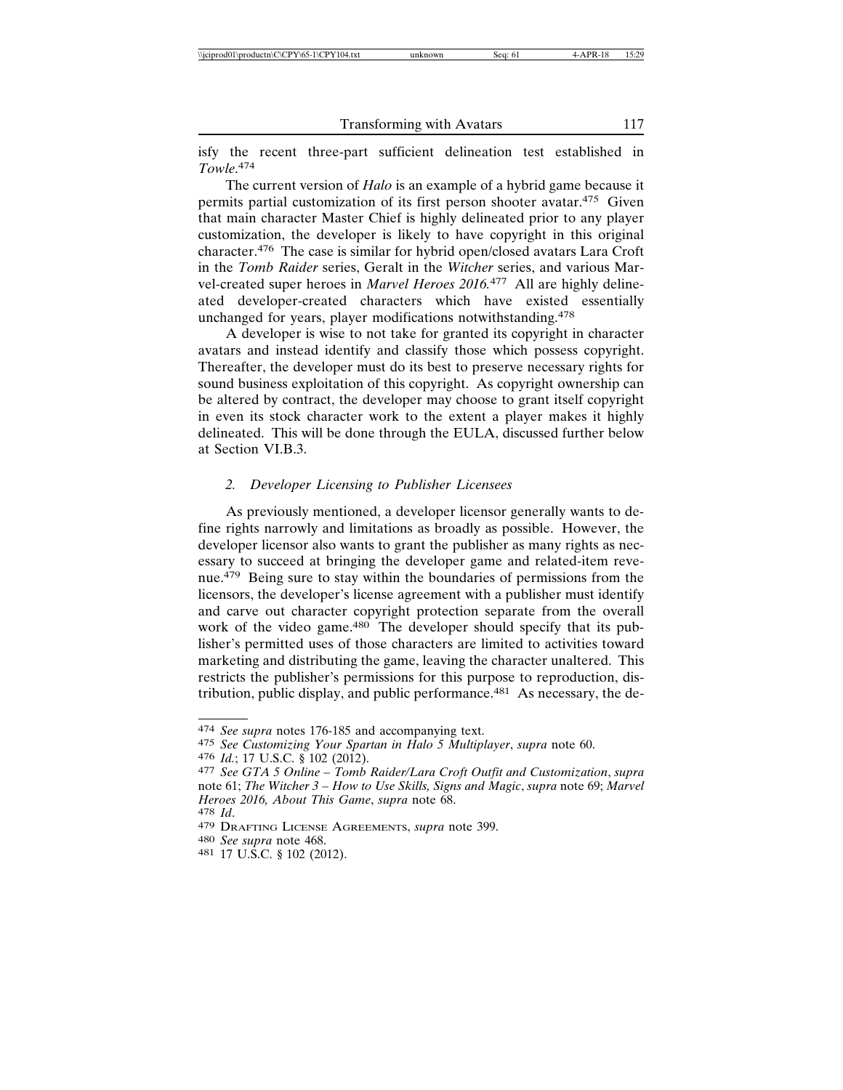| \\iciprod01\productn\C\CPY\65-1\CPY104.txt | unknown | Seg: 61 | $4-APR-18$ | 15:29 |
|--------------------------------------------|---------|---------|------------|-------|
|--------------------------------------------|---------|---------|------------|-------|

isfy the recent three-part sufficient delineation test established in *Towle*. 474

The current version of *Halo* is an example of a hybrid game because it permits partial customization of its first person shooter avatar.475 Given that main character Master Chief is highly delineated prior to any player customization, the developer is likely to have copyright in this original character.476 The case is similar for hybrid open/closed avatars Lara Croft in the *Tomb Raider* series, Geralt in the *Witcher* series, and various Marvel-created super heroes in *Marvel Heroes 2016.*477 All are highly delineated developer-created characters which have existed essentially unchanged for years, player modifications notwithstanding.478

A developer is wise to not take for granted its copyright in character avatars and instead identify and classify those which possess copyright. Thereafter, the developer must do its best to preserve necessary rights for sound business exploitation of this copyright. As copyright ownership can be altered by contract, the developer may choose to grant itself copyright in even its stock character work to the extent a player makes it highly delineated. This will be done through the EULA, discussed further below at Section VI.B.3.

### *2. Developer Licensing to Publisher Licensees*

As previously mentioned, a developer licensor generally wants to define rights narrowly and limitations as broadly as possible. However, the developer licensor also wants to grant the publisher as many rights as necessary to succeed at bringing the developer game and related-item revenue.479 Being sure to stay within the boundaries of permissions from the licensors, the developer's license agreement with a publisher must identify and carve out character copyright protection separate from the overall work of the video game.<sup>480</sup> The developer should specify that its publisher's permitted uses of those characters are limited to activities toward marketing and distributing the game, leaving the character unaltered. This restricts the publisher's permissions for this purpose to reproduction, distribution, public display, and public performance.<sup>481</sup> As necessary, the de-

<sup>474</sup> *See supra* notes 176-185 and accompanying text.

<sup>475</sup> *See Customizing Your Spartan in Halo 5 Multiplayer*, *supra* note 60.

<sup>476</sup> *Id.*; 17 U.S.C. § 102 (2012).

<sup>477</sup> *See GTA 5 Online – Tomb Raider/Lara Croft Outfit and Customization*, *supra* note 61; *The Witcher 3 – How to Use Skills, Signs and Magic*, *supra* note 69; *Marvel Heroes 2016, About This Game*, *supra* note 68.

<sup>478</sup> *Id*. <sup>479</sup> DRAFTING LICENSE AGREEMENTS, *supra* note 399.

<sup>480</sup> *See supra* note 468.

<sup>481</sup> 17 U.S.C. § 102 (2012).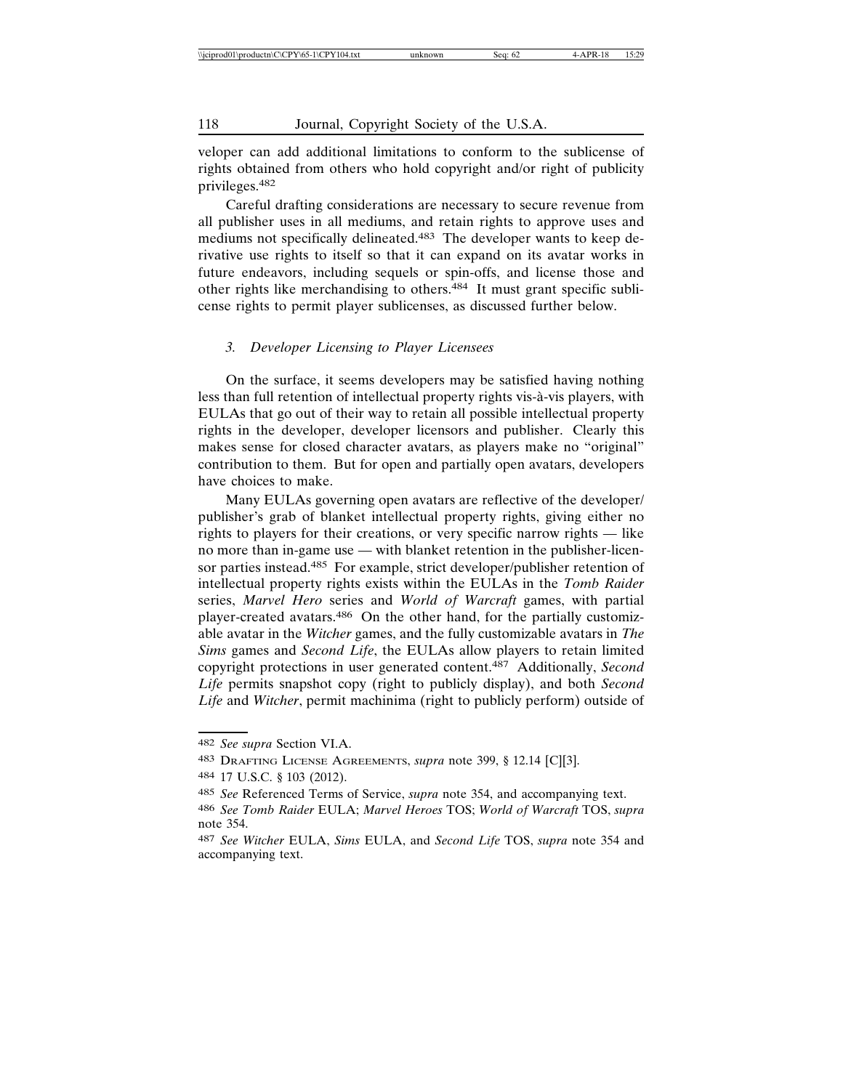veloper can add additional limitations to conform to the sublicense of rights obtained from others who hold copyright and/or right of publicity privileges.<sup>482</sup>

Careful drafting considerations are necessary to secure revenue from all publisher uses in all mediums, and retain rights to approve uses and mediums not specifically delineated.483 The developer wants to keep derivative use rights to itself so that it can expand on its avatar works in future endeavors, including sequels or spin-offs, and license those and other rights like merchandising to others.484 It must grant specific sublicense rights to permit player sublicenses, as discussed further below.

#### *3. Developer Licensing to Player Licensees*

On the surface, it seems developers may be satisfied having nothing less than full retention of intellectual property rights vis-à-vis players, with EULAs that go out of their way to retain all possible intellectual property rights in the developer, developer licensors and publisher. Clearly this makes sense for closed character avatars, as players make no "original" contribution to them. But for open and partially open avatars, developers have choices to make.

Many EULAs governing open avatars are reflective of the developer/ publisher's grab of blanket intellectual property rights, giving either no rights to players for their creations, or very specific narrow rights — like no more than in-game use — with blanket retention in the publisher-licensor parties instead.485 For example, strict developer/publisher retention of intellectual property rights exists within the EULAs in the *Tomb Raider* series, *Marvel Hero* series and *World of Warcraft* games, with partial player-created avatars.486 On the other hand, for the partially customizable avatar in the *Witcher* games, and the fully customizable avatars in *The Sims* games and *Second Life*, the EULAs allow players to retain limited copyright protections in user generated content.487 Additionally, *Second Life* permits snapshot copy (right to publicly display), and both *Second Life* and *Witcher*, permit machinima (right to publicly perform) outside of

<sup>482</sup> *See supra* Section VI.A.

<sup>483</sup> DRAFTING LICENSE AGREEMENTS, *supra* note 399, § 12.14 [C][3].

<sup>484</sup> 17 U.S.C. § 103 (2012).

<sup>485</sup> *See* Referenced Terms of Service, *supra* note 354, and accompanying text.

<sup>486</sup> *See Tomb Raider* EULA; *Marvel Heroes* TOS; *World of Warcraft* TOS, *supra* note 354.

<sup>487</sup> *See Witcher* EULA, *Sims* EULA, and *Second Life* TOS, *supra* note 354 and accompanying text.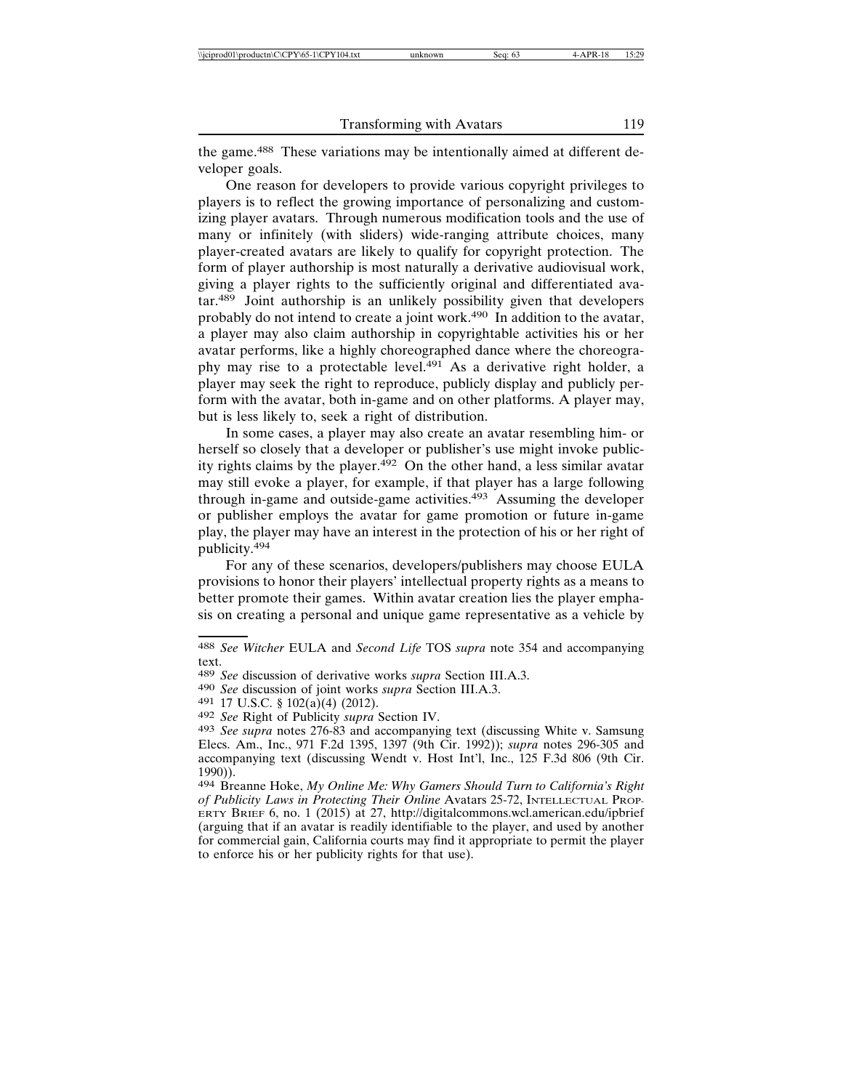| \\iciprod01\productn\C\CPY\65-1\CPY104.txt | Seg: 63<br>unknown | $4-APR-18$ | 15:29 |
|--------------------------------------------|--------------------|------------|-------|
|--------------------------------------------|--------------------|------------|-------|

the game.488 These variations may be intentionally aimed at different developer goals.

One reason for developers to provide various copyright privileges to players is to reflect the growing importance of personalizing and customizing player avatars. Through numerous modification tools and the use of many or infinitely (with sliders) wide-ranging attribute choices, many player-created avatars are likely to qualify for copyright protection. The form of player authorship is most naturally a derivative audiovisual work, giving a player rights to the sufficiently original and differentiated avatar.489 Joint authorship is an unlikely possibility given that developers probably do not intend to create a joint work.490 In addition to the avatar, a player may also claim authorship in copyrightable activities his or her avatar performs, like a highly choreographed dance where the choreography may rise to a protectable level.<sup>491</sup> As a derivative right holder, a player may seek the right to reproduce, publicly display and publicly perform with the avatar, both in-game and on other platforms. A player may, but is less likely to, seek a right of distribution.

In some cases, a player may also create an avatar resembling him- or herself so closely that a developer or publisher's use might invoke publicity rights claims by the player.492 On the other hand, a less similar avatar may still evoke a player, for example, if that player has a large following through in-game and outside-game activities.<sup>493</sup> Assuming the developer or publisher employs the avatar for game promotion or future in-game play, the player may have an interest in the protection of his or her right of publicity.<sup>494</sup>

For any of these scenarios, developers/publishers may choose EULA provisions to honor their players' intellectual property rights as a means to better promote their games. Within avatar creation lies the player emphasis on creating a personal and unique game representative as a vehicle by

494 Breanne Hoke, *My Online Me: Why Gamers Should Turn to California's Right of Publicity Laws in Protecting Their Online* Avatars 25-72, INTELLECTUAL PROP-ERTY BRIEF 6, no. 1 (2015) at 27, http://digitalcommons.wcl.american.edu/ipbrief (arguing that if an avatar is readily identifiable to the player, and used by another for commercial gain, California courts may find it appropriate to permit the player to enforce his or her publicity rights for that use).

<sup>488</sup> *See Witcher* EULA and *Second Life* TOS *supra* note 354 and accompanying text.

<sup>489</sup> *See* discussion of derivative works *supra* Section III.A.3.

<sup>490</sup> *See* discussion of joint works *supra* Section III.A.3.

<sup>491</sup> 17 U.S.C. § 102(a)(4) (2012).

<sup>492</sup> *See* Right of Publicity *supra* Section IV.

<sup>493</sup> *See supra* notes 276-83 and accompanying text (discussing White v. Samsung Elecs. Am., Inc., 971 F.2d 1395, 1397 (9th Cir. 1992)); *supra* notes 296-305 and accompanying text (discussing Wendt v. Host Int'l, Inc., 125 F.3d 806 (9th Cir. 1990)).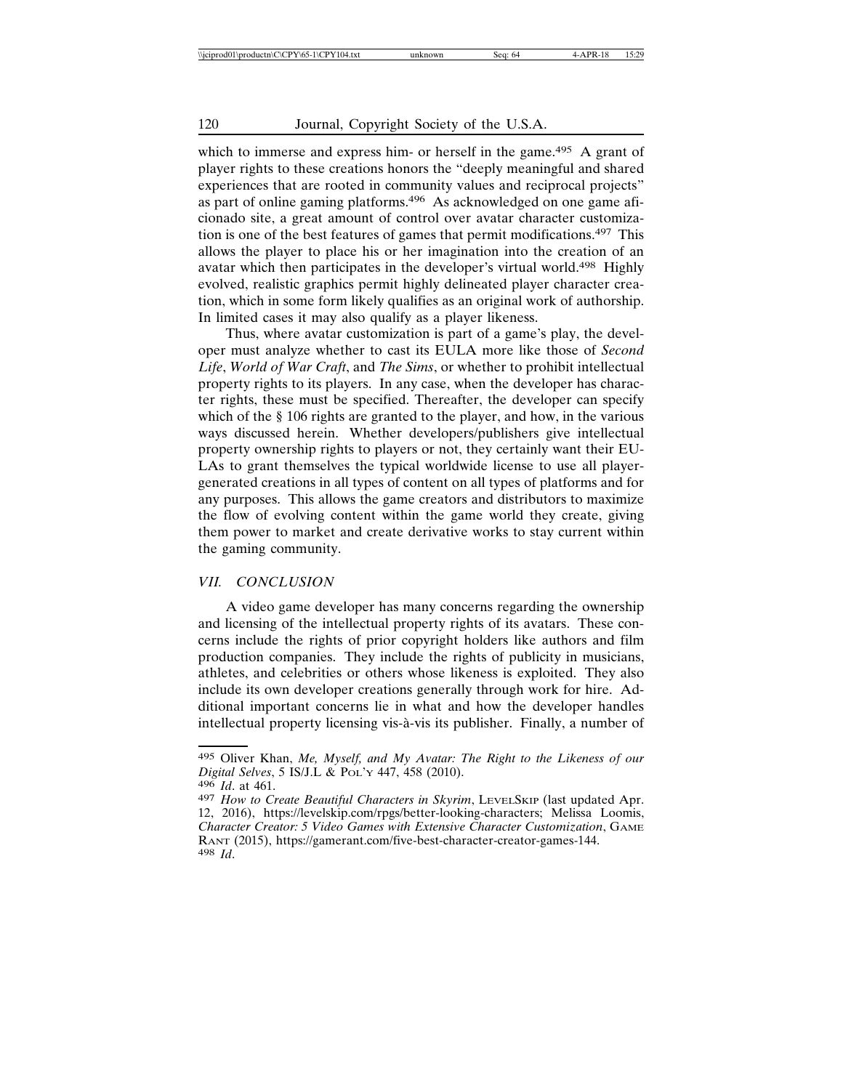which to immerse and express him- or herself in the game.<sup>495</sup> A grant of player rights to these creations honors the "deeply meaningful and shared experiences that are rooted in community values and reciprocal projects" as part of online gaming platforms.<sup>496</sup> As acknowledged on one game aficionado site, a great amount of control over avatar character customization is one of the best features of games that permit modifications.<sup>497</sup> This allows the player to place his or her imagination into the creation of an avatar which then participates in the developer's virtual world.498 Highly evolved, realistic graphics permit highly delineated player character creation, which in some form likely qualifies as an original work of authorship. In limited cases it may also qualify as a player likeness.

Thus, where avatar customization is part of a game's play, the developer must analyze whether to cast its EULA more like those of *Second Life*, *World of War Craft*, and *The Sims*, or whether to prohibit intellectual property rights to its players. In any case, when the developer has character rights, these must be specified. Thereafter, the developer can specify which of the § 106 rights are granted to the player, and how, in the various ways discussed herein. Whether developers/publishers give intellectual property ownership rights to players or not, they certainly want their EU-LAs to grant themselves the typical worldwide license to use all playergenerated creations in all types of content on all types of platforms and for any purposes. This allows the game creators and distributors to maximize the flow of evolving content within the game world they create, giving them power to market and create derivative works to stay current within the gaming community.

## *VII. CONCLUSION*

A video game developer has many concerns regarding the ownership and licensing of the intellectual property rights of its avatars. These concerns include the rights of prior copyright holders like authors and film production companies. They include the rights of publicity in musicians, athletes, and celebrities or others whose likeness is exploited. They also include its own developer creations generally through work for hire. Additional important concerns lie in what and how the developer handles intellectual property licensing vis-à-vis its publisher. Finally, a number of

<sup>495</sup> Oliver Khan, *Me, Myself, and My Avatar: The Right to the Likeness of our Digital Selves*, 5 IS/J.L & POL'Y 447, 458 (2010).

<sup>496</sup> *Id*. at 461.

<sup>497</sup> *How to Create Beautiful Characters in Skyrim*, LEVELSKIP (last updated Apr. 12, 2016), https://levelskip.com/rpgs/better-looking-characters; Melissa Loomis, *Character Creator: 5 Video Games with Extensive Character Customization*, GAME RANT (2015), https://gamerant.com/five-best-character-creator-games-144. 498 *Id*.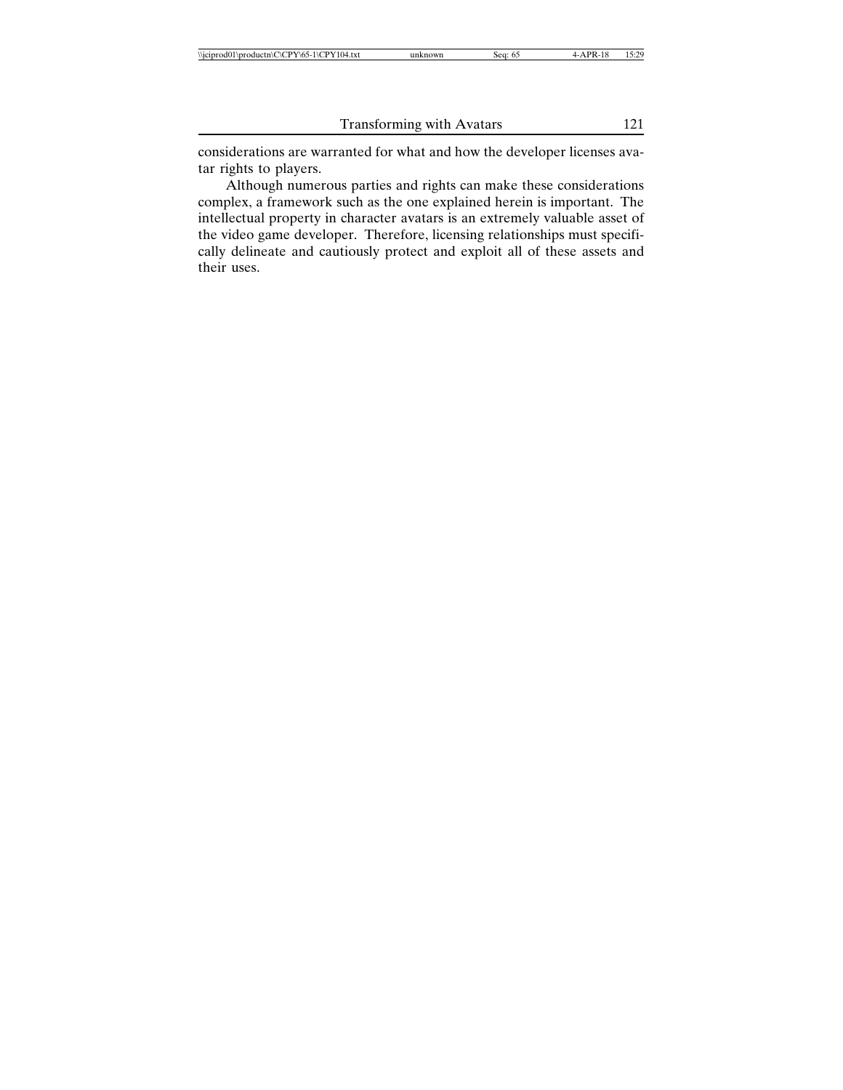| $11 -$<br>104<br>ł.txt<br>.165<br>$\sqrt{\text{l}}$<br>.\nr<br>odO<br>70001110 | WL.<br>bea.<br>n | $\sim$<br>v.<br>$\overline{1}$ |
|--------------------------------------------------------------------------------|------------------|--------------------------------|

considerations are warranted for what and how the developer licenses avatar rights to players.

Although numerous parties and rights can make these considerations complex, a framework such as the one explained herein is important. The intellectual property in character avatars is an extremely valuable asset of the video game developer. Therefore, licensing relationships must specifically delineate and cautiously protect and exploit all of these assets and their uses.